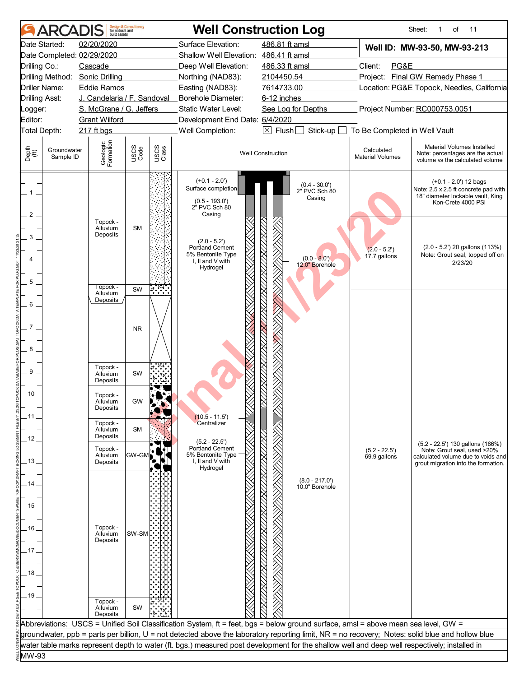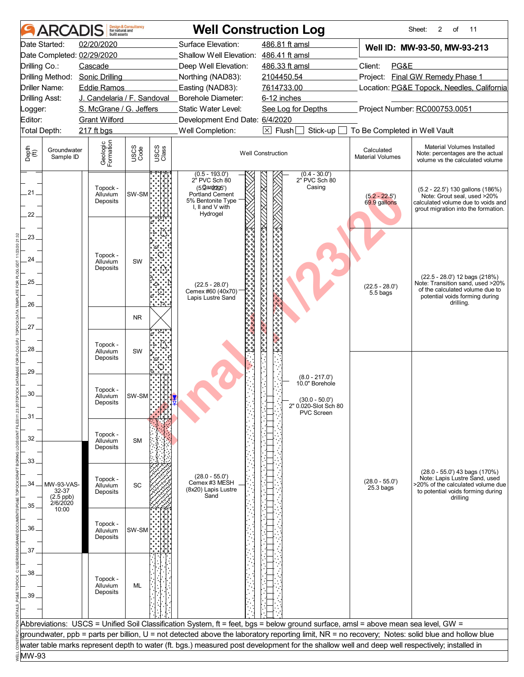|                       | <b>ARCADIS</b>           | built assets                     | <b>Design &amp; Consultancy</b><br>for natural and |               |                                                                                                                                       | <b>Well Construction Log</b>                                                                                                                     |                                       | 2<br>11<br>Sheet:<br>of                                                                                                                      |
|-----------------------|--------------------------|----------------------------------|----------------------------------------------------|---------------|---------------------------------------------------------------------------------------------------------------------------------------|--------------------------------------------------------------------------------------------------------------------------------------------------|---------------------------------------|----------------------------------------------------------------------------------------------------------------------------------------------|
|                       | Date Started:            | 02/20/2020                       |                                                    |               | Surface Elevation:                                                                                                                    | 486.81 ft amsl                                                                                                                                   |                                       | Well ID: MW-93-50, MW-93-213                                                                                                                 |
|                       |                          | Date Completed: 02/29/2020       |                                                    |               | Shallow Well Elevation: 486.41 ft amsl                                                                                                |                                                                                                                                                  |                                       |                                                                                                                                              |
| Drilling Co.:         |                          | Cascade                          |                                                    |               | Deep Well Elevation:                                                                                                                  | 486.33 ft amsl                                                                                                                                   | Client:<br>PG&E                       |                                                                                                                                              |
|                       |                          | Drilling Method: Sonic Drilling  |                                                    |               | Northing (NAD83):                                                                                                                     | 2104450.54                                                                                                                                       | Project:                              | Final GW Remedy Phase 1                                                                                                                      |
|                       | <b>Driller Name:</b>     | <b>Eddie Ramos</b>               |                                                    |               | Easting (NAD83):                                                                                                                      | 7614733.00                                                                                                                                       |                                       | Location: PG&E Topock, Needles, California                                                                                                   |
| <b>Drilling Asst:</b> |                          | J. Candelaria / F. Sandoval      |                                                    |               | Borehole Diameter:                                                                                                                    | 6-12 inches                                                                                                                                      |                                       |                                                                                                                                              |
| Logger:               |                          | S. McGrane / G. Jeffers          |                                                    |               | Static Water Level:                                                                                                                   | See Log for Depths                                                                                                                               |                                       | Project Number: RC000753.0051                                                                                                                |
| Editor:               |                          | <b>Grant Wilford</b>             |                                                    |               | Development End Date: 6/4/2020                                                                                                        |                                                                                                                                                  |                                       |                                                                                                                                              |
|                       | Total Depth:             | 217 ft bgs                       |                                                    |               | Well Completion:                                                                                                                      | $\boxed{\times}$ Flush<br>Stick-up [                                                                                                             | To Be Completed in Well Vault         |                                                                                                                                              |
| Depth<br>(ff)         | Groundwater<br>Sample ID | Geologic<br>Formation            | USCS<br>Code                                       | USCS<br>Class |                                                                                                                                       | <b>Well Construction</b>                                                                                                                         | Calculated<br><b>Material Volumes</b> | Material Volumes Installed<br>Note: percentages are the actual<br>volume vs the calculated volume                                            |
| 21.<br>22.            |                          | Topock -<br>Alluvium<br>Deposits | SW-SM                                              |               | $(0.5 - 193.0)$<br>2" PVC Sch 80<br>$(5.2a$ s $2025')$<br><b>Portland Cement</b><br>5% Bentonite Type<br>I, II and V with<br>Hydrogel | $(0.4 - 30.0')$<br>2" PVC Sch 80<br>Casing                                                                                                       | $(5.2 - 22.5)$<br>69.9 gallons        | (5.2 - 22.5') 130 gallons (186%)<br>Note: Grout seal, used >20%<br>calculated volume due to voids and<br>grout migration into the formation. |
| 23.                   |                          |                                  |                                                    |               |                                                                                                                                       |                                                                                                                                                  |                                       |                                                                                                                                              |
| 24                    |                          | Topock -                         |                                                    |               |                                                                                                                                       |                                                                                                                                                  |                                       |                                                                                                                                              |
|                       |                          | Alluvium<br>Deposits             | SW                                                 | اراء          |                                                                                                                                       |                                                                                                                                                  |                                       |                                                                                                                                              |
| $25 -$                |                          |                                  |                                                    |               |                                                                                                                                       |                                                                                                                                                  |                                       | (22.5 - 28.0') 12 bags (218%)                                                                                                                |
|                       |                          |                                  |                                                    |               | $(22.5 - 28.0')$<br>Cemex #60 (40x70)                                                                                                 |                                                                                                                                                  | $(22.5 - 28.0')$<br>5.5 bags          | Note: Transition sand, used >20%<br>of the calculated volume due to                                                                          |
| 26.                   |                          |                                  |                                                    | $\cdot$ n     | ૺ<br>૾૾૾૾૾૾૾<br>Lapis Lustre Sand                                                                                                     |                                                                                                                                                  |                                       | potential voids forming during<br>drilling.                                                                                                  |
|                       |                          |                                  |                                                    |               |                                                                                                                                       |                                                                                                                                                  |                                       |                                                                                                                                              |
| 27                    |                          |                                  | <b>NR</b>                                          |               |                                                                                                                                       |                                                                                                                                                  |                                       |                                                                                                                                              |
| 28.                   |                          | Topock -<br>Alluvium<br>Deposits | SW                                                 |               |                                                                                                                                       |                                                                                                                                                  |                                       |                                                                                                                                              |
|                       |                          |                                  |                                                    |               |                                                                                                                                       |                                                                                                                                                  |                                       |                                                                                                                                              |
| 29                    |                          |                                  |                                                    |               |                                                                                                                                       | $(8.0 - 217.0')$                                                                                                                                 |                                       |                                                                                                                                              |
| 30                    |                          | Topock -                         |                                                    |               |                                                                                                                                       | 10.0" Borehole                                                                                                                                   |                                       |                                                                                                                                              |
|                       |                          | Alluvium<br>Deposits             | SW-SM <sup>⊳</sup> .                               |               |                                                                                                                                       | $(30.0 - 50.0)$                                                                                                                                  |                                       |                                                                                                                                              |
| .31.                  |                          |                                  |                                                    |               |                                                                                                                                       | 2" 0.020-Slot Sch 80<br>PVC Screen                                                                                                               |                                       |                                                                                                                                              |
|                       |                          |                                  |                                                    |               |                                                                                                                                       |                                                                                                                                                  |                                       |                                                                                                                                              |
| 32                    |                          | Topock -                         |                                                    |               |                                                                                                                                       |                                                                                                                                                  |                                       |                                                                                                                                              |
|                       |                          | Alluvium<br>Deposits             | <b>SM</b>                                          |               |                                                                                                                                       |                                                                                                                                                  |                                       |                                                                                                                                              |
| 33                    |                          |                                  |                                                    |               |                                                                                                                                       |                                                                                                                                                  |                                       |                                                                                                                                              |
|                       |                          |                                  |                                                    |               |                                                                                                                                       |                                                                                                                                                  |                                       | $(28.0 - 55.0')$ 43 bags $(170%)$                                                                                                            |
| 34.                   | MW-93-VAS-               | Topock -                         |                                                    |               | $(28.0 - 55.0')$<br>Cemex #3 MESH                                                                                                     |                                                                                                                                                  | $(28.0 - 55.0')$                      | Note: Lapis Lustre Sand, used<br>>20% of the calculated volume due                                                                           |
|                       | 32-37                    | Alluvium<br>Deposits             | SC                                                 |               | (8x20) Lapis Lustre<br>Sand                                                                                                           |                                                                                                                                                  | $25.3$ bags                           | to potential voids forming during                                                                                                            |
| $35-$                 | (2.5 ppb)<br>2/6/2020    |                                  |                                                    |               |                                                                                                                                       |                                                                                                                                                  |                                       | drilling                                                                                                                                     |
|                       | 10:00                    |                                  |                                                    |               |                                                                                                                                       |                                                                                                                                                  |                                       |                                                                                                                                              |
| 36.                   |                          | Topock -<br>Alluvium             | SW-SM                                              |               |                                                                                                                                       |                                                                                                                                                  |                                       |                                                                                                                                              |
|                       |                          | Deposits                         |                                                    |               |                                                                                                                                       |                                                                                                                                                  |                                       |                                                                                                                                              |
| 37.                   |                          |                                  |                                                    |               |                                                                                                                                       |                                                                                                                                                  |                                       |                                                                                                                                              |
|                       |                          |                                  |                                                    |               |                                                                                                                                       |                                                                                                                                                  |                                       |                                                                                                                                              |
| 38                    |                          |                                  |                                                    |               |                                                                                                                                       |                                                                                                                                                  |                                       |                                                                                                                                              |
|                       |                          | Topock -<br>Alluvium             | ML                                                 |               |                                                                                                                                       |                                                                                                                                                  |                                       |                                                                                                                                              |
| $39-$                 |                          | Deposits                         |                                                    |               |                                                                                                                                       |                                                                                                                                                  |                                       |                                                                                                                                              |
|                       |                          |                                  |                                                    |               |                                                                                                                                       |                                                                                                                                                  |                                       |                                                                                                                                              |
|                       |                          |                                  |                                                    |               |                                                                                                                                       |                                                                                                                                                  |                                       |                                                                                                                                              |
|                       |                          |                                  |                                                    |               |                                                                                                                                       | Abbreviations: USCS = Unified Soil Classification System, ft = feet, bgs = below ground surface, amsl = above mean sea level, GW =               |                                       |                                                                                                                                              |
|                       |                          |                                  |                                                    |               |                                                                                                                                       | groundwater, ppb = parts per billion, U = not detected above the laboratory reporting limit, NR = no recovery; Notes: solid blue and hollow blue |                                       |                                                                                                                                              |
|                       |                          |                                  |                                                    |               |                                                                                                                                       | water table marks represent depth to water (ft. bgs.) measured post development for the shallow well and deep well respectively; installed in    |                                       |                                                                                                                                              |
| MW-93                 |                          |                                  |                                                    |               |                                                                                                                                       |                                                                                                                                                  |                                       |                                                                                                                                              |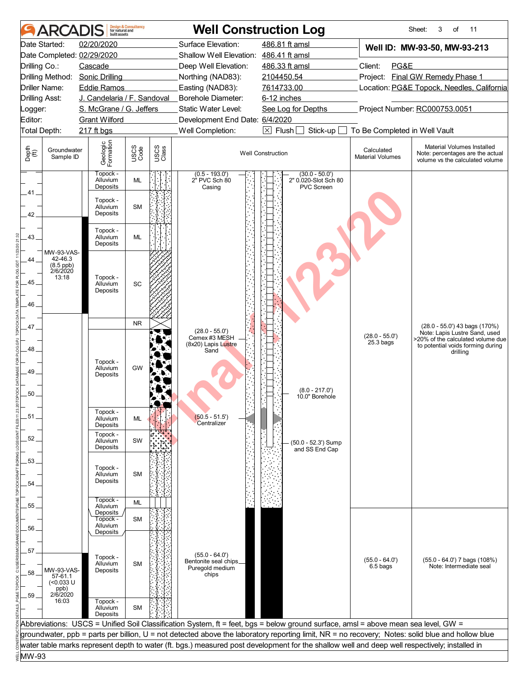|                                | <b>ARCADIS</b>                               | built assets                     | <b>Design &amp; Consultancy</b><br>for natural and |               |                                                                       | <b>Well Construction Log</b>                                                                                                                     |                                       | Sheet:<br>3<br>of<br>11                                                                           |
|--------------------------------|----------------------------------------------|----------------------------------|----------------------------------------------------|---------------|-----------------------------------------------------------------------|--------------------------------------------------------------------------------------------------------------------------------------------------|---------------------------------------|---------------------------------------------------------------------------------------------------|
|                                | Date Started:                                | 02/20/2020                       |                                                    |               | Surface Elevation:                                                    | 486.81 ft amsl                                                                                                                                   |                                       | Well ID: MW-93-50, MW-93-213                                                                      |
|                                |                                              | Date Completed: 02/29/2020       |                                                    |               | Shallow Well Elevation: 486.41 ft amsl                                |                                                                                                                                                  |                                       |                                                                                                   |
| Drilling Co.:                  |                                              | Cascade                          |                                                    |               | Deep Well Elevation:                                                  | 486.33 ft amsl                                                                                                                                   | Client:<br>PG&E                       |                                                                                                   |
|                                | Drilling Method:                             | <b>Sonic Drilling</b>            |                                                    |               | Northing (NAD83):                                                     | 2104450.54                                                                                                                                       |                                       | Project: Final GW Remedy Phase 1                                                                  |
|                                | Driller Name:                                | <b>Eddie Ramos</b>               |                                                    |               | Easting (NAD83):                                                      | 7614733.00                                                                                                                                       |                                       | Location: PG&E Topock, Needles, California                                                        |
| <b>Drilling Asst:</b>          |                                              | J. Candelaria / F. Sandoval      |                                                    |               | <b>Borehole Diameter:</b>                                             | 6-12 inches                                                                                                                                      |                                       |                                                                                                   |
| _ogger:                        |                                              | S. McGrane / G. Jeffers          |                                                    |               | Static Water Level:                                                   | See Log for Depths                                                                                                                               |                                       | Project Number: RC000753.0051                                                                     |
| Editor:                        |                                              | <b>Grant Wilford</b>             |                                                    |               | Development End Date: 6/4/2020                                        |                                                                                                                                                  |                                       |                                                                                                   |
| Total Depth:                   |                                              | 217 ft bgs                       |                                                    |               | Well Completion:                                                      | $\boxtimes$ Flush<br>Stick-up                                                                                                                    | To Be Completed in Well Vault         |                                                                                                   |
| Depth<br>$\bigoplus_{i=1}^{n}$ | Groundwater<br>Sample ID                     | Geologic<br>Formation            | USCS<br>Code                                       | USCS<br>Class |                                                                       | <b>Well Construction</b>                                                                                                                         | Calculated<br><b>Material Volumes</b> | Material Volumes Installed<br>Note: percentages are the actual<br>volume vs the calculated volume |
|                                |                                              | Topock -<br>Alluvium<br>Deposits | ML                                                 |               | $(0.5 - 193.0)$<br>2" PVC Sch 80<br>Casing                            | $(30.0 - 50.0)$<br>2" 0.020-Slot Sch 80<br><b>PVC Screen</b>                                                                                     |                                       |                                                                                                   |
| 41<br>42                       |                                              | Topock -<br>Alluvium<br>Deposits | <b>SM</b>                                          |               |                                                                       |                                                                                                                                                  |                                       |                                                                                                   |
| 43                             |                                              | Topock -<br>Alluvium<br>Deposits | ML                                                 |               |                                                                       |                                                                                                                                                  |                                       |                                                                                                   |
|                                | MW-93-VAS-                                   |                                  |                                                    |               |                                                                       |                                                                                                                                                  |                                       |                                                                                                   |
| 44.                            | 42-46.3<br>(8.5 ppb)<br>2/6/2020             |                                  |                                                    |               |                                                                       |                                                                                                                                                  |                                       |                                                                                                   |
|                                | 13:18                                        | Topock -                         |                                                    |               |                                                                       |                                                                                                                                                  |                                       |                                                                                                   |
| 45.                            |                                              | Alluvium<br>Deposits             | SC                                                 |               |                                                                       |                                                                                                                                                  |                                       |                                                                                                   |
|                                |                                              |                                  |                                                    |               |                                                                       |                                                                                                                                                  |                                       |                                                                                                   |
| 46.                            |                                              |                                  |                                                    |               |                                                                       |                                                                                                                                                  |                                       |                                                                                                   |
|                                |                                              |                                  | <b>NR</b>                                          |               |                                                                       |                                                                                                                                                  |                                       |                                                                                                   |
| 47                             |                                              |                                  |                                                    |               | $(28.0 - 55.0')$                                                      |                                                                                                                                                  |                                       | (28.0 - 55.0') 43 bags (170%)<br>Note: Lapis Lustre Sand, used                                    |
| 48<br>49<br>50.                |                                              | Topock -<br>Alluvium<br>Deposits | GW                                                 |               | Cemex #3 MESH<br>(8x20) Lapis Lustre<br>Sand                          | $(8.0 - 217.0')$<br>10.0" Borehole                                                                                                               | $(28.0 - 55.0')$<br>$25.3$ bags       | >20% of the calculated volume due<br>to potential voids forming during<br>drilling                |
| .51.                           |                                              | Topock -<br>Alluvium<br>Deposits | ML                                                 |               | $(50.5 - 51.5)$<br>Centralizer                                        |                                                                                                                                                  |                                       |                                                                                                   |
| 52.                            |                                              | Topock -<br>Alluvium             | SW                                                 |               |                                                                       |                                                                                                                                                  |                                       |                                                                                                   |
|                                |                                              | Deposits                         |                                                    |               |                                                                       | (50.0 - 52.3') Sump<br>and SS End Cap                                                                                                            |                                       |                                                                                                   |
| 53                             |                                              |                                  |                                                    |               |                                                                       |                                                                                                                                                  |                                       |                                                                                                   |
|                                |                                              | Topock -                         |                                                    |               |                                                                       |                                                                                                                                                  |                                       |                                                                                                   |
| 54.                            |                                              | Alluvium<br>Deposits             | <b>SM</b>                                          |               |                                                                       |                                                                                                                                                  |                                       |                                                                                                   |
|                                |                                              |                                  |                                                    |               |                                                                       |                                                                                                                                                  |                                       |                                                                                                   |
| 55.                            |                                              | Topock -<br>Alluvium             | <b>ML</b>                                          |               |                                                                       |                                                                                                                                                  |                                       |                                                                                                   |
|                                |                                              | Deposits                         |                                                    |               |                                                                       |                                                                                                                                                  |                                       |                                                                                                   |
|                                |                                              | Topock -<br>Alluvium             | <b>SM</b>                                          |               |                                                                       |                                                                                                                                                  |                                       |                                                                                                   |
| 56                             |                                              | Deposits                         |                                                    |               |                                                                       |                                                                                                                                                  |                                       |                                                                                                   |
|                                |                                              |                                  |                                                    |               |                                                                       |                                                                                                                                                  |                                       |                                                                                                   |
| 57<br>58.                      | MW-93-VAS-<br>57-61.1<br>$(0.033 \text{ U})$ | Topock -<br>Alluvium<br>Deposits | <b>SM</b>                                          |               | $(55.0 - 64.0')$<br>Bentonite seal chips_<br>Puregold medium<br>chips |                                                                                                                                                  | $(55.0 - 64.0')$<br>6.5 bags          | $(55.0 - 64.0')$ 7 bags $(108%)$<br>Note: Intermediate seal                                       |
| .59                            | ppb)<br>2/6/2020<br>16:03                    | Topock -<br>Alluvium             | <b>SM</b>                                          |               |                                                                       |                                                                                                                                                  |                                       |                                                                                                   |
|                                |                                              | Deposits                         |                                                    |               |                                                                       |                                                                                                                                                  |                                       |                                                                                                   |
|                                |                                              |                                  |                                                    |               |                                                                       | Abbreviations: USCS = Unified Soil Classification System, ft = feet, bgs = below ground surface, amsl = above mean sea level, GW =               |                                       |                                                                                                   |
|                                |                                              |                                  |                                                    |               |                                                                       | groundwater, ppb = parts per billion, U = not detected above the laboratory reporting limit, NR = no recovery; Notes: solid blue and hollow blue |                                       |                                                                                                   |
|                                |                                              |                                  |                                                    |               |                                                                       | water table marks represent depth to water (ft. bgs.) measured post development for the shallow well and deep well respectively; installed in    |                                       |                                                                                                   |
| MW-93                          |                                              |                                  |                                                    |               |                                                                       |                                                                                                                                                  |                                       |                                                                                                   |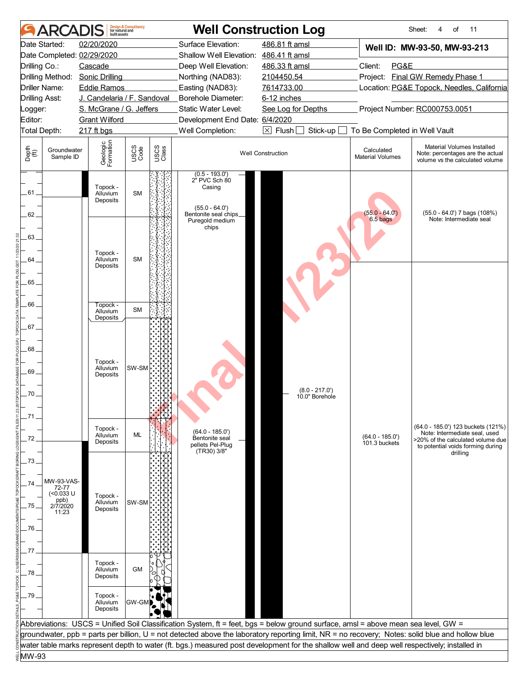|                                | ARCADIS                        | built assets                             | <b>Design &amp; Consultancy</b><br>for natural and |               |                                                                                                                                                                                                                                                                                        | <b>Well Construction Log</b>       |                                       | Sheet:<br>4<br>of<br>11                                                                                  |
|--------------------------------|--------------------------------|------------------------------------------|----------------------------------------------------|---------------|----------------------------------------------------------------------------------------------------------------------------------------------------------------------------------------------------------------------------------------------------------------------------------------|------------------------------------|---------------------------------------|----------------------------------------------------------------------------------------------------------|
|                                | Date Started:                  | 02/20/2020<br>Date Completed: 02/29/2020 |                                                    |               | Surface Elevation:<br>Shallow Well Elevation: 486.41 ft amsl                                                                                                                                                                                                                           | 486.81 ft amsl                     |                                       | Well ID: MW-93-50, MW-93-213                                                                             |
| Drilling Co.:                  |                                | Cascade                                  |                                                    |               | Deep Well Elevation:                                                                                                                                                                                                                                                                   | 486.33 ft amsl                     | Client:<br>PG&E                       |                                                                                                          |
|                                |                                | Drilling Method: Sonic Drilling          |                                                    |               | Northing (NAD83):                                                                                                                                                                                                                                                                      | 2104450.54                         |                                       | Project: Final GW Remedy Phase 1                                                                         |
|                                | <b>Driller Name:</b>           | <b>Eddie Ramos</b>                       |                                                    |               | Easting (NAD83):                                                                                                                                                                                                                                                                       | 7614733.00                         |                                       | Location: PG&E Topock, Needles, California                                                               |
|                                | <b>Drilling Asst:</b>          | J. Candelaria / F. Sandoval              |                                                    |               | Borehole Diameter:                                                                                                                                                                                                                                                                     | 6-12 inches                        |                                       |                                                                                                          |
| Logger:                        |                                | S. McGrane / G. Jeffers                  |                                                    |               | Static Water Level:                                                                                                                                                                                                                                                                    | See Log for Depths                 |                                       | Project Number: RC000753.0051                                                                            |
| Editor:                        |                                | <b>Grant Wilford</b>                     |                                                    |               | Development End Date: 6/4/2020                                                                                                                                                                                                                                                         |                                    |                                       |                                                                                                          |
|                                | Total Depth:                   | 217 ft bgs                               |                                                    |               | Well Completion:                                                                                                                                                                                                                                                                       | $\boxtimes$ Flush<br>Stick-up      | To Be Completed in Well Vault         |                                                                                                          |
| Depth<br>$\bigoplus_{i=1}^{n}$ | Groundwater<br>Sample ID       | Geologic<br>Formation                    | USCS<br>Code                                       | USCS<br>Class |                                                                                                                                                                                                                                                                                        | <b>Well Construction</b>           | Calculated<br><b>Material Volumes</b> | Material Volumes Installed<br>Note: percentages are the actual<br>volume vs the calculated volume        |
| 61                             |                                | Topock -<br>Alluvium<br>Deposits         | <b>SM</b>                                          |               | $(0.5 - 193.0')$<br>2" PVC Sch 80<br>Casing<br>$(55.0 - 64.0')$                                                                                                                                                                                                                        |                                    |                                       |                                                                                                          |
| 62<br>63                       |                                | Topock -                                 |                                                    |               | Bentonite seal chips_<br>Puregold medium<br>chips                                                                                                                                                                                                                                      |                                    | $(55.0 - 64.0')$<br>6.5 bags          | (55.0 - 64.0') 7 bags (108%)<br>Note: Intermediate seal                                                  |
| 64<br>65.                      |                                | Alluvium<br>Deposits                     | <b>SM</b>                                          |               |                                                                                                                                                                                                                                                                                        |                                    |                                       |                                                                                                          |
| 66                             |                                | Topock -<br>Alluvium<br>Deposits         | <b>SM</b>                                          |               |                                                                                                                                                                                                                                                                                        |                                    |                                       |                                                                                                          |
| 67                             |                                |                                          |                                                    |               |                                                                                                                                                                                                                                                                                        |                                    |                                       |                                                                                                          |
| 68<br>69<br>70.                |                                | Topock -<br>Alluvium<br>Deposits         | SW-SM                                              |               |                                                                                                                                                                                                                                                                                        | $(8.0 - 217.0')$<br>10.0" Borehole |                                       |                                                                                                          |
| .71                            |                                |                                          |                                                    |               |                                                                                                                                                                                                                                                                                        |                                    |                                       |                                                                                                          |
| 72                             |                                | Topock -<br>Alluvium<br>Deposits         | ML                                                 |               | $(64.0 - 185.0')$<br>Bentonite seal<br>pellets Pel-Plug                                                                                                                                                                                                                                |                                    | $(64.0 - 185.0')$<br>101.3 buckets    | (64.0 - 185.0') 123 buckets (121%)<br>Note: Intermediate seal, used<br>>20% of the calculated volume due |
| 73.                            |                                |                                          |                                                    |               | (TR30) 3/8"                                                                                                                                                                                                                                                                            |                                    |                                       | to potential voids forming during<br>drilling                                                            |
| 74                             | MW-93-VAS-<br>72-77            |                                          |                                                    |               |                                                                                                                                                                                                                                                                                        |                                    |                                       |                                                                                                          |
| .75.                           | $(0.033 \cupppb)2/7/202011:23$ | Topock -<br>Alluvium<br>Deposits         | SW-SM                                              |               |                                                                                                                                                                                                                                                                                        |                                    |                                       |                                                                                                          |
|                                |                                |                                          |                                                    |               |                                                                                                                                                                                                                                                                                        |                                    |                                       |                                                                                                          |
| 76.                            |                                |                                          |                                                    |               |                                                                                                                                                                                                                                                                                        |                                    |                                       |                                                                                                          |
|                                |                                |                                          |                                                    |               |                                                                                                                                                                                                                                                                                        |                                    |                                       |                                                                                                          |
| 77                             |                                |                                          |                                                    |               |                                                                                                                                                                                                                                                                                        |                                    |                                       |                                                                                                          |
| .78                            |                                | Topock -<br>Alluvium<br>Deposits         | GM                                                 |               |                                                                                                                                                                                                                                                                                        |                                    |                                       |                                                                                                          |
| .79.                           |                                | Topock -<br>Alluvium<br>Deposits         | GW-GM                                              |               |                                                                                                                                                                                                                                                                                        |                                    |                                       |                                                                                                          |
|                                |                                |                                          |                                                    |               |                                                                                                                                                                                                                                                                                        |                                    |                                       |                                                                                                          |
|                                |                                |                                          |                                                    |               | Abbreviations: USCS = Unified Soil Classification System, ft = feet, bgs = below ground surface, amsl = above mean sea level, GW =<br>groundwater, ppb = parts per billion, U = not detected above the laboratory reporting limit, NR = no recovery; Notes: solid blue and hollow blue |                                    |                                       |                                                                                                          |
|                                |                                |                                          |                                                    |               | water table marks represent depth to water (ft. bgs.) measured post development for the shallow well and deep well respectively; installed in                                                                                                                                          |                                    |                                       |                                                                                                          |
| MW-93                          |                                |                                          |                                                    |               |                                                                                                                                                                                                                                                                                        |                                    |                                       |                                                                                                          |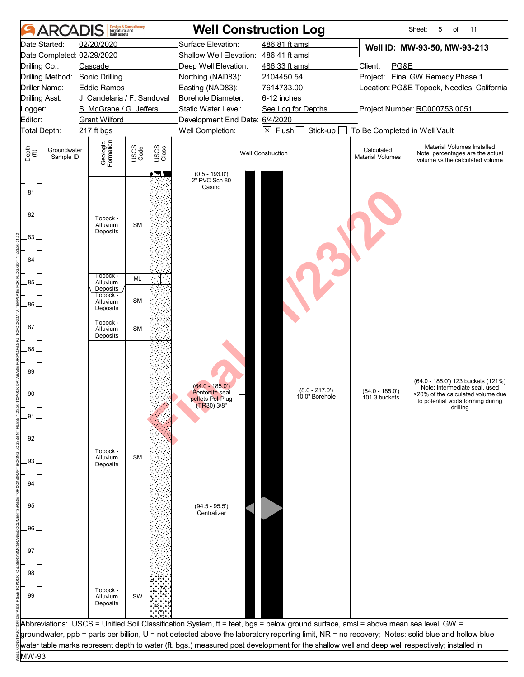|                                | <b>AR</b>                | built assets                             | <b>Design &amp; Consultancy</b><br>for natural and |               |                                                              | <b>Well Construction Log</b>                                                                                                                     |                                       | Sheet:<br>5<br>of<br>11                                                                           |
|--------------------------------|--------------------------|------------------------------------------|----------------------------------------------------|---------------|--------------------------------------------------------------|--------------------------------------------------------------------------------------------------------------------------------------------------|---------------------------------------|---------------------------------------------------------------------------------------------------|
|                                | Date Started:            | 02/20/2020<br>Date Completed: 02/29/2020 |                                                    |               | Surface Elevation:<br>Shallow Well Elevation: 486.41 ft amsl | 486.81 ft amsl                                                                                                                                   |                                       | Well ID: MW-93-50, MW-93-213                                                                      |
| Drilling Co.:                  |                          | Cascade                                  |                                                    |               | Deep Well Elevation:                                         | 486.33 ft amsl                                                                                                                                   | Client:<br>PG&E                       |                                                                                                   |
|                                |                          | Drilling Method: Sonic Drilling          |                                                    |               | Northing (NAD83):                                            | 2104450.54                                                                                                                                       |                                       | Project: Final GW Remedy Phase 1                                                                  |
|                                | Driller Name:            | <b>Eddie Ramos</b>                       |                                                    |               | Easting (NAD83):                                             | 7614733.00                                                                                                                                       |                                       | Location: PG&E Topock, Needles, California                                                        |
| <b>Drilling Asst:</b>          |                          | J. Candelaria / F. Sandoval              |                                                    |               | Borehole Diameter:                                           | 6-12 inches                                                                                                                                      |                                       |                                                                                                   |
| Logger:                        |                          | S. McGrane / G. Jeffers                  |                                                    |               | Static Water Level:                                          | See Log for Depths                                                                                                                               |                                       | Project Number: RC000753.0051                                                                     |
| Editor:                        |                          | <b>Grant Wilford</b>                     |                                                    |               | Development End Date: 6/4/2020                               |                                                                                                                                                  |                                       |                                                                                                   |
| Total Depth:                   |                          | 217 ft bgs                               |                                                    |               | Well Completion:                                             | $\boxtimes$ Flush $\Box$<br>Stick-up                                                                                                             | To Be Completed in Well Vault         |                                                                                                   |
| Depth<br>$\bigoplus_{i=1}^{n}$ | Groundwater<br>Sample ID | Geologic<br>Formation                    | USCS<br>Code                                       | USCS<br>Class |                                                              | <b>Well Construction</b>                                                                                                                         | Calculated<br><b>Material Volumes</b> | Material Volumes Installed<br>Note: percentages are the actual<br>volume vs the calculated volume |
| .81.<br>82.<br>83              |                          | Topock -<br>Alluvium<br>Deposits         | <b>SM</b>                                          |               | $(0.5 - 193.0')$<br>2" PVC Sch 80<br>Casing                  |                                                                                                                                                  |                                       |                                                                                                   |
| 84                             |                          |                                          |                                                    |               |                                                              |                                                                                                                                                  |                                       |                                                                                                   |
| $85 -$                         |                          | Topock -<br>Alluvium                     | <b>ML</b>                                          |               |                                                              |                                                                                                                                                  |                                       |                                                                                                   |
|                                |                          | Deposits<br>Topock -                     | <b>SM</b>                                          |               |                                                              |                                                                                                                                                  |                                       |                                                                                                   |
| 86.                            |                          | Alluvium<br>Deposits                     |                                                    |               |                                                              |                                                                                                                                                  |                                       |                                                                                                   |
| $87 -$                         |                          | Topock -<br>Alluvium                     | <b>SM</b>                                          |               |                                                              |                                                                                                                                                  |                                       |                                                                                                   |
|                                |                          | Deposits                                 |                                                    |               |                                                              |                                                                                                                                                  |                                       |                                                                                                   |
| 88.                            |                          |                                          |                                                    |               |                                                              |                                                                                                                                                  |                                       |                                                                                                   |
| 89                             |                          |                                          |                                                    |               |                                                              |                                                                                                                                                  |                                       | (64.0 - 185.0') 123 buckets (121%)                                                                |
| 90                             |                          |                                          |                                                    |               | $(64.0 - 185.0')$<br><b>Bentonite</b> seal                   | $(8.0 - 217.0')$                                                                                                                                 | $(64.0 - 185.0')$                     | Note: Intermediate seal, used<br>>20% of the calculated volume due                                |
|                                |                          |                                          |                                                    |               | pellets Pel-Plug<br>$(TR30)$ 3/8"                            | 10.0" Borehole                                                                                                                                   | 101.3 buckets                         | to potential voids forming during                                                                 |
| .91                            |                          |                                          |                                                    |               |                                                              |                                                                                                                                                  |                                       | drilling                                                                                          |
|                                |                          |                                          |                                                    |               |                                                              |                                                                                                                                                  |                                       |                                                                                                   |
| 92                             |                          |                                          |                                                    |               |                                                              |                                                                                                                                                  |                                       |                                                                                                   |
|                                |                          | Topock -                                 |                                                    |               |                                                              |                                                                                                                                                  |                                       |                                                                                                   |
| 93.                            |                          | Alluvium<br>Deposits                     | <b>SM</b>                                          |               |                                                              |                                                                                                                                                  |                                       |                                                                                                   |
|                                |                          |                                          |                                                    |               |                                                              |                                                                                                                                                  |                                       |                                                                                                   |
| 94                             |                          |                                          |                                                    |               |                                                              |                                                                                                                                                  |                                       |                                                                                                   |
|                                |                          |                                          |                                                    |               |                                                              |                                                                                                                                                  |                                       |                                                                                                   |
| .95                            |                          |                                          |                                                    |               | $(94.5 - 95.5')$<br>Centralizer                              |                                                                                                                                                  |                                       |                                                                                                   |
|                                |                          |                                          |                                                    |               |                                                              |                                                                                                                                                  |                                       |                                                                                                   |
| 96                             |                          |                                          |                                                    |               |                                                              |                                                                                                                                                  |                                       |                                                                                                   |
|                                |                          |                                          |                                                    |               |                                                              |                                                                                                                                                  |                                       |                                                                                                   |
| 97                             |                          |                                          |                                                    |               |                                                              |                                                                                                                                                  |                                       |                                                                                                   |
| 98                             |                          |                                          |                                                    |               |                                                              |                                                                                                                                                  |                                       |                                                                                                   |
|                                |                          |                                          |                                                    |               |                                                              |                                                                                                                                                  |                                       |                                                                                                   |
| .99 <sub>1</sub>               |                          | Topock -                                 |                                                    |               |                                                              |                                                                                                                                                  |                                       |                                                                                                   |
|                                |                          | Alluvium<br>Deposits                     | SW                                                 |               |                                                              |                                                                                                                                                  |                                       |                                                                                                   |
|                                |                          |                                          |                                                    |               |                                                              |                                                                                                                                                  |                                       |                                                                                                   |
|                                |                          |                                          |                                                    |               |                                                              | Abbreviations: USCS = Unified Soil Classification System, ft = feet, bgs = below ground surface, amsl = above mean sea level, GW =               |                                       |                                                                                                   |
|                                |                          |                                          |                                                    |               |                                                              | groundwater, ppb = parts per billion, U = not detected above the laboratory reporting limit, NR = no recovery; Notes: solid blue and hollow blue |                                       |                                                                                                   |
|                                |                          |                                          |                                                    |               |                                                              | water table marks represent depth to water (ft. bgs.) measured post development for the shallow well and deep well respectively; installed in    |                                       |                                                                                                   |
| MW-93                          |                          |                                          |                                                    |               |                                                              |                                                                                                                                                  |                                       |                                                                                                   |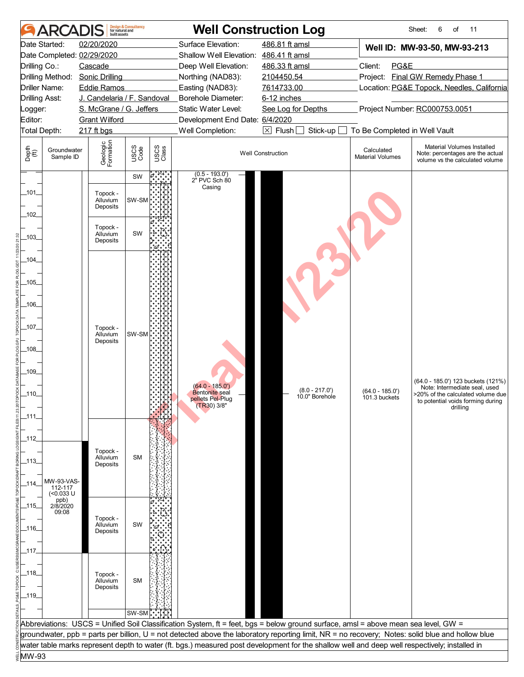|               | ARCAI                    | built assets                | <b>Design &amp; Consultancy</b><br>for natural and |               |                                        | <b>Well Construction Log</b>                                                                                                                     |                                       | Sheet:<br>6<br>of<br>11                                                                           |
|---------------|--------------------------|-----------------------------|----------------------------------------------------|---------------|----------------------------------------|--------------------------------------------------------------------------------------------------------------------------------------------------|---------------------------------------|---------------------------------------------------------------------------------------------------|
|               | Date Started:            | 02/20/2020                  |                                                    |               | Surface Elevation:                     | 486.81 ft amsl                                                                                                                                   |                                       | Well ID: MW-93-50, MW-93-213                                                                      |
|               |                          | Date Completed: 02/29/2020  |                                                    |               | Shallow Well Elevation: 486.41 ft amsl |                                                                                                                                                  |                                       |                                                                                                   |
| Drilling Co.: |                          | Cascade                     |                                                    |               | Deep Well Elevation:                   | 486.33 ft amsl                                                                                                                                   | Client:<br>PG&E                       |                                                                                                   |
|               | Drilling Method:         | <b>Sonic Drilling</b>       |                                                    |               | Northing (NAD83):                      | 2104450.54                                                                                                                                       |                                       | Project: Final GW Remedy Phase 1                                                                  |
|               | Driller Name:            | <b>Eddie Ramos</b>          |                                                    |               | Easting (NAD83):                       | 7614733.00                                                                                                                                       |                                       | Location: PG&E Topock, Needles, California                                                        |
|               | <b>Drilling Asst:</b>    | J. Candelaria / F. Sandoval |                                                    |               | Borehole Diameter:                     | 6-12 inches                                                                                                                                      |                                       |                                                                                                   |
| Logger:       |                          | S. McGrane / G. Jeffers     |                                                    |               | Static Water Level:                    | See Log for Depths                                                                                                                               |                                       | Project Number: RC000753.0051                                                                     |
| Editor:       |                          | <b>Grant Wilford</b>        |                                                    |               | Development End Date: 6/4/2020         |                                                                                                                                                  |                                       |                                                                                                   |
|               | Total Depth:             | 217 ft bgs                  |                                                    |               | Well Completion:                       | $\boxtimes$ Flush<br>Stick-up                                                                                                                    | To Be Completed in Well Vault         |                                                                                                   |
| Depth<br>(ff) | Groundwater<br>Sample ID | Geologic<br>Formation       | USCS<br>Code                                       | USCS<br>Class |                                        | <b>Well Construction</b>                                                                                                                         | Calculated<br><b>Material Volumes</b> | Material Volumes Installed<br>Note: percentages are the actual<br>volume vs the calculated volume |
|               |                          |                             | SW                                                 |               | $(0.5 - 193.0')$<br>2" PVC Sch 80      |                                                                                                                                                  |                                       |                                                                                                   |
| _101_         |                          |                             |                                                    |               | Casing                                 |                                                                                                                                                  |                                       |                                                                                                   |
|               |                          | Topock -<br>Alluvium        | SW-SM                                              |               |                                        |                                                                                                                                                  |                                       |                                                                                                   |
|               |                          | Deposits                    |                                                    |               |                                        |                                                                                                                                                  |                                       |                                                                                                   |
| 102           |                          |                             |                                                    |               |                                        |                                                                                                                                                  |                                       |                                                                                                   |
|               |                          | Topock -<br>Alluvium        | SW                                                 |               |                                        |                                                                                                                                                  |                                       |                                                                                                   |
| 103           |                          | Deposits                    |                                                    |               |                                        |                                                                                                                                                  |                                       |                                                                                                   |
|               |                          |                             |                                                    |               |                                        |                                                                                                                                                  |                                       |                                                                                                   |
| $-104$        |                          |                             |                                                    |               |                                        |                                                                                                                                                  |                                       |                                                                                                   |
|               |                          |                             |                                                    |               |                                        |                                                                                                                                                  |                                       |                                                                                                   |
| _105_         |                          |                             |                                                    |               |                                        |                                                                                                                                                  |                                       |                                                                                                   |
|               |                          |                             |                                                    |               |                                        |                                                                                                                                                  |                                       |                                                                                                   |
| _106_         |                          |                             |                                                    |               |                                        |                                                                                                                                                  |                                       |                                                                                                   |
|               |                          |                             |                                                    |               |                                        |                                                                                                                                                  |                                       |                                                                                                   |
| _107_         |                          | Topock -                    |                                                    |               |                                        |                                                                                                                                                  |                                       |                                                                                                   |
|               |                          | Alluvium<br>Deposits        | SW-SM                                              |               |                                        |                                                                                                                                                  |                                       |                                                                                                   |
| $-108$        |                          |                             |                                                    |               |                                        |                                                                                                                                                  |                                       |                                                                                                   |
|               |                          |                             |                                                    |               |                                        |                                                                                                                                                  |                                       |                                                                                                   |
| $-109$        |                          |                             |                                                    |               |                                        |                                                                                                                                                  |                                       |                                                                                                   |
|               |                          |                             |                                                    |               | $(64.0 - 185.0')$                      |                                                                                                                                                  |                                       | (64.0 - 185.0') 123 buckets (121%)                                                                |
| _110_         |                          |                             |                                                    |               | <b>Bentonite</b> seal                  | $(8.0 - 217.0')$<br>10.0" Borehole                                                                                                               | $(64.0 - 185.0')$<br>101.3 buckets    | Note: Intermediate seal, used<br>>20% of the calculated volume due                                |
|               |                          |                             |                                                    |               | pellets Pel-Plug<br>$(TR30)$ 3/8"      |                                                                                                                                                  |                                       | to potential voids forming during<br>drilling                                                     |
| _111_         |                          |                             |                                                    |               |                                        |                                                                                                                                                  |                                       |                                                                                                   |
|               |                          |                             |                                                    |               |                                        |                                                                                                                                                  |                                       |                                                                                                   |
| _112_         |                          |                             |                                                    |               |                                        |                                                                                                                                                  |                                       |                                                                                                   |
|               |                          | Topock -                    |                                                    |               |                                        |                                                                                                                                                  |                                       |                                                                                                   |
| _113_         |                          | Alluvium                    | <b>SM</b>                                          |               |                                        |                                                                                                                                                  |                                       |                                                                                                   |
|               |                          | Deposits                    |                                                    |               |                                        |                                                                                                                                                  |                                       |                                                                                                   |
|               | MW-93-VAS-               |                             |                                                    |               |                                        |                                                                                                                                                  |                                       |                                                                                                   |
| _114_         | 112-117<br>$($ <0.033 U  |                             |                                                    |               |                                        |                                                                                                                                                  |                                       |                                                                                                   |
|               | ppb)<br>2/8/2020         |                             |                                                    |               |                                        |                                                                                                                                                  |                                       |                                                                                                   |
| _115_         | 09:08                    |                             |                                                    |               |                                        |                                                                                                                                                  |                                       |                                                                                                   |
|               |                          | Topock -<br>Alluvium        | SW                                                 |               |                                        |                                                                                                                                                  |                                       |                                                                                                   |
| _116_         |                          | Deposits                    |                                                    |               |                                        |                                                                                                                                                  |                                       |                                                                                                   |
|               |                          |                             |                                                    |               |                                        |                                                                                                                                                  |                                       |                                                                                                   |
| $-117$        |                          |                             |                                                    |               |                                        |                                                                                                                                                  |                                       |                                                                                                   |
|               |                          |                             |                                                    |               |                                        |                                                                                                                                                  |                                       |                                                                                                   |
| _118_         |                          | Topock -<br>Alluvium        |                                                    |               |                                        |                                                                                                                                                  |                                       |                                                                                                   |
|               |                          | Deposits                    | <b>SM</b>                                          |               |                                        |                                                                                                                                                  |                                       |                                                                                                   |
| _119_         |                          |                             |                                                    |               |                                        |                                                                                                                                                  |                                       |                                                                                                   |
|               |                          |                             |                                                    |               |                                        |                                                                                                                                                  |                                       |                                                                                                   |
|               |                          |                             | SW-SM                                              |               |                                        |                                                                                                                                                  |                                       |                                                                                                   |
|               |                          |                             |                                                    |               |                                        | Abbreviations: USCS = Unified Soil Classification System, ft = feet, bgs = below ground surface, amsl = above mean sea level, GW =               |                                       |                                                                                                   |
|               |                          |                             |                                                    |               |                                        | groundwater, ppb = parts per billion, U = not detected above the laboratory reporting limit, NR = no recovery; Notes: solid blue and hollow blue |                                       |                                                                                                   |
|               |                          |                             |                                                    |               |                                        | water table marks represent depth to water (ft. bgs.) measured post development for the shallow well and deep well respectively; installed in    |                                       |                                                                                                   |
| MW-93         |                          |                             |                                                    |               |                                        |                                                                                                                                                  |                                       |                                                                                                   |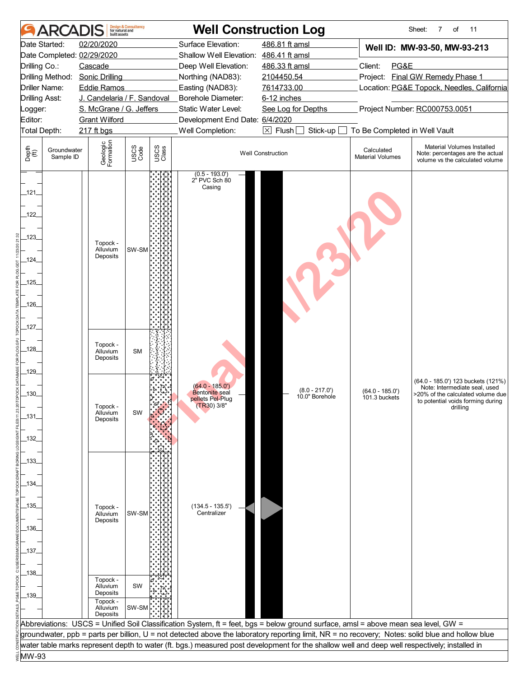|                                |                          | built assets                             | <b>Design &amp; Consultancy</b><br>for natural and |               |                                                              | <b>Well Construction Log</b>                                                                                                                  |                                       | Sheet:<br>7<br>of<br>11                                                                                                                          |
|--------------------------------|--------------------------|------------------------------------------|----------------------------------------------------|---------------|--------------------------------------------------------------|-----------------------------------------------------------------------------------------------------------------------------------------------|---------------------------------------|--------------------------------------------------------------------------------------------------------------------------------------------------|
|                                | Date Started:            | 02/20/2020<br>Date Completed: 02/29/2020 |                                                    |               | Surface Elevation:<br>Shallow Well Elevation: 486.41 ft amsl | 486.81 ft amsl                                                                                                                                |                                       | Well ID: MW-93-50, MW-93-213                                                                                                                     |
| Drilling Co.:                  |                          | Cascade                                  |                                                    |               | Deep Well Elevation:                                         | 486.33 ft amsl                                                                                                                                | Client:<br>PG&E                       |                                                                                                                                                  |
|                                |                          | Drilling Method: Sonic Drilling          |                                                    |               | Northing (NAD83):                                            | 2104450.54                                                                                                                                    |                                       | Project: Final GW Remedy Phase 1                                                                                                                 |
|                                | Driller Name:            | <b>Eddie Ramos</b>                       |                                                    |               | Easting (NAD83):                                             | 7614733.00                                                                                                                                    |                                       | Location: PG&E Topock, Needles, California                                                                                                       |
| <b>Drilling Asst:</b>          |                          | J. Candelaria / F. Sandoval              |                                                    |               | Borehole Diameter:                                           | 6-12 inches                                                                                                                                   |                                       |                                                                                                                                                  |
| Logger:                        |                          | S. McGrane / G. Jeffers                  |                                                    |               | Static Water Level:                                          | See Log for Depths                                                                                                                            |                                       | Project Number: RC000753.0051                                                                                                                    |
| Editor:                        |                          | <b>Grant Wilford</b>                     |                                                    |               | Development End Date: 6/4/2020<br>Well Completion:           | $\boxtimes$ Flush $\Box$<br>Stick-up                                                                                                          | To Be Completed in Well Vault         |                                                                                                                                                  |
| Total Depth:                   |                          | 217 ft bgs                               |                                                    |               |                                                              |                                                                                                                                               |                                       |                                                                                                                                                  |
| Depth<br>$\bigoplus_{i=1}^{n}$ | Groundwater<br>Sample ID | Geologic<br>Formation                    | USCS<br>Code                                       | USCS<br>Class |                                                              | <b>Well Construction</b>                                                                                                                      | Calculated<br><b>Material Volumes</b> | Material Volumes Installed<br>Note: percentages are the actual<br>volume vs the calculated volume                                                |
| $-121$<br>122                  |                          |                                          |                                                    |               | $(0.5 - 193.0')$<br>2" PVC Sch 80<br>Casing                  |                                                                                                                                               |                                       |                                                                                                                                                  |
| 123                            |                          | Topock -                                 |                                                    |               |                                                              |                                                                                                                                               |                                       |                                                                                                                                                  |
|                                |                          | Alluvium<br>Deposits                     | SW-SM                                              |               |                                                              |                                                                                                                                               |                                       |                                                                                                                                                  |
| $-124$                         |                          |                                          |                                                    |               |                                                              |                                                                                                                                               |                                       |                                                                                                                                                  |
| $-125$                         |                          |                                          |                                                    |               |                                                              |                                                                                                                                               |                                       |                                                                                                                                                  |
|                                |                          |                                          |                                                    |               |                                                              |                                                                                                                                               |                                       |                                                                                                                                                  |
| $-126$                         |                          |                                          |                                                    |               |                                                              |                                                                                                                                               |                                       |                                                                                                                                                  |
|                                |                          |                                          |                                                    |               |                                                              |                                                                                                                                               |                                       |                                                                                                                                                  |
| _127_                          |                          |                                          |                                                    |               |                                                              |                                                                                                                                               |                                       |                                                                                                                                                  |
| $-128$                         |                          | Topock -<br>Alluvium<br>Deposits         | <b>SM</b>                                          |               |                                                              |                                                                                                                                               |                                       |                                                                                                                                                  |
| $-129$                         |                          |                                          |                                                    |               |                                                              |                                                                                                                                               |                                       |                                                                                                                                                  |
|                                |                          |                                          |                                                    |               | $(64.0 - 185.0')$                                            |                                                                                                                                               |                                       | (64.0 - 185.0') 123 buckets (121%)                                                                                                               |
| 130.                           |                          |                                          |                                                    |               | <b>Bentonite</b> seal<br>pellets Pel-Plug                    | $(8.0 - 217.0')$<br>10.0" Borehole                                                                                                            | $(64.0 - 185.0')$<br>101.3 buckets    | Note: Intermediate seal, used<br>>20% of the calculated volume due                                                                               |
|                                |                          | Topock -                                 |                                                    |               | (TR30) 3/8"                                                  |                                                                                                                                               |                                       | to potential voids forming during<br>drilling                                                                                                    |
| _131_                          |                          | Alluvium<br>Deposits                     | SW                                                 |               |                                                              |                                                                                                                                               |                                       |                                                                                                                                                  |
|                                |                          |                                          |                                                    |               |                                                              |                                                                                                                                               |                                       |                                                                                                                                                  |
| _132_                          |                          |                                          |                                                    |               |                                                              |                                                                                                                                               |                                       |                                                                                                                                                  |
|                                |                          |                                          |                                                    |               |                                                              |                                                                                                                                               |                                       |                                                                                                                                                  |
| _133_                          |                          |                                          |                                                    |               |                                                              |                                                                                                                                               |                                       |                                                                                                                                                  |
|                                |                          |                                          |                                                    |               |                                                              |                                                                                                                                               |                                       |                                                                                                                                                  |
| _134_                          |                          |                                          |                                                    |               |                                                              |                                                                                                                                               |                                       |                                                                                                                                                  |
| _135_                          |                          | Topock -                                 |                                                    |               | $(134.5 - 135.5')$                                           |                                                                                                                                               |                                       |                                                                                                                                                  |
|                                |                          | Alluvium                                 | SW-SM                                              |               | Centralizer                                                  |                                                                                                                                               |                                       |                                                                                                                                                  |
| _136_                          |                          | Deposits                                 |                                                    |               |                                                              |                                                                                                                                               |                                       |                                                                                                                                                  |
|                                |                          |                                          |                                                    |               |                                                              |                                                                                                                                               |                                       |                                                                                                                                                  |
| _137_                          |                          |                                          |                                                    |               |                                                              |                                                                                                                                               |                                       |                                                                                                                                                  |
|                                |                          |                                          |                                                    |               |                                                              |                                                                                                                                               |                                       |                                                                                                                                                  |
| _138_                          |                          |                                          |                                                    |               |                                                              |                                                                                                                                               |                                       |                                                                                                                                                  |
|                                |                          | Topock -<br>Alluvium                     | SW                                                 |               |                                                              |                                                                                                                                               |                                       |                                                                                                                                                  |
| $-139$                         |                          | Deposits<br>Topock -                     |                                                    |               |                                                              |                                                                                                                                               |                                       |                                                                                                                                                  |
|                                |                          | Alluvium                                 | SW-SM                                              |               |                                                              |                                                                                                                                               |                                       |                                                                                                                                                  |
|                                |                          | Deposits                                 |                                                    |               |                                                              | Abbreviations: USCS = Unified Soil Classification System, ft = feet, bgs = below ground surface, amsl = above mean sea level, GW =            |                                       |                                                                                                                                                  |
|                                |                          |                                          |                                                    |               |                                                              |                                                                                                                                               |                                       | groundwater, ppb = parts per billion, U = not detected above the laboratory reporting limit, NR = no recovery; Notes: solid blue and hollow blue |
|                                |                          |                                          |                                                    |               |                                                              | water table marks represent depth to water (ft. bgs.) measured post development for the shallow well and deep well respectively; installed in |                                       |                                                                                                                                                  |
| MW-93                          |                          |                                          |                                                    |               |                                                              |                                                                                                                                               |                                       |                                                                                                                                                  |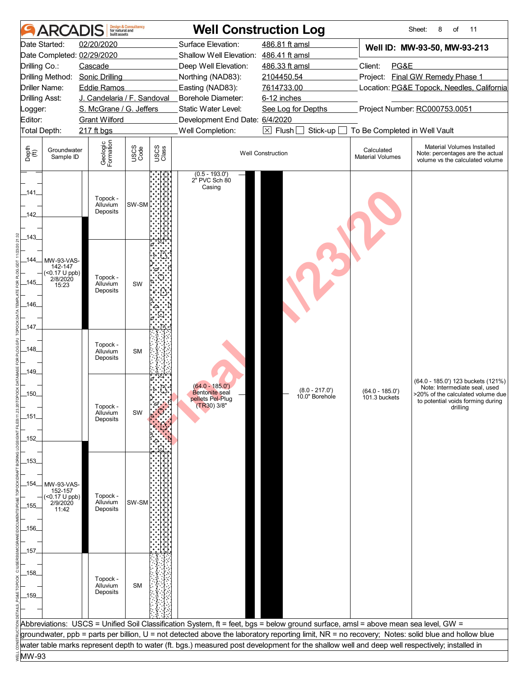| <b>ARCA</b>                                                                                                                                          | built assets                                                                                          | <b>Design &amp; Consultancy</b><br>for natural and |                                                                                                                                                                            | <b>Well Construction Log</b>                                                                                                                                                                                                                                                           |                                                                                                                                                                    | Sheet:<br>8<br>of<br>11                                                                                                                                   |  |
|------------------------------------------------------------------------------------------------------------------------------------------------------|-------------------------------------------------------------------------------------------------------|----------------------------------------------------|----------------------------------------------------------------------------------------------------------------------------------------------------------------------------|----------------------------------------------------------------------------------------------------------------------------------------------------------------------------------------------------------------------------------------------------------------------------------------|--------------------------------------------------------------------------------------------------------------------------------------------------------------------|-----------------------------------------------------------------------------------------------------------------------------------------------------------|--|
| Date Started:<br>Date Completed: 02/29/2020<br>Drilling Co.:<br>Drilling Method: Sonic Drilling<br>Driller Name:<br><b>Drilling Asst:</b><br>Logger: | 02/20/2020<br>Cascade<br><b>Eddie Ramos</b><br>J. Candelaria / F. Sandoval<br>S. McGrane / G. Jeffers |                                                    | Surface Elevation:<br>Shallow Well Elevation: 486.41 ft amsl<br>Deep Well Elevation:<br>Northing (NAD83):<br>Easting (NAD83):<br>Borehole Diameter:<br>Static Water Level: | 486.81 ft amsl<br>486.33 ft amsl<br>2104450.54<br>7614733.00<br>6-12 inches<br>See Log for Depths                                                                                                                                                                                      | Well ID: MW-93-50, MW-93-213<br>Client:<br>PG&E<br>Project: Final GW Remedy Phase 1<br>Location: PG&E Topock, Needles, California<br>Project Number: RC000753.0051 |                                                                                                                                                           |  |
| Editor:                                                                                                                                              | <b>Grant Wilford</b>                                                                                  |                                                    | Development End Date: 6/4/2020                                                                                                                                             |                                                                                                                                                                                                                                                                                        |                                                                                                                                                                    |                                                                                                                                                           |  |
| Total Depth:<br>Depth<br>$\bigoplus_{i=1}^{n}$<br>Groundwater<br>Sample ID                                                                           | 217 ft bgs<br>Geologic<br>Formation                                                                   | USCS<br>Code<br>USCS<br>Class                      | Well Completion:                                                                                                                                                           | $\boxed{\times}$ Flush<br>Stick-up<br><b>Well Construction</b>                                                                                                                                                                                                                         | To Be Completed in Well Vault<br>Calculated<br><b>Material Volumes</b>                                                                                             | Material Volumes Installed<br>Note: percentages are the actual<br>volume vs the calculated volume                                                         |  |
| $-141$<br>142                                                                                                                                        | Topock -<br>Alluvium<br>Deposits                                                                      | SW-SM                                              | $(0.5 - 193.0')$<br>2" PVC Sch 80<br>Casing                                                                                                                                |                                                                                                                                                                                                                                                                                        |                                                                                                                                                                    |                                                                                                                                                           |  |
| 143<br>_144_<br>MW-93-VAS-<br>142-147<br>$(50.17 \cup ppb)$<br>2/8/2020<br>_145_<br>15:23<br>_146_<br>_147_                                          | Topock -<br>Alluvium<br>Deposits                                                                      | SW                                                 |                                                                                                                                                                            |                                                                                                                                                                                                                                                                                        |                                                                                                                                                                    |                                                                                                                                                           |  |
| $-148$<br>$-149$                                                                                                                                     | Topock -<br>Alluvium<br>Deposits                                                                      | <b>SM</b>                                          |                                                                                                                                                                            |                                                                                                                                                                                                                                                                                        |                                                                                                                                                                    |                                                                                                                                                           |  |
| .150.<br>_151_<br>$-152$                                                                                                                             | Topock -<br>Alluvium<br>Deposits                                                                      | SW                                                 | $(64.0 - 185.0')$<br><b>Bentonite</b> seal<br>pellets Pel-Plug<br>$(TR30)$ 3/8"                                                                                            | $(8.0 - 217.0')$<br>10.0" Borehole                                                                                                                                                                                                                                                     | $(64.0 - 185.0')$<br>101.3 buckets                                                                                                                                 | (64.0 - 185.0') 123 buckets (121%)<br>Note: Intermediate seal, used<br>>20% of the calculated volume due<br>to potential voids forming during<br>drilling |  |
| _153_<br>_154_<br>MW-93-VAS-<br>152-157<br>$(0.17 \cup ppb)$<br>2/9/2020<br>_155_<br>11:42<br>_156_                                                  | Topock -<br>Alluvium<br>Deposits                                                                      | SW-SM                                              |                                                                                                                                                                            |                                                                                                                                                                                                                                                                                        |                                                                                                                                                                    |                                                                                                                                                           |  |
| _157_<br>_158_<br>$-159$                                                                                                                             | Topock -<br>Alluvium<br>Deposits                                                                      | <b>SM</b>                                          |                                                                                                                                                                            |                                                                                                                                                                                                                                                                                        |                                                                                                                                                                    |                                                                                                                                                           |  |
|                                                                                                                                                      |                                                                                                       |                                                    |                                                                                                                                                                            | Abbreviations: USCS = Unified Soil Classification System, ft = feet, bgs = below ground surface, amsl = above mean sea level, GW =<br>groundwater, ppb = parts per billion, U = not detected above the laboratory reporting limit, NR = no recovery; Notes: solid blue and hollow blue |                                                                                                                                                                    |                                                                                                                                                           |  |
| MW-93                                                                                                                                                |                                                                                                       |                                                    |                                                                                                                                                                            | water table marks represent depth to water (ft. bgs.) measured post development for the shallow well and deep well respectively; installed in                                                                                                                                          |                                                                                                                                                                    |                                                                                                                                                           |  |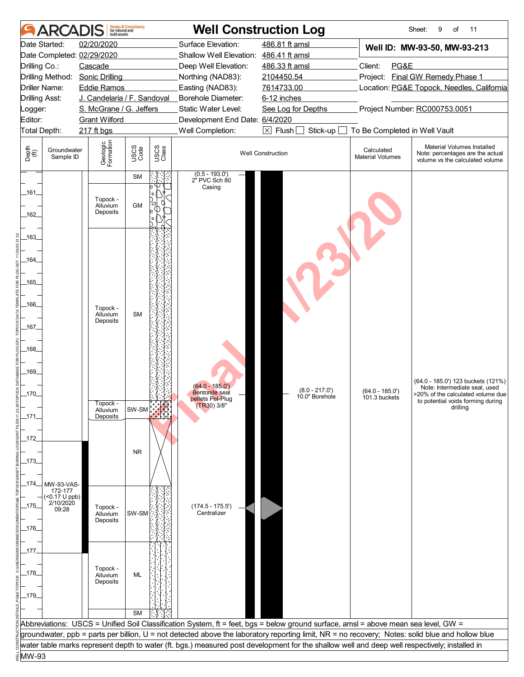|               | ARCAD                    | built assets                     | <b>Design &amp; Consultancy</b><br>for natural and |               |                                                                                                                                                  | <b>Well Construction Log</b>       |                                       | Sheet:<br>9<br>of<br>11                                                                           |  |
|---------------|--------------------------|----------------------------------|----------------------------------------------------|---------------|--------------------------------------------------------------------------------------------------------------------------------------------------|------------------------------------|---------------------------------------|---------------------------------------------------------------------------------------------------|--|
|               | Date Started:            | 02/20/2020                       |                                                    |               | Surface Elevation:                                                                                                                               | 486.81 ft amsl                     |                                       | Well ID: MW-93-50, MW-93-213                                                                      |  |
|               |                          | Date Completed: 02/29/2020       |                                                    |               | Shallow Well Elevation: 486.41 ft amsl                                                                                                           |                                    |                                       |                                                                                                   |  |
| Drilling Co.: |                          | Cascade                          |                                                    |               | Deep Well Elevation:                                                                                                                             | 486.33 ft amsl                     | Client:<br>PG&E                       |                                                                                                   |  |
|               | Drilling Method:         | <b>Sonic Drilling</b>            |                                                    |               | Northing (NAD83):                                                                                                                                | 2104450.54                         |                                       | Project: Final GW Remedy Phase 1                                                                  |  |
|               | Driller Name:            | <b>Eddie Ramos</b>               |                                                    |               | Easting (NAD83):                                                                                                                                 | 7614733.00                         |                                       | Location: PG&E Topock, Needles, California                                                        |  |
|               | <b>Drilling Asst:</b>    | J. Candelaria / F. Sandoval      |                                                    |               | Borehole Diameter:                                                                                                                               | 6-12 inches                        |                                       |                                                                                                   |  |
| Logger:       |                          | S. McGrane / G. Jeffers          |                                                    |               | Static Water Level:                                                                                                                              | See Log for Depths                 |                                       | Project Number: RC000753.0051                                                                     |  |
| Editor:       |                          | <b>Grant Wilford</b>             |                                                    |               | Development End Date: 6/4/2020                                                                                                                   |                                    |                                       |                                                                                                   |  |
|               | Total Depth:             | 217 ft bgs                       |                                                    |               | Well Completion:                                                                                                                                 | $\boxtimes$ Flush<br>Stick-up      | To Be Completed in Well Vault         |                                                                                                   |  |
| Depth<br>(ff) | Groundwater<br>Sample ID | Geologic<br>Formation            | USCS<br>Code                                       | USCS<br>Class |                                                                                                                                                  | <b>Well Construction</b>           | Calculated<br><b>Material Volumes</b> | Material Volumes Installed<br>Note: percentages are the actual<br>volume vs the calculated volume |  |
|               |                          |                                  | SM                                                 |               | $(0.5 - 193.0')$<br>2" PVC Sch 80                                                                                                                |                                    |                                       |                                                                                                   |  |
| _161_         |                          |                                  |                                                    |               | Casing                                                                                                                                           |                                    |                                       |                                                                                                   |  |
| 162           |                          | Topock -<br>Alluvium<br>Deposits | <b>GM</b>                                          |               |                                                                                                                                                  |                                    |                                       |                                                                                                   |  |
| 163           |                          |                                  |                                                    |               |                                                                                                                                                  |                                    |                                       |                                                                                                   |  |
|               |                          |                                  |                                                    |               |                                                                                                                                                  |                                    |                                       |                                                                                                   |  |
| $-164$        |                          |                                  |                                                    |               |                                                                                                                                                  |                                    |                                       |                                                                                                   |  |
|               |                          |                                  |                                                    |               |                                                                                                                                                  |                                    |                                       |                                                                                                   |  |
| _165_         |                          |                                  |                                                    |               |                                                                                                                                                  |                                    |                                       |                                                                                                   |  |
|               |                          |                                  |                                                    |               |                                                                                                                                                  |                                    |                                       |                                                                                                   |  |
| _166_         |                          | Topock -                         |                                                    |               |                                                                                                                                                  |                                    |                                       |                                                                                                   |  |
|               |                          | Alluvium<br>Deposits             | <b>SM</b>                                          |               |                                                                                                                                                  |                                    |                                       |                                                                                                   |  |
| _167_         |                          |                                  |                                                    |               |                                                                                                                                                  |                                    |                                       |                                                                                                   |  |
|               |                          |                                  |                                                    |               |                                                                                                                                                  |                                    |                                       |                                                                                                   |  |
| $-168$        |                          |                                  |                                                    |               |                                                                                                                                                  |                                    |                                       |                                                                                                   |  |
|               |                          |                                  |                                                    |               |                                                                                                                                                  |                                    |                                       |                                                                                                   |  |
| _169_         |                          |                                  |                                                    |               |                                                                                                                                                  |                                    |                                       |                                                                                                   |  |
|               |                          |                                  |                                                    |               | $(64.0 - 185.0')$                                                                                                                                |                                    |                                       | (64.0 - 185.0') 123 buckets (121%)<br>Note: Intermediate seal, used                               |  |
| _170_         |                          |                                  |                                                    |               | <b>Bentonite</b> seal<br>pellets Pel-Plug                                                                                                        | $(8.0 - 217.0')$<br>10.0" Borehole | $(64.0 - 185.0')$<br>101.3 buckets    | >20% of the calculated volume due<br>to potential voids forming during                            |  |
|               |                          | Topock -<br>Alluvium             | $SW-SM$                                            |               | $(TR30)$ 3/8"                                                                                                                                    |                                    |                                       | drilling                                                                                          |  |
| $-171$        |                          | Deposits                         |                                                    |               |                                                                                                                                                  |                                    |                                       |                                                                                                   |  |
|               |                          |                                  |                                                    |               |                                                                                                                                                  |                                    |                                       |                                                                                                   |  |
| _172          |                          |                                  |                                                    |               |                                                                                                                                                  |                                    |                                       |                                                                                                   |  |
|               |                          |                                  | <b>NR</b>                                          |               |                                                                                                                                                  |                                    |                                       |                                                                                                   |  |
| _173_         |                          |                                  |                                                    |               |                                                                                                                                                  |                                    |                                       |                                                                                                   |  |
|               |                          |                                  |                                                    |               |                                                                                                                                                  |                                    |                                       |                                                                                                   |  |
| _174_         | MW-93-VAS-<br>172-177    |                                  |                                                    |               |                                                                                                                                                  |                                    |                                       |                                                                                                   |  |
|               | $($ < 0.17 U ppb)        |                                  |                                                    |               |                                                                                                                                                  |                                    |                                       |                                                                                                   |  |
| _175_         | 2/10/2020<br>09:28       | Topock -<br>Alluvium             | SW-SM                                              |               | $(174.5 - 175.5')$<br>Centralizer                                                                                                                |                                    |                                       |                                                                                                   |  |
|               |                          | Deposits                         |                                                    |               |                                                                                                                                                  |                                    |                                       |                                                                                                   |  |
| _176_         |                          |                                  |                                                    |               |                                                                                                                                                  |                                    |                                       |                                                                                                   |  |
|               |                          |                                  |                                                    |               |                                                                                                                                                  |                                    |                                       |                                                                                                   |  |
| $-177$        |                          |                                  |                                                    |               |                                                                                                                                                  |                                    |                                       |                                                                                                   |  |
|               |                          | Topock -                         |                                                    |               |                                                                                                                                                  |                                    |                                       |                                                                                                   |  |
| _178_         |                          | Alluvium<br>Deposits             | ML                                                 |               |                                                                                                                                                  |                                    |                                       |                                                                                                   |  |
|               |                          |                                  |                                                    |               |                                                                                                                                                  |                                    |                                       |                                                                                                   |  |
| _179_         |                          |                                  |                                                    |               |                                                                                                                                                  |                                    |                                       |                                                                                                   |  |
|               |                          |                                  | <b>SM</b>                                          |               |                                                                                                                                                  |                                    |                                       |                                                                                                   |  |
|               |                          |                                  |                                                    |               | Abbreviations: USCS = Unified Soil Classification System, ft = feet, bgs = below ground surface, amsl = above mean sea level, GW =               |                                    |                                       |                                                                                                   |  |
|               |                          |                                  |                                                    |               | groundwater, ppb = parts per billion, U = not detected above the laboratory reporting limit, NR = no recovery; Notes: solid blue and hollow blue |                                    |                                       |                                                                                                   |  |
|               |                          |                                  |                                                    |               | water table marks represent depth to water (ft. bgs.) measured post development for the shallow well and deep well respectively; installed in    |                                    |                                       |                                                                                                   |  |
| MW-93         |                          |                                  |                                                    |               |                                                                                                                                                  |                                    |                                       |                                                                                                   |  |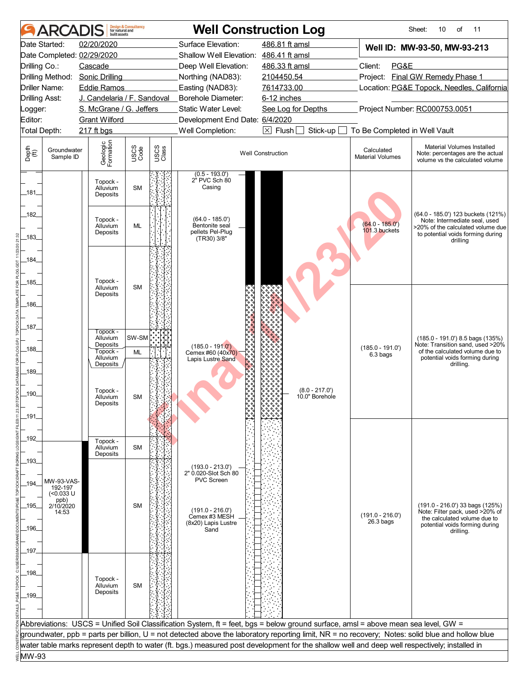| 02/20/2020<br>Surface Elevation:<br>486.81 ft amsl<br>Date Started:<br>Well ID: MW-93-50, MW-93-213<br>Shallow Well Elevation: 486.41 ft amsl<br>Date Completed: 02/29/2020<br>PG&E<br>Drilling Co.:<br>Cascade<br>Deep Well Elevation:<br>486.33 ft amsl<br>Client:<br><b>Final GW Remedy Phase 1</b><br>Drilling Method:<br><b>Sonic Drilling</b><br>Northing (NAD83):<br>2104450.54<br>Project:<br>Easting (NAD83):<br>7614733.00<br>Location: PG&E Topock, Needles, California<br>Driller Name:<br><b>Eddie Ramos</b><br>J. Candelaria / F. Sandoval<br>Borehole Diameter:<br><b>Drilling Asst:</b><br>6-12 inches<br>Project Number: RC000753.0051<br>S. McGrane / G. Jeffers<br>Static Water Level:<br>See Log for Depths<br><b>Grant Wilford</b><br>Development End Date: 6/4/2020<br>Well Completion:<br>$\boxtimes$ Flush<br>Stick-up<br>To Be Completed in Well Vault<br><b>Total Depth:</b><br>217 ft bgs<br>Geologic<br>Formation<br>Material Volumes Installed<br>USCS<br>Code<br>USCS<br>Class<br>Groundwater<br>Calculated<br><b>Well Construction</b><br>Note: percentages are the actual<br>Sample ID<br><b>Material Volumes</b><br>volume vs the calculated volume<br>$(0.5 - 193.0)$<br>2 <sup>"</sup> PVC Sch 80<br>Topock -<br>Casing<br>Alluvium<br><b>SM</b><br>Deposits<br>(64.0 - 185.0') 123 buckets (121%)<br>$(64.0 - 185.0')$<br>Topock -<br>Note: Intermediate seal, used<br>$(64.0 - 185.0')$<br><b>ML</b><br>Bentonite seal<br>Alluvium<br>>20% of the calculated volume due<br>$101.3$ buckets<br>pellets Pel-Plug<br>Deposits<br>to potential voids forming during<br>(TR30) 3/8"<br>drilling<br>Topock -<br><b>SM</b><br>Alluvium<br>Deposits<br>Topock -<br>SW-SM<br>Alluvium<br>$(185.0 - 191.0)$ 8.5 bags $(135%)$<br>Note: Transition sand, used >20%<br>Deposits<br>$(185.0 - 191.0')$<br>$(185.0 - 191.0')$<br>Topock -<br>of the calculated volume due to<br><b>ML</b><br>Cemex #60 (40x70)<br>6.3 bags<br>Alluvium<br>potential voids forming during<br>Lapis Lustre Sand<br>Deposits<br>drilling.<br>Topock -<br>$(8.0 - 217.0')$<br>10.0" Borehole<br><b>SM</b><br>Alluvium<br>Deposits<br>Topock -<br>Alluvium<br><b>SM</b><br>Deposits<br>$(193.0 - 213.0')$<br>2" 0.020-Slot Sch 80<br><b>PVC Screen</b><br>MW-93-VAS-<br>192-197<br>$(0.033 \text{ U}$<br>ppb)<br><b>SM</b><br>$(191.0 - 216.0)$ 33 bags $(125%)$<br>2/10/2020<br>$(191.0 - 216.0')$<br>Note: Filter pack, used >20% of<br>14:53<br>$(191.0 - 216.0')$<br>Cemex #3 MESH<br>the calculated volume due to<br>$26.3$ bags<br>(8x20) Lapis Lustre<br>potential voids forming during<br>Sand<br>drilling.<br>Topock -<br><b>SM</b><br>Alluvium<br>Deposits<br>Abbreviations: USCS = Unified Soil Classification System, ft = feet, bgs = below ground surface, amsl = above mean sea level, GW =<br>groundwater, ppb = parts per billion, U = not detected above the laboratory reporting limit, NR = no recovery; Notes: solid blue and hollow blue<br>water table marks represent depth to water (ft. bgs.) measured post development for the shallow well and deep well respectively; installed in |                                | <b>ARCADIS</b> | built assets | <b>Design &amp; Consultancy</b><br>for natural and |  | <b>Well Construction Log</b> | Sheet:<br>10<br>οf<br>11 |
|-------------------------------------------------------------------------------------------------------------------------------------------------------------------------------------------------------------------------------------------------------------------------------------------------------------------------------------------------------------------------------------------------------------------------------------------------------------------------------------------------------------------------------------------------------------------------------------------------------------------------------------------------------------------------------------------------------------------------------------------------------------------------------------------------------------------------------------------------------------------------------------------------------------------------------------------------------------------------------------------------------------------------------------------------------------------------------------------------------------------------------------------------------------------------------------------------------------------------------------------------------------------------------------------------------------------------------------------------------------------------------------------------------------------------------------------------------------------------------------------------------------------------------------------------------------------------------------------------------------------------------------------------------------------------------------------------------------------------------------------------------------------------------------------------------------------------------------------------------------------------------------------------------------------------------------------------------------------------------------------------------------------------------------------------------------------------------------------------------------------------------------------------------------------------------------------------------------------------------------------------------------------------------------------------------------------------------------------------------------------------------------------------------------------------------------------------------------------------------------------------------------------------------------------------------------------------------------------------------------------------------------------------------------------------------------------------------------------------------------------------------------------------------------------------------------------------------------------------------------------------------------------------------------------------------------------------------------------------------------------------------------------------------------------------------------------------------------------------------------------|--------------------------------|----------------|--------------|----------------------------------------------------|--|------------------------------|--------------------------|
|                                                                                                                                                                                                                                                                                                                                                                                                                                                                                                                                                                                                                                                                                                                                                                                                                                                                                                                                                                                                                                                                                                                                                                                                                                                                                                                                                                                                                                                                                                                                                                                                                                                                                                                                                                                                                                                                                                                                                                                                                                                                                                                                                                                                                                                                                                                                                                                                                                                                                                                                                                                                                                                                                                                                                                                                                                                                                                                                                                                                                                                                                                                   |                                |                |              |                                                    |  |                              |                          |
|                                                                                                                                                                                                                                                                                                                                                                                                                                                                                                                                                                                                                                                                                                                                                                                                                                                                                                                                                                                                                                                                                                                                                                                                                                                                                                                                                                                                                                                                                                                                                                                                                                                                                                                                                                                                                                                                                                                                                                                                                                                                                                                                                                                                                                                                                                                                                                                                                                                                                                                                                                                                                                                                                                                                                                                                                                                                                                                                                                                                                                                                                                                   |                                |                |              |                                                    |  |                              |                          |
|                                                                                                                                                                                                                                                                                                                                                                                                                                                                                                                                                                                                                                                                                                                                                                                                                                                                                                                                                                                                                                                                                                                                                                                                                                                                                                                                                                                                                                                                                                                                                                                                                                                                                                                                                                                                                                                                                                                                                                                                                                                                                                                                                                                                                                                                                                                                                                                                                                                                                                                                                                                                                                                                                                                                                                                                                                                                                                                                                                                                                                                                                                                   |                                |                |              |                                                    |  |                              |                          |
|                                                                                                                                                                                                                                                                                                                                                                                                                                                                                                                                                                                                                                                                                                                                                                                                                                                                                                                                                                                                                                                                                                                                                                                                                                                                                                                                                                                                                                                                                                                                                                                                                                                                                                                                                                                                                                                                                                                                                                                                                                                                                                                                                                                                                                                                                                                                                                                                                                                                                                                                                                                                                                                                                                                                                                                                                                                                                                                                                                                                                                                                                                                   |                                |                |              |                                                    |  |                              |                          |
|                                                                                                                                                                                                                                                                                                                                                                                                                                                                                                                                                                                                                                                                                                                                                                                                                                                                                                                                                                                                                                                                                                                                                                                                                                                                                                                                                                                                                                                                                                                                                                                                                                                                                                                                                                                                                                                                                                                                                                                                                                                                                                                                                                                                                                                                                                                                                                                                                                                                                                                                                                                                                                                                                                                                                                                                                                                                                                                                                                                                                                                                                                                   |                                |                |              |                                                    |  |                              |                          |
|                                                                                                                                                                                                                                                                                                                                                                                                                                                                                                                                                                                                                                                                                                                                                                                                                                                                                                                                                                                                                                                                                                                                                                                                                                                                                                                                                                                                                                                                                                                                                                                                                                                                                                                                                                                                                                                                                                                                                                                                                                                                                                                                                                                                                                                                                                                                                                                                                                                                                                                                                                                                                                                                                                                                                                                                                                                                                                                                                                                                                                                                                                                   |                                |                |              |                                                    |  |                              |                          |
|                                                                                                                                                                                                                                                                                                                                                                                                                                                                                                                                                                                                                                                                                                                                                                                                                                                                                                                                                                                                                                                                                                                                                                                                                                                                                                                                                                                                                                                                                                                                                                                                                                                                                                                                                                                                                                                                                                                                                                                                                                                                                                                                                                                                                                                                                                                                                                                                                                                                                                                                                                                                                                                                                                                                                                                                                                                                                                                                                                                                                                                                                                                   | _ogger:                        |                |              |                                                    |  |                              |                          |
|                                                                                                                                                                                                                                                                                                                                                                                                                                                                                                                                                                                                                                                                                                                                                                                                                                                                                                                                                                                                                                                                                                                                                                                                                                                                                                                                                                                                                                                                                                                                                                                                                                                                                                                                                                                                                                                                                                                                                                                                                                                                                                                                                                                                                                                                                                                                                                                                                                                                                                                                                                                                                                                                                                                                                                                                                                                                                                                                                                                                                                                                                                                   | Editor:                        |                |              |                                                    |  |                              |                          |
|                                                                                                                                                                                                                                                                                                                                                                                                                                                                                                                                                                                                                                                                                                                                                                                                                                                                                                                                                                                                                                                                                                                                                                                                                                                                                                                                                                                                                                                                                                                                                                                                                                                                                                                                                                                                                                                                                                                                                                                                                                                                                                                                                                                                                                                                                                                                                                                                                                                                                                                                                                                                                                                                                                                                                                                                                                                                                                                                                                                                                                                                                                                   |                                |                |              |                                                    |  |                              |                          |
|                                                                                                                                                                                                                                                                                                                                                                                                                                                                                                                                                                                                                                                                                                                                                                                                                                                                                                                                                                                                                                                                                                                                                                                                                                                                                                                                                                                                                                                                                                                                                                                                                                                                                                                                                                                                                                                                                                                                                                                                                                                                                                                                                                                                                                                                                                                                                                                                                                                                                                                                                                                                                                                                                                                                                                                                                                                                                                                                                                                                                                                                                                                   | Depth<br>$\bigoplus_{i=1}^{n}$ |                |              |                                                    |  |                              |                          |
|                                                                                                                                                                                                                                                                                                                                                                                                                                                                                                                                                                                                                                                                                                                                                                                                                                                                                                                                                                                                                                                                                                                                                                                                                                                                                                                                                                                                                                                                                                                                                                                                                                                                                                                                                                                                                                                                                                                                                                                                                                                                                                                                                                                                                                                                                                                                                                                                                                                                                                                                                                                                                                                                                                                                                                                                                                                                                                                                                                                                                                                                                                                   | $-181$                         |                |              |                                                    |  |                              |                          |
|                                                                                                                                                                                                                                                                                                                                                                                                                                                                                                                                                                                                                                                                                                                                                                                                                                                                                                                                                                                                                                                                                                                                                                                                                                                                                                                                                                                                                                                                                                                                                                                                                                                                                                                                                                                                                                                                                                                                                                                                                                                                                                                                                                                                                                                                                                                                                                                                                                                                                                                                                                                                                                                                                                                                                                                                                                                                                                                                                                                                                                                                                                                   | 182<br>183                     |                |              |                                                    |  |                              |                          |
|                                                                                                                                                                                                                                                                                                                                                                                                                                                                                                                                                                                                                                                                                                                                                                                                                                                                                                                                                                                                                                                                                                                                                                                                                                                                                                                                                                                                                                                                                                                                                                                                                                                                                                                                                                                                                                                                                                                                                                                                                                                                                                                                                                                                                                                                                                                                                                                                                                                                                                                                                                                                                                                                                                                                                                                                                                                                                                                                                                                                                                                                                                                   | 184                            |                |              |                                                    |  |                              |                          |
|                                                                                                                                                                                                                                                                                                                                                                                                                                                                                                                                                                                                                                                                                                                                                                                                                                                                                                                                                                                                                                                                                                                                                                                                                                                                                                                                                                                                                                                                                                                                                                                                                                                                                                                                                                                                                                                                                                                                                                                                                                                                                                                                                                                                                                                                                                                                                                                                                                                                                                                                                                                                                                                                                                                                                                                                                                                                                                                                                                                                                                                                                                                   | $-185$<br>$-186$               |                |              |                                                    |  |                              |                          |
|                                                                                                                                                                                                                                                                                                                                                                                                                                                                                                                                                                                                                                                                                                                                                                                                                                                                                                                                                                                                                                                                                                                                                                                                                                                                                                                                                                                                                                                                                                                                                                                                                                                                                                                                                                                                                                                                                                                                                                                                                                                                                                                                                                                                                                                                                                                                                                                                                                                                                                                                                                                                                                                                                                                                                                                                                                                                                                                                                                                                                                                                                                                   | _187_                          |                |              |                                                    |  |                              |                          |
|                                                                                                                                                                                                                                                                                                                                                                                                                                                                                                                                                                                                                                                                                                                                                                                                                                                                                                                                                                                                                                                                                                                                                                                                                                                                                                                                                                                                                                                                                                                                                                                                                                                                                                                                                                                                                                                                                                                                                                                                                                                                                                                                                                                                                                                                                                                                                                                                                                                                                                                                                                                                                                                                                                                                                                                                                                                                                                                                                                                                                                                                                                                   | $-188$<br>.189_                |                |              |                                                    |  |                              |                          |
|                                                                                                                                                                                                                                                                                                                                                                                                                                                                                                                                                                                                                                                                                                                                                                                                                                                                                                                                                                                                                                                                                                                                                                                                                                                                                                                                                                                                                                                                                                                                                                                                                                                                                                                                                                                                                                                                                                                                                                                                                                                                                                                                                                                                                                                                                                                                                                                                                                                                                                                                                                                                                                                                                                                                                                                                                                                                                                                                                                                                                                                                                                                   | 190<br>_191_                   |                |              |                                                    |  |                              |                          |
|                                                                                                                                                                                                                                                                                                                                                                                                                                                                                                                                                                                                                                                                                                                                                                                                                                                                                                                                                                                                                                                                                                                                                                                                                                                                                                                                                                                                                                                                                                                                                                                                                                                                                                                                                                                                                                                                                                                                                                                                                                                                                                                                                                                                                                                                                                                                                                                                                                                                                                                                                                                                                                                                                                                                                                                                                                                                                                                                                                                                                                                                                                                   | 192                            |                |              |                                                    |  |                              |                          |
|                                                                                                                                                                                                                                                                                                                                                                                                                                                                                                                                                                                                                                                                                                                                                                                                                                                                                                                                                                                                                                                                                                                                                                                                                                                                                                                                                                                                                                                                                                                                                                                                                                                                                                                                                                                                                                                                                                                                                                                                                                                                                                                                                                                                                                                                                                                                                                                                                                                                                                                                                                                                                                                                                                                                                                                                                                                                                                                                                                                                                                                                                                                   | 193<br>$-194$                  |                |              |                                                    |  |                              |                          |
|                                                                                                                                                                                                                                                                                                                                                                                                                                                                                                                                                                                                                                                                                                                                                                                                                                                                                                                                                                                                                                                                                                                                                                                                                                                                                                                                                                                                                                                                                                                                                                                                                                                                                                                                                                                                                                                                                                                                                                                                                                                                                                                                                                                                                                                                                                                                                                                                                                                                                                                                                                                                                                                                                                                                                                                                                                                                                                                                                                                                                                                                                                                   | $-195$                         |                |              |                                                    |  |                              |                          |
|                                                                                                                                                                                                                                                                                                                                                                                                                                                                                                                                                                                                                                                                                                                                                                                                                                                                                                                                                                                                                                                                                                                                                                                                                                                                                                                                                                                                                                                                                                                                                                                                                                                                                                                                                                                                                                                                                                                                                                                                                                                                                                                                                                                                                                                                                                                                                                                                                                                                                                                                                                                                                                                                                                                                                                                                                                                                                                                                                                                                                                                                                                                   | _196_                          |                |              |                                                    |  |                              |                          |
|                                                                                                                                                                                                                                                                                                                                                                                                                                                                                                                                                                                                                                                                                                                                                                                                                                                                                                                                                                                                                                                                                                                                                                                                                                                                                                                                                                                                                                                                                                                                                                                                                                                                                                                                                                                                                                                                                                                                                                                                                                                                                                                                                                                                                                                                                                                                                                                                                                                                                                                                                                                                                                                                                                                                                                                                                                                                                                                                                                                                                                                                                                                   | _197_<br>_198_<br>$-199-$      |                |              |                                                    |  |                              |                          |
|                                                                                                                                                                                                                                                                                                                                                                                                                                                                                                                                                                                                                                                                                                                                                                                                                                                                                                                                                                                                                                                                                                                                                                                                                                                                                                                                                                                                                                                                                                                                                                                                                                                                                                                                                                                                                                                                                                                                                                                                                                                                                                                                                                                                                                                                                                                                                                                                                                                                                                                                                                                                                                                                                                                                                                                                                                                                                                                                                                                                                                                                                                                   |                                |                |              |                                                    |  |                              |                          |
|                                                                                                                                                                                                                                                                                                                                                                                                                                                                                                                                                                                                                                                                                                                                                                                                                                                                                                                                                                                                                                                                                                                                                                                                                                                                                                                                                                                                                                                                                                                                                                                                                                                                                                                                                                                                                                                                                                                                                                                                                                                                                                                                                                                                                                                                                                                                                                                                                                                                                                                                                                                                                                                                                                                                                                                                                                                                                                                                                                                                                                                                                                                   |                                |                |              |                                                    |  |                              |                          |
|                                                                                                                                                                                                                                                                                                                                                                                                                                                                                                                                                                                                                                                                                                                                                                                                                                                                                                                                                                                                                                                                                                                                                                                                                                                                                                                                                                                                                                                                                                                                                                                                                                                                                                                                                                                                                                                                                                                                                                                                                                                                                                                                                                                                                                                                                                                                                                                                                                                                                                                                                                                                                                                                                                                                                                                                                                                                                                                                                                                                                                                                                                                   |                                |                |              |                                                    |  |                              |                          |
|                                                                                                                                                                                                                                                                                                                                                                                                                                                                                                                                                                                                                                                                                                                                                                                                                                                                                                                                                                                                                                                                                                                                                                                                                                                                                                                                                                                                                                                                                                                                                                                                                                                                                                                                                                                                                                                                                                                                                                                                                                                                                                                                                                                                                                                                                                                                                                                                                                                                                                                                                                                                                                                                                                                                                                                                                                                                                                                                                                                                                                                                                                                   |                                |                |              |                                                    |  |                              |                          |
|                                                                                                                                                                                                                                                                                                                                                                                                                                                                                                                                                                                                                                                                                                                                                                                                                                                                                                                                                                                                                                                                                                                                                                                                                                                                                                                                                                                                                                                                                                                                                                                                                                                                                                                                                                                                                                                                                                                                                                                                                                                                                                                                                                                                                                                                                                                                                                                                                                                                                                                                                                                                                                                                                                                                                                                                                                                                                                                                                                                                                                                                                                                   | MW-93                          |                |              |                                                    |  |                              |                          |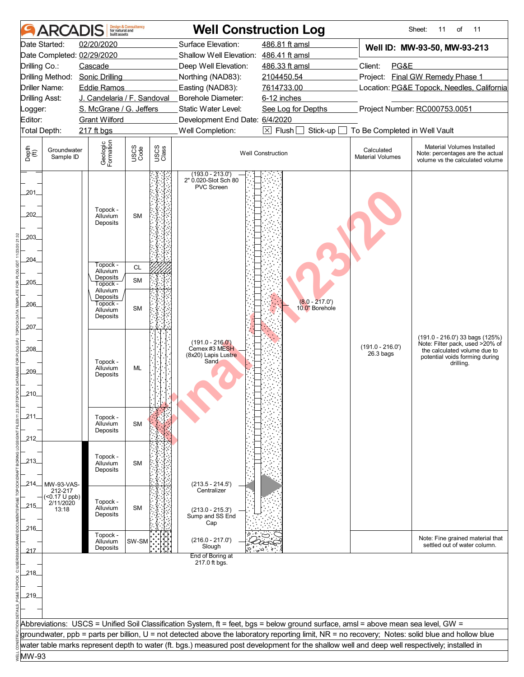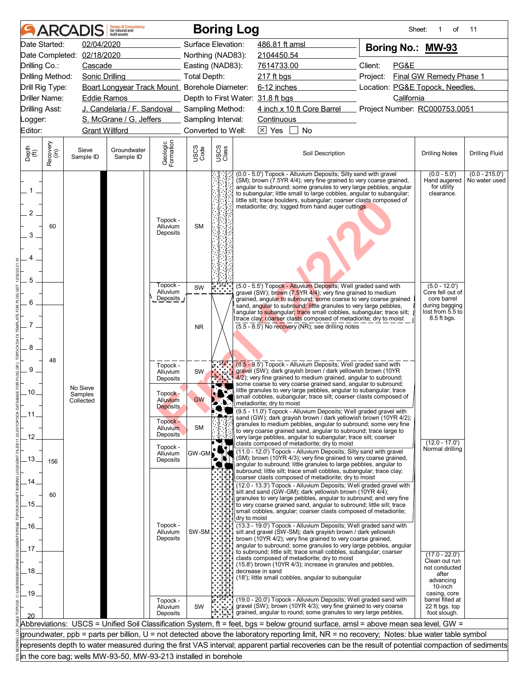| Date Started:<br>02/04/2020<br>Surface Elevation:<br>486.81 ft amsl<br>Boring No.: MW-93<br>Date Completed: 02/18/2020<br>Northing (NAD83):<br>2104450.54<br>Client:<br>PG&E<br>Drilling Co.:<br>Cascade<br>Easting (NAD83):<br>7614733.00<br>Final GW Remedy Phase 1<br>Drilling Method:<br>Sonic Drilling<br>Total Depth:<br>217 ft bgs<br>Project:<br>Boart Longyear Track Mount_ Borehole Diameter:<br>6-12 inches<br>Location: PG&E Topock, Needles,<br>Drill Rig Type:<br>Driller Name:<br><b>Eddie Ramos</b><br>Depth to First Water: 31.8 ft bgs<br>California<br>4 inch x 10 ft Core Barrel<br>J. Candelaria / F. Sandoval _ Sampling Method:<br><b>Drilling Asst:</b><br>Project Number: RC000753.0051<br>S. McGrane / G. Jeffers<br>Sampling Interval:<br><b>Continuous</b><br>_ogger:<br>$\boxed{\times}$ Yes<br><b>Grant Willford</b><br>Converted to Well:<br>$\perp$<br>No<br>Geologic<br>Formation<br>Recovery<br>(in)<br>USCS<br>Class<br>USCS<br>Code<br>Depth<br>(ft)<br>Sieve<br>Groundwater<br>Soil Description<br><b>Drilling Notes</b><br>Sample ID<br>Sample ID<br>(0.0 - 5.0') Topock - Alluvium Deposits; Silty sand with gravel<br>$(0.0 - 5.0)$<br>(SM); brown (7.5YR 4/4); very fine grained to very coarse grained,<br>Hand augered<br>angular to subround; some granules to very large pebbles, angular<br>for utility<br>$1-$<br>to subangular; little small to large cobbles, angular to subangular;<br>clearance.<br>little silt; trace boulders, subangular; coarser clasts composed of<br>metadiorite; dry; logged from hand auger cuttings<br>$\overline{2}$<br>Topock -<br><b>SM</b><br>60<br>Alluvium<br>Deposits<br>3<br>5<br>Topock -<br>$(5.0 - 12.0)$<br>(5.0 - 5.5') Topock - Alluvium Deposits; Well graded sand with<br>SW<br>Alluvium<br>Core fell out of<br>gravel (SW); brown (7.5YR 4/4); very fine grained to medium<br>Deposits<br>core barrel<br>grained, angular to subround; some coarse to very coarse grained<br>6<br>sand, angular to subround; little granules to very large pebbles,<br>during bagging<br>lost from 5.5 to<br>angular to subangular; trace small cobbles, subangular; trace silt;<br>trace clay; coarser clasts composed of metadiorite; dry to moist<br>8.5 ft bgs.<br>7<br>$(5.5 - 8.5)$ No recovery (NR); see drilling notes<br><b>NR</b><br>8<br>48<br>5.97<br>(8.5 - 9.5') Topock - Alluvium Deposits; Well graded sand with<br>Topock -<br>9<br>gravel (SW); dark grayish brown / dark yellowish brown (10YR<br>Alluvium<br>SW<br>4/2); very fine grained to medium grained, angular to subround;<br>Deposits<br>some coarse to very coarse grained sand, angular to subround;<br>No Sieve<br>little granules to very large pebbles, angular to subangular; trace<br>.10.<br>Topock -<br>Samples<br>small cobbles, subangular; trace silt; coarser clasts composed of<br><b>GW</b><br>Alluvium<br>Collected<br><b>A.</b> $\cdot$ metadiorite; dry to moist<br><b>Deposits</b><br>(9.5 - 11.0') Topock - Alluvium Deposits; Well graded gravel with<br>.11<br>sand (GW); dark grayish brown / dark yellowish brown (10YR 4/2);<br>Topock -<br>granules to medium pebbles, angular to subround; some very fine<br><b>SM</b><br>Alluvium<br>to very coarse grained sand, angular to subround; trace large to<br><b>Deposits</b><br>.12.<br>very large pebbles, angular to subangular; trace silt; coarser<br>$(12.0 - 17.0')$<br>clasts composed of metadiorite; dry to moist<br>Topock -<br>Normal drilling<br>(11.0 - 12.0') Topock - Alluvium Deposits; Silty sand with gravel<br>Alluvium<br>GW-GM<br>(SM); brown (10YR 4/3); very fine grained to very coarse grained,<br>.13.<br>Deposits<br>156<br>angular to subround; little granules to large pebbles, angular to<br>subround; little silt; trace small cobbles, subangular; trace clay;<br>coarser clasts composed of metadiorite; dry to moist<br>.14.<br>(12.0 - 13.3') Topock - Alluvium Deposits; Well graded gravel with<br>silt and sand (GW-GM); dark yellowish brown (10YR 4/4);<br>60<br>granules to very large pebbles, angular to subround; and very fine<br>.15.<br>to very coarse grained sand, angular to subround; little silt; trace<br>small cobbles, angular; coarser clasts composed of metadiorite;<br>dry to moist<br>(13.3 - 19.0') Topock - Alluvium Deposits; Well graded sand with<br>Topock -<br>.16.<br>Alluvium<br>silt and gravel (SW-SM); dark grayish brown / dark yellowish<br>Deposits<br>brown (10YR 4/2); very fine grained to very coarse grained,<br>angular to subround; some granules to very large pebbles, angular<br>.17<br>to subround; little silt; trace small cobbles, subangular; coarser<br>$(17.0 - 22.0')$<br>clasts composed of metadiorite; dry to moist<br>Clean out run<br>(15.8') brown (10YR 4/3); increase in granules and pebbles,<br>not conducted<br>.18.<br>decrease in sand<br>after<br>(18'); little small cobbles, angular to subangular<br>advancing<br>10-inch<br>.19.<br>casing, core<br>(19.0 - 20.0') Topock - Alluvium Deposits; Well graded sand with<br>barrel filled at<br>Topock -<br>gravel (SW); brown (10YR 4/3); very fine grained to very coarse<br>22 ft bgs. top<br>SW<br>Alluvium<br>grained, angular to round; some granules to very large pebbles,<br>foot slough.<br>Deposits<br>Abbreviations: USCS = Unified Soil Classification System, ft = feet, bgs = below ground surface, amsl = above mean sea level, GW =<br>groundwater, ppb = parts per billion, U = not detected above the laboratory reporting limit, NR = no recovery; Notes: blue water table symbol<br>represents depth to water measured during the first VAS interval; apparent partial recoveries can be the result of potential compaction of sediments<br>in the core bag; wells MW-93-50, MW-93-213 installed in borehole |         | <b>ARCADIS</b> | <b>Design &amp; Consultancy</b><br>for natural and<br>built assets |  | <b>Boring Log</b> | Sheet: | 1<br>of | 11                                |
|---------------------------------------------------------------------------------------------------------------------------------------------------------------------------------------------------------------------------------------------------------------------------------------------------------------------------------------------------------------------------------------------------------------------------------------------------------------------------------------------------------------------------------------------------------------------------------------------------------------------------------------------------------------------------------------------------------------------------------------------------------------------------------------------------------------------------------------------------------------------------------------------------------------------------------------------------------------------------------------------------------------------------------------------------------------------------------------------------------------------------------------------------------------------------------------------------------------------------------------------------------------------------------------------------------------------------------------------------------------------------------------------------------------------------------------------------------------------------------------------------------------------------------------------------------------------------------------------------------------------------------------------------------------------------------------------------------------------------------------------------------------------------------------------------------------------------------------------------------------------------------------------------------------------------------------------------------------------------------------------------------------------------------------------------------------------------------------------------------------------------------------------------------------------------------------------------------------------------------------------------------------------------------------------------------------------------------------------------------------------------------------------------------------------------------------------------------------------------------------------------------------------------------------------------------------------------------------------------------------------------------------------------------------------------------------------------------------------------------------------------------------------------------------------------------------------------------------------------------------------------------------------------------------------------------------------------------------------------------------------------------------------------------------------------------------------------------------------------------------------------------------------------------------------------------------------------------------------------------------------------------------------------------------------------------------------------------------------------------------------------------------------------------------------------------------------------------------------------------------------------------------------------------------------------------------------------------------------------------------------------------------------------------------------------------------------------------------------------------------------------------------------------------------------------------------------------------------------------------------------------------------------------------------------------------------------------------------------------------------------------------------------------------------------------------------------------------------------------------------------------------------------------------------------------------------------------------------------------------------------------------------------------------------------------------------------------------------------------------------------------------------------------------------------------------------------------------------------------------------------------------------------------------------------------------------------------------------------------------------------------------------------------------------------------------------------------------------------------------------------------------------------------------------------------------------------------------------------------------------------------------------------------------------------------------------------------------------------------------------------------------------------------------------------------------------------------------------------------------------------------------------------------------------------------------------------------------------------------------------------------------------------------------------------------------------------------------------------------------------------------------------------------------------------------------------------------------------------------------------------------------------------------------------------------------------------------------------------------------------------------------------------------------------------------------------------------------------------------------------------------------------------------------------------------------------------------------|---------|----------------|--------------------------------------------------------------------|--|-------------------|--------|---------|-----------------------------------|
|                                                                                                                                                                                                                                                                                                                                                                                                                                                                                                                                                                                                                                                                                                                                                                                                                                                                                                                                                                                                                                                                                                                                                                                                                                                                                                                                                                                                                                                                                                                                                                                                                                                                                                                                                                                                                                                                                                                                                                                                                                                                                                                                                                                                                                                                                                                                                                                                                                                                                                                                                                                                                                                                                                                                                                                                                                                                                                                                                                                                                                                                                                                                                                                                                                                                                                                                                                                                                                                                                                                                                                                                                                                                                                                                                                                                                                                                                                                                                                                                                                                                                                                                                                                                                                                                                                                                                                                                                                                                                                                                                                                                                                                                                                                                                                                                                                                                                                                                                                                                                                                                                                                                                                                                                                                                                                                                                                                                                                                                                                                                                                                                                                                                                                                                                                                                                                 |         |                |                                                                    |  |                   |        |         |                                   |
|                                                                                                                                                                                                                                                                                                                                                                                                                                                                                                                                                                                                                                                                                                                                                                                                                                                                                                                                                                                                                                                                                                                                                                                                                                                                                                                                                                                                                                                                                                                                                                                                                                                                                                                                                                                                                                                                                                                                                                                                                                                                                                                                                                                                                                                                                                                                                                                                                                                                                                                                                                                                                                                                                                                                                                                                                                                                                                                                                                                                                                                                                                                                                                                                                                                                                                                                                                                                                                                                                                                                                                                                                                                                                                                                                                                                                                                                                                                                                                                                                                                                                                                                                                                                                                                                                                                                                                                                                                                                                                                                                                                                                                                                                                                                                                                                                                                                                                                                                                                                                                                                                                                                                                                                                                                                                                                                                                                                                                                                                                                                                                                                                                                                                                                                                                                                                                 |         |                |                                                                    |  |                   |        |         |                                   |
|                                                                                                                                                                                                                                                                                                                                                                                                                                                                                                                                                                                                                                                                                                                                                                                                                                                                                                                                                                                                                                                                                                                                                                                                                                                                                                                                                                                                                                                                                                                                                                                                                                                                                                                                                                                                                                                                                                                                                                                                                                                                                                                                                                                                                                                                                                                                                                                                                                                                                                                                                                                                                                                                                                                                                                                                                                                                                                                                                                                                                                                                                                                                                                                                                                                                                                                                                                                                                                                                                                                                                                                                                                                                                                                                                                                                                                                                                                                                                                                                                                                                                                                                                                                                                                                                                                                                                                                                                                                                                                                                                                                                                                                                                                                                                                                                                                                                                                                                                                                                                                                                                                                                                                                                                                                                                                                                                                                                                                                                                                                                                                                                                                                                                                                                                                                                                                 |         |                |                                                                    |  |                   |        |         |                                   |
|                                                                                                                                                                                                                                                                                                                                                                                                                                                                                                                                                                                                                                                                                                                                                                                                                                                                                                                                                                                                                                                                                                                                                                                                                                                                                                                                                                                                                                                                                                                                                                                                                                                                                                                                                                                                                                                                                                                                                                                                                                                                                                                                                                                                                                                                                                                                                                                                                                                                                                                                                                                                                                                                                                                                                                                                                                                                                                                                                                                                                                                                                                                                                                                                                                                                                                                                                                                                                                                                                                                                                                                                                                                                                                                                                                                                                                                                                                                                                                                                                                                                                                                                                                                                                                                                                                                                                                                                                                                                                                                                                                                                                                                                                                                                                                                                                                                                                                                                                                                                                                                                                                                                                                                                                                                                                                                                                                                                                                                                                                                                                                                                                                                                                                                                                                                                                                 |         |                |                                                                    |  |                   |        |         |                                   |
|                                                                                                                                                                                                                                                                                                                                                                                                                                                                                                                                                                                                                                                                                                                                                                                                                                                                                                                                                                                                                                                                                                                                                                                                                                                                                                                                                                                                                                                                                                                                                                                                                                                                                                                                                                                                                                                                                                                                                                                                                                                                                                                                                                                                                                                                                                                                                                                                                                                                                                                                                                                                                                                                                                                                                                                                                                                                                                                                                                                                                                                                                                                                                                                                                                                                                                                                                                                                                                                                                                                                                                                                                                                                                                                                                                                                                                                                                                                                                                                                                                                                                                                                                                                                                                                                                                                                                                                                                                                                                                                                                                                                                                                                                                                                                                                                                                                                                                                                                                                                                                                                                                                                                                                                                                                                                                                                                                                                                                                                                                                                                                                                                                                                                                                                                                                                                                 |         |                |                                                                    |  |                   |        |         |                                   |
|                                                                                                                                                                                                                                                                                                                                                                                                                                                                                                                                                                                                                                                                                                                                                                                                                                                                                                                                                                                                                                                                                                                                                                                                                                                                                                                                                                                                                                                                                                                                                                                                                                                                                                                                                                                                                                                                                                                                                                                                                                                                                                                                                                                                                                                                                                                                                                                                                                                                                                                                                                                                                                                                                                                                                                                                                                                                                                                                                                                                                                                                                                                                                                                                                                                                                                                                                                                                                                                                                                                                                                                                                                                                                                                                                                                                                                                                                                                                                                                                                                                                                                                                                                                                                                                                                                                                                                                                                                                                                                                                                                                                                                                                                                                                                                                                                                                                                                                                                                                                                                                                                                                                                                                                                                                                                                                                                                                                                                                                                                                                                                                                                                                                                                                                                                                                                                 |         |                |                                                                    |  |                   |        |         |                                   |
|                                                                                                                                                                                                                                                                                                                                                                                                                                                                                                                                                                                                                                                                                                                                                                                                                                                                                                                                                                                                                                                                                                                                                                                                                                                                                                                                                                                                                                                                                                                                                                                                                                                                                                                                                                                                                                                                                                                                                                                                                                                                                                                                                                                                                                                                                                                                                                                                                                                                                                                                                                                                                                                                                                                                                                                                                                                                                                                                                                                                                                                                                                                                                                                                                                                                                                                                                                                                                                                                                                                                                                                                                                                                                                                                                                                                                                                                                                                                                                                                                                                                                                                                                                                                                                                                                                                                                                                                                                                                                                                                                                                                                                                                                                                                                                                                                                                                                                                                                                                                                                                                                                                                                                                                                                                                                                                                                                                                                                                                                                                                                                                                                                                                                                                                                                                                                                 |         |                |                                                                    |  |                   |        |         |                                   |
|                                                                                                                                                                                                                                                                                                                                                                                                                                                                                                                                                                                                                                                                                                                                                                                                                                                                                                                                                                                                                                                                                                                                                                                                                                                                                                                                                                                                                                                                                                                                                                                                                                                                                                                                                                                                                                                                                                                                                                                                                                                                                                                                                                                                                                                                                                                                                                                                                                                                                                                                                                                                                                                                                                                                                                                                                                                                                                                                                                                                                                                                                                                                                                                                                                                                                                                                                                                                                                                                                                                                                                                                                                                                                                                                                                                                                                                                                                                                                                                                                                                                                                                                                                                                                                                                                                                                                                                                                                                                                                                                                                                                                                                                                                                                                                                                                                                                                                                                                                                                                                                                                                                                                                                                                                                                                                                                                                                                                                                                                                                                                                                                                                                                                                                                                                                                                                 |         |                |                                                                    |  |                   |        |         |                                   |
|                                                                                                                                                                                                                                                                                                                                                                                                                                                                                                                                                                                                                                                                                                                                                                                                                                                                                                                                                                                                                                                                                                                                                                                                                                                                                                                                                                                                                                                                                                                                                                                                                                                                                                                                                                                                                                                                                                                                                                                                                                                                                                                                                                                                                                                                                                                                                                                                                                                                                                                                                                                                                                                                                                                                                                                                                                                                                                                                                                                                                                                                                                                                                                                                                                                                                                                                                                                                                                                                                                                                                                                                                                                                                                                                                                                                                                                                                                                                                                                                                                                                                                                                                                                                                                                                                                                                                                                                                                                                                                                                                                                                                                                                                                                                                                                                                                                                                                                                                                                                                                                                                                                                                                                                                                                                                                                                                                                                                                                                                                                                                                                                                                                                                                                                                                                                                                 | Editor: |                |                                                                    |  |                   |        |         |                                   |
|                                                                                                                                                                                                                                                                                                                                                                                                                                                                                                                                                                                                                                                                                                                                                                                                                                                                                                                                                                                                                                                                                                                                                                                                                                                                                                                                                                                                                                                                                                                                                                                                                                                                                                                                                                                                                                                                                                                                                                                                                                                                                                                                                                                                                                                                                                                                                                                                                                                                                                                                                                                                                                                                                                                                                                                                                                                                                                                                                                                                                                                                                                                                                                                                                                                                                                                                                                                                                                                                                                                                                                                                                                                                                                                                                                                                                                                                                                                                                                                                                                                                                                                                                                                                                                                                                                                                                                                                                                                                                                                                                                                                                                                                                                                                                                                                                                                                                                                                                                                                                                                                                                                                                                                                                                                                                                                                                                                                                                                                                                                                                                                                                                                                                                                                                                                                                                 |         |                |                                                                    |  |                   |        |         |                                   |
|                                                                                                                                                                                                                                                                                                                                                                                                                                                                                                                                                                                                                                                                                                                                                                                                                                                                                                                                                                                                                                                                                                                                                                                                                                                                                                                                                                                                                                                                                                                                                                                                                                                                                                                                                                                                                                                                                                                                                                                                                                                                                                                                                                                                                                                                                                                                                                                                                                                                                                                                                                                                                                                                                                                                                                                                                                                                                                                                                                                                                                                                                                                                                                                                                                                                                                                                                                                                                                                                                                                                                                                                                                                                                                                                                                                                                                                                                                                                                                                                                                                                                                                                                                                                                                                                                                                                                                                                                                                                                                                                                                                                                                                                                                                                                                                                                                                                                                                                                                                                                                                                                                                                                                                                                                                                                                                                                                                                                                                                                                                                                                                                                                                                                                                                                                                                                                 |         |                |                                                                    |  |                   |        |         | <b>Drilling Fluid</b>             |
|                                                                                                                                                                                                                                                                                                                                                                                                                                                                                                                                                                                                                                                                                                                                                                                                                                                                                                                                                                                                                                                                                                                                                                                                                                                                                                                                                                                                                                                                                                                                                                                                                                                                                                                                                                                                                                                                                                                                                                                                                                                                                                                                                                                                                                                                                                                                                                                                                                                                                                                                                                                                                                                                                                                                                                                                                                                                                                                                                                                                                                                                                                                                                                                                                                                                                                                                                                                                                                                                                                                                                                                                                                                                                                                                                                                                                                                                                                                                                                                                                                                                                                                                                                                                                                                                                                                                                                                                                                                                                                                                                                                                                                                                                                                                                                                                                                                                                                                                                                                                                                                                                                                                                                                                                                                                                                                                                                                                                                                                                                                                                                                                                                                                                                                                                                                                                                 |         |                |                                                                    |  |                   |        |         | $(0.0 - 215.0')$<br>No water used |
|                                                                                                                                                                                                                                                                                                                                                                                                                                                                                                                                                                                                                                                                                                                                                                                                                                                                                                                                                                                                                                                                                                                                                                                                                                                                                                                                                                                                                                                                                                                                                                                                                                                                                                                                                                                                                                                                                                                                                                                                                                                                                                                                                                                                                                                                                                                                                                                                                                                                                                                                                                                                                                                                                                                                                                                                                                                                                                                                                                                                                                                                                                                                                                                                                                                                                                                                                                                                                                                                                                                                                                                                                                                                                                                                                                                                                                                                                                                                                                                                                                                                                                                                                                                                                                                                                                                                                                                                                                                                                                                                                                                                                                                                                                                                                                                                                                                                                                                                                                                                                                                                                                                                                                                                                                                                                                                                                                                                                                                                                                                                                                                                                                                                                                                                                                                                                                 |         |                |                                                                    |  |                   |        |         |                                   |
|                                                                                                                                                                                                                                                                                                                                                                                                                                                                                                                                                                                                                                                                                                                                                                                                                                                                                                                                                                                                                                                                                                                                                                                                                                                                                                                                                                                                                                                                                                                                                                                                                                                                                                                                                                                                                                                                                                                                                                                                                                                                                                                                                                                                                                                                                                                                                                                                                                                                                                                                                                                                                                                                                                                                                                                                                                                                                                                                                                                                                                                                                                                                                                                                                                                                                                                                                                                                                                                                                                                                                                                                                                                                                                                                                                                                                                                                                                                                                                                                                                                                                                                                                                                                                                                                                                                                                                                                                                                                                                                                                                                                                                                                                                                                                                                                                                                                                                                                                                                                                                                                                                                                                                                                                                                                                                                                                                                                                                                                                                                                                                                                                                                                                                                                                                                                                                 |         |                |                                                                    |  |                   |        |         |                                   |
|                                                                                                                                                                                                                                                                                                                                                                                                                                                                                                                                                                                                                                                                                                                                                                                                                                                                                                                                                                                                                                                                                                                                                                                                                                                                                                                                                                                                                                                                                                                                                                                                                                                                                                                                                                                                                                                                                                                                                                                                                                                                                                                                                                                                                                                                                                                                                                                                                                                                                                                                                                                                                                                                                                                                                                                                                                                                                                                                                                                                                                                                                                                                                                                                                                                                                                                                                                                                                                                                                                                                                                                                                                                                                                                                                                                                                                                                                                                                                                                                                                                                                                                                                                                                                                                                                                                                                                                                                                                                                                                                                                                                                                                                                                                                                                                                                                                                                                                                                                                                                                                                                                                                                                                                                                                                                                                                                                                                                                                                                                                                                                                                                                                                                                                                                                                                                                 |         |                |                                                                    |  |                   |        |         |                                   |
|                                                                                                                                                                                                                                                                                                                                                                                                                                                                                                                                                                                                                                                                                                                                                                                                                                                                                                                                                                                                                                                                                                                                                                                                                                                                                                                                                                                                                                                                                                                                                                                                                                                                                                                                                                                                                                                                                                                                                                                                                                                                                                                                                                                                                                                                                                                                                                                                                                                                                                                                                                                                                                                                                                                                                                                                                                                                                                                                                                                                                                                                                                                                                                                                                                                                                                                                                                                                                                                                                                                                                                                                                                                                                                                                                                                                                                                                                                                                                                                                                                                                                                                                                                                                                                                                                                                                                                                                                                                                                                                                                                                                                                                                                                                                                                                                                                                                                                                                                                                                                                                                                                                                                                                                                                                                                                                                                                                                                                                                                                                                                                                                                                                                                                                                                                                                                                 |         |                |                                                                    |  |                   |        |         |                                   |
|                                                                                                                                                                                                                                                                                                                                                                                                                                                                                                                                                                                                                                                                                                                                                                                                                                                                                                                                                                                                                                                                                                                                                                                                                                                                                                                                                                                                                                                                                                                                                                                                                                                                                                                                                                                                                                                                                                                                                                                                                                                                                                                                                                                                                                                                                                                                                                                                                                                                                                                                                                                                                                                                                                                                                                                                                                                                                                                                                                                                                                                                                                                                                                                                                                                                                                                                                                                                                                                                                                                                                                                                                                                                                                                                                                                                                                                                                                                                                                                                                                                                                                                                                                                                                                                                                                                                                                                                                                                                                                                                                                                                                                                                                                                                                                                                                                                                                                                                                                                                                                                                                                                                                                                                                                                                                                                                                                                                                                                                                                                                                                                                                                                                                                                                                                                                                                 |         |                |                                                                    |  |                   |        |         |                                   |
|                                                                                                                                                                                                                                                                                                                                                                                                                                                                                                                                                                                                                                                                                                                                                                                                                                                                                                                                                                                                                                                                                                                                                                                                                                                                                                                                                                                                                                                                                                                                                                                                                                                                                                                                                                                                                                                                                                                                                                                                                                                                                                                                                                                                                                                                                                                                                                                                                                                                                                                                                                                                                                                                                                                                                                                                                                                                                                                                                                                                                                                                                                                                                                                                                                                                                                                                                                                                                                                                                                                                                                                                                                                                                                                                                                                                                                                                                                                                                                                                                                                                                                                                                                                                                                                                                                                                                                                                                                                                                                                                                                                                                                                                                                                                                                                                                                                                                                                                                                                                                                                                                                                                                                                                                                                                                                                                                                                                                                                                                                                                                                                                                                                                                                                                                                                                                                 |         |                |                                                                    |  |                   |        |         |                                   |
|                                                                                                                                                                                                                                                                                                                                                                                                                                                                                                                                                                                                                                                                                                                                                                                                                                                                                                                                                                                                                                                                                                                                                                                                                                                                                                                                                                                                                                                                                                                                                                                                                                                                                                                                                                                                                                                                                                                                                                                                                                                                                                                                                                                                                                                                                                                                                                                                                                                                                                                                                                                                                                                                                                                                                                                                                                                                                                                                                                                                                                                                                                                                                                                                                                                                                                                                                                                                                                                                                                                                                                                                                                                                                                                                                                                                                                                                                                                                                                                                                                                                                                                                                                                                                                                                                                                                                                                                                                                                                                                                                                                                                                                                                                                                                                                                                                                                                                                                                                                                                                                                                                                                                                                                                                                                                                                                                                                                                                                                                                                                                                                                                                                                                                                                                                                                                                 |         |                |                                                                    |  |                   |        |         |                                   |
|                                                                                                                                                                                                                                                                                                                                                                                                                                                                                                                                                                                                                                                                                                                                                                                                                                                                                                                                                                                                                                                                                                                                                                                                                                                                                                                                                                                                                                                                                                                                                                                                                                                                                                                                                                                                                                                                                                                                                                                                                                                                                                                                                                                                                                                                                                                                                                                                                                                                                                                                                                                                                                                                                                                                                                                                                                                                                                                                                                                                                                                                                                                                                                                                                                                                                                                                                                                                                                                                                                                                                                                                                                                                                                                                                                                                                                                                                                                                                                                                                                                                                                                                                                                                                                                                                                                                                                                                                                                                                                                                                                                                                                                                                                                                                                                                                                                                                                                                                                                                                                                                                                                                                                                                                                                                                                                                                                                                                                                                                                                                                                                                                                                                                                                                                                                                                                 |         |                |                                                                    |  |                   |        |         |                                   |
|                                                                                                                                                                                                                                                                                                                                                                                                                                                                                                                                                                                                                                                                                                                                                                                                                                                                                                                                                                                                                                                                                                                                                                                                                                                                                                                                                                                                                                                                                                                                                                                                                                                                                                                                                                                                                                                                                                                                                                                                                                                                                                                                                                                                                                                                                                                                                                                                                                                                                                                                                                                                                                                                                                                                                                                                                                                                                                                                                                                                                                                                                                                                                                                                                                                                                                                                                                                                                                                                                                                                                                                                                                                                                                                                                                                                                                                                                                                                                                                                                                                                                                                                                                                                                                                                                                                                                                                                                                                                                                                                                                                                                                                                                                                                                                                                                                                                                                                                                                                                                                                                                                                                                                                                                                                                                                                                                                                                                                                                                                                                                                                                                                                                                                                                                                                                                                 |         |                |                                                                    |  |                   |        |         |                                   |
|                                                                                                                                                                                                                                                                                                                                                                                                                                                                                                                                                                                                                                                                                                                                                                                                                                                                                                                                                                                                                                                                                                                                                                                                                                                                                                                                                                                                                                                                                                                                                                                                                                                                                                                                                                                                                                                                                                                                                                                                                                                                                                                                                                                                                                                                                                                                                                                                                                                                                                                                                                                                                                                                                                                                                                                                                                                                                                                                                                                                                                                                                                                                                                                                                                                                                                                                                                                                                                                                                                                                                                                                                                                                                                                                                                                                                                                                                                                                                                                                                                                                                                                                                                                                                                                                                                                                                                                                                                                                                                                                                                                                                                                                                                                                                                                                                                                                                                                                                                                                                                                                                                                                                                                                                                                                                                                                                                                                                                                                                                                                                                                                                                                                                                                                                                                                                                 |         |                |                                                                    |  |                   |        |         |                                   |
|                                                                                                                                                                                                                                                                                                                                                                                                                                                                                                                                                                                                                                                                                                                                                                                                                                                                                                                                                                                                                                                                                                                                                                                                                                                                                                                                                                                                                                                                                                                                                                                                                                                                                                                                                                                                                                                                                                                                                                                                                                                                                                                                                                                                                                                                                                                                                                                                                                                                                                                                                                                                                                                                                                                                                                                                                                                                                                                                                                                                                                                                                                                                                                                                                                                                                                                                                                                                                                                                                                                                                                                                                                                                                                                                                                                                                                                                                                                                                                                                                                                                                                                                                                                                                                                                                                                                                                                                                                                                                                                                                                                                                                                                                                                                                                                                                                                                                                                                                                                                                                                                                                                                                                                                                                                                                                                                                                                                                                                                                                                                                                                                                                                                                                                                                                                                                                 |         |                |                                                                    |  |                   |        |         |                                   |
|                                                                                                                                                                                                                                                                                                                                                                                                                                                                                                                                                                                                                                                                                                                                                                                                                                                                                                                                                                                                                                                                                                                                                                                                                                                                                                                                                                                                                                                                                                                                                                                                                                                                                                                                                                                                                                                                                                                                                                                                                                                                                                                                                                                                                                                                                                                                                                                                                                                                                                                                                                                                                                                                                                                                                                                                                                                                                                                                                                                                                                                                                                                                                                                                                                                                                                                                                                                                                                                                                                                                                                                                                                                                                                                                                                                                                                                                                                                                                                                                                                                                                                                                                                                                                                                                                                                                                                                                                                                                                                                                                                                                                                                                                                                                                                                                                                                                                                                                                                                                                                                                                                                                                                                                                                                                                                                                                                                                                                                                                                                                                                                                                                                                                                                                                                                                                                 |         |                |                                                                    |  |                   |        |         |                                   |
|                                                                                                                                                                                                                                                                                                                                                                                                                                                                                                                                                                                                                                                                                                                                                                                                                                                                                                                                                                                                                                                                                                                                                                                                                                                                                                                                                                                                                                                                                                                                                                                                                                                                                                                                                                                                                                                                                                                                                                                                                                                                                                                                                                                                                                                                                                                                                                                                                                                                                                                                                                                                                                                                                                                                                                                                                                                                                                                                                                                                                                                                                                                                                                                                                                                                                                                                                                                                                                                                                                                                                                                                                                                                                                                                                                                                                                                                                                                                                                                                                                                                                                                                                                                                                                                                                                                                                                                                                                                                                                                                                                                                                                                                                                                                                                                                                                                                                                                                                                                                                                                                                                                                                                                                                                                                                                                                                                                                                                                                                                                                                                                                                                                                                                                                                                                                                                 |         |                |                                                                    |  |                   |        |         |                                   |
|                                                                                                                                                                                                                                                                                                                                                                                                                                                                                                                                                                                                                                                                                                                                                                                                                                                                                                                                                                                                                                                                                                                                                                                                                                                                                                                                                                                                                                                                                                                                                                                                                                                                                                                                                                                                                                                                                                                                                                                                                                                                                                                                                                                                                                                                                                                                                                                                                                                                                                                                                                                                                                                                                                                                                                                                                                                                                                                                                                                                                                                                                                                                                                                                                                                                                                                                                                                                                                                                                                                                                                                                                                                                                                                                                                                                                                                                                                                                                                                                                                                                                                                                                                                                                                                                                                                                                                                                                                                                                                                                                                                                                                                                                                                                                                                                                                                                                                                                                                                                                                                                                                                                                                                                                                                                                                                                                                                                                                                                                                                                                                                                                                                                                                                                                                                                                                 |         |                |                                                                    |  |                   |        |         |                                   |
|                                                                                                                                                                                                                                                                                                                                                                                                                                                                                                                                                                                                                                                                                                                                                                                                                                                                                                                                                                                                                                                                                                                                                                                                                                                                                                                                                                                                                                                                                                                                                                                                                                                                                                                                                                                                                                                                                                                                                                                                                                                                                                                                                                                                                                                                                                                                                                                                                                                                                                                                                                                                                                                                                                                                                                                                                                                                                                                                                                                                                                                                                                                                                                                                                                                                                                                                                                                                                                                                                                                                                                                                                                                                                                                                                                                                                                                                                                                                                                                                                                                                                                                                                                                                                                                                                                                                                                                                                                                                                                                                                                                                                                                                                                                                                                                                                                                                                                                                                                                                                                                                                                                                                                                                                                                                                                                                                                                                                                                                                                                                                                                                                                                                                                                                                                                                                                 |         |                |                                                                    |  |                   |        |         |                                   |
|                                                                                                                                                                                                                                                                                                                                                                                                                                                                                                                                                                                                                                                                                                                                                                                                                                                                                                                                                                                                                                                                                                                                                                                                                                                                                                                                                                                                                                                                                                                                                                                                                                                                                                                                                                                                                                                                                                                                                                                                                                                                                                                                                                                                                                                                                                                                                                                                                                                                                                                                                                                                                                                                                                                                                                                                                                                                                                                                                                                                                                                                                                                                                                                                                                                                                                                                                                                                                                                                                                                                                                                                                                                                                                                                                                                                                                                                                                                                                                                                                                                                                                                                                                                                                                                                                                                                                                                                                                                                                                                                                                                                                                                                                                                                                                                                                                                                                                                                                                                                                                                                                                                                                                                                                                                                                                                                                                                                                                                                                                                                                                                                                                                                                                                                                                                                                                 |         |                |                                                                    |  |                   |        |         |                                   |
|                                                                                                                                                                                                                                                                                                                                                                                                                                                                                                                                                                                                                                                                                                                                                                                                                                                                                                                                                                                                                                                                                                                                                                                                                                                                                                                                                                                                                                                                                                                                                                                                                                                                                                                                                                                                                                                                                                                                                                                                                                                                                                                                                                                                                                                                                                                                                                                                                                                                                                                                                                                                                                                                                                                                                                                                                                                                                                                                                                                                                                                                                                                                                                                                                                                                                                                                                                                                                                                                                                                                                                                                                                                                                                                                                                                                                                                                                                                                                                                                                                                                                                                                                                                                                                                                                                                                                                                                                                                                                                                                                                                                                                                                                                                                                                                                                                                                                                                                                                                                                                                                                                                                                                                                                                                                                                                                                                                                                                                                                                                                                                                                                                                                                                                                                                                                                                 |         |                |                                                                    |  |                   |        |         |                                   |
|                                                                                                                                                                                                                                                                                                                                                                                                                                                                                                                                                                                                                                                                                                                                                                                                                                                                                                                                                                                                                                                                                                                                                                                                                                                                                                                                                                                                                                                                                                                                                                                                                                                                                                                                                                                                                                                                                                                                                                                                                                                                                                                                                                                                                                                                                                                                                                                                                                                                                                                                                                                                                                                                                                                                                                                                                                                                                                                                                                                                                                                                                                                                                                                                                                                                                                                                                                                                                                                                                                                                                                                                                                                                                                                                                                                                                                                                                                                                                                                                                                                                                                                                                                                                                                                                                                                                                                                                                                                                                                                                                                                                                                                                                                                                                                                                                                                                                                                                                                                                                                                                                                                                                                                                                                                                                                                                                                                                                                                                                                                                                                                                                                                                                                                                                                                                                                 |         |                |                                                                    |  |                   |        |         |                                   |
|                                                                                                                                                                                                                                                                                                                                                                                                                                                                                                                                                                                                                                                                                                                                                                                                                                                                                                                                                                                                                                                                                                                                                                                                                                                                                                                                                                                                                                                                                                                                                                                                                                                                                                                                                                                                                                                                                                                                                                                                                                                                                                                                                                                                                                                                                                                                                                                                                                                                                                                                                                                                                                                                                                                                                                                                                                                                                                                                                                                                                                                                                                                                                                                                                                                                                                                                                                                                                                                                                                                                                                                                                                                                                                                                                                                                                                                                                                                                                                                                                                                                                                                                                                                                                                                                                                                                                                                                                                                                                                                                                                                                                                                                                                                                                                                                                                                                                                                                                                                                                                                                                                                                                                                                                                                                                                                                                                                                                                                                                                                                                                                                                                                                                                                                                                                                                                 |         |                |                                                                    |  |                   |        |         |                                   |
|                                                                                                                                                                                                                                                                                                                                                                                                                                                                                                                                                                                                                                                                                                                                                                                                                                                                                                                                                                                                                                                                                                                                                                                                                                                                                                                                                                                                                                                                                                                                                                                                                                                                                                                                                                                                                                                                                                                                                                                                                                                                                                                                                                                                                                                                                                                                                                                                                                                                                                                                                                                                                                                                                                                                                                                                                                                                                                                                                                                                                                                                                                                                                                                                                                                                                                                                                                                                                                                                                                                                                                                                                                                                                                                                                                                                                                                                                                                                                                                                                                                                                                                                                                                                                                                                                                                                                                                                                                                                                                                                                                                                                                                                                                                                                                                                                                                                                                                                                                                                                                                                                                                                                                                                                                                                                                                                                                                                                                                                                                                                                                                                                                                                                                                                                                                                                                 |         |                |                                                                    |  |                   |        |         |                                   |
|                                                                                                                                                                                                                                                                                                                                                                                                                                                                                                                                                                                                                                                                                                                                                                                                                                                                                                                                                                                                                                                                                                                                                                                                                                                                                                                                                                                                                                                                                                                                                                                                                                                                                                                                                                                                                                                                                                                                                                                                                                                                                                                                                                                                                                                                                                                                                                                                                                                                                                                                                                                                                                                                                                                                                                                                                                                                                                                                                                                                                                                                                                                                                                                                                                                                                                                                                                                                                                                                                                                                                                                                                                                                                                                                                                                                                                                                                                                                                                                                                                                                                                                                                                                                                                                                                                                                                                                                                                                                                                                                                                                                                                                                                                                                                                                                                                                                                                                                                                                                                                                                                                                                                                                                                                                                                                                                                                                                                                                                                                                                                                                                                                                                                                                                                                                                                                 |         |                |                                                                    |  |                   |        |         |                                   |
|                                                                                                                                                                                                                                                                                                                                                                                                                                                                                                                                                                                                                                                                                                                                                                                                                                                                                                                                                                                                                                                                                                                                                                                                                                                                                                                                                                                                                                                                                                                                                                                                                                                                                                                                                                                                                                                                                                                                                                                                                                                                                                                                                                                                                                                                                                                                                                                                                                                                                                                                                                                                                                                                                                                                                                                                                                                                                                                                                                                                                                                                                                                                                                                                                                                                                                                                                                                                                                                                                                                                                                                                                                                                                                                                                                                                                                                                                                                                                                                                                                                                                                                                                                                                                                                                                                                                                                                                                                                                                                                                                                                                                                                                                                                                                                                                                                                                                                                                                                                                                                                                                                                                                                                                                                                                                                                                                                                                                                                                                                                                                                                                                                                                                                                                                                                                                                 |         |                |                                                                    |  |                   |        |         |                                   |
|                                                                                                                                                                                                                                                                                                                                                                                                                                                                                                                                                                                                                                                                                                                                                                                                                                                                                                                                                                                                                                                                                                                                                                                                                                                                                                                                                                                                                                                                                                                                                                                                                                                                                                                                                                                                                                                                                                                                                                                                                                                                                                                                                                                                                                                                                                                                                                                                                                                                                                                                                                                                                                                                                                                                                                                                                                                                                                                                                                                                                                                                                                                                                                                                                                                                                                                                                                                                                                                                                                                                                                                                                                                                                                                                                                                                                                                                                                                                                                                                                                                                                                                                                                                                                                                                                                                                                                                                                                                                                                                                                                                                                                                                                                                                                                                                                                                                                                                                                                                                                                                                                                                                                                                                                                                                                                                                                                                                                                                                                                                                                                                                                                                                                                                                                                                                                                 |         |                |                                                                    |  |                   |        |         |                                   |
|                                                                                                                                                                                                                                                                                                                                                                                                                                                                                                                                                                                                                                                                                                                                                                                                                                                                                                                                                                                                                                                                                                                                                                                                                                                                                                                                                                                                                                                                                                                                                                                                                                                                                                                                                                                                                                                                                                                                                                                                                                                                                                                                                                                                                                                                                                                                                                                                                                                                                                                                                                                                                                                                                                                                                                                                                                                                                                                                                                                                                                                                                                                                                                                                                                                                                                                                                                                                                                                                                                                                                                                                                                                                                                                                                                                                                                                                                                                                                                                                                                                                                                                                                                                                                                                                                                                                                                                                                                                                                                                                                                                                                                                                                                                                                                                                                                                                                                                                                                                                                                                                                                                                                                                                                                                                                                                                                                                                                                                                                                                                                                                                                                                                                                                                                                                                                                 |         |                |                                                                    |  |                   |        |         |                                   |
|                                                                                                                                                                                                                                                                                                                                                                                                                                                                                                                                                                                                                                                                                                                                                                                                                                                                                                                                                                                                                                                                                                                                                                                                                                                                                                                                                                                                                                                                                                                                                                                                                                                                                                                                                                                                                                                                                                                                                                                                                                                                                                                                                                                                                                                                                                                                                                                                                                                                                                                                                                                                                                                                                                                                                                                                                                                                                                                                                                                                                                                                                                                                                                                                                                                                                                                                                                                                                                                                                                                                                                                                                                                                                                                                                                                                                                                                                                                                                                                                                                                                                                                                                                                                                                                                                                                                                                                                                                                                                                                                                                                                                                                                                                                                                                                                                                                                                                                                                                                                                                                                                                                                                                                                                                                                                                                                                                                                                                                                                                                                                                                                                                                                                                                                                                                                                                 |         |                |                                                                    |  |                   |        |         |                                   |
|                                                                                                                                                                                                                                                                                                                                                                                                                                                                                                                                                                                                                                                                                                                                                                                                                                                                                                                                                                                                                                                                                                                                                                                                                                                                                                                                                                                                                                                                                                                                                                                                                                                                                                                                                                                                                                                                                                                                                                                                                                                                                                                                                                                                                                                                                                                                                                                                                                                                                                                                                                                                                                                                                                                                                                                                                                                                                                                                                                                                                                                                                                                                                                                                                                                                                                                                                                                                                                                                                                                                                                                                                                                                                                                                                                                                                                                                                                                                                                                                                                                                                                                                                                                                                                                                                                                                                                                                                                                                                                                                                                                                                                                                                                                                                                                                                                                                                                                                                                                                                                                                                                                                                                                                                                                                                                                                                                                                                                                                                                                                                                                                                                                                                                                                                                                                                                 |         |                |                                                                    |  |                   |        |         |                                   |
|                                                                                                                                                                                                                                                                                                                                                                                                                                                                                                                                                                                                                                                                                                                                                                                                                                                                                                                                                                                                                                                                                                                                                                                                                                                                                                                                                                                                                                                                                                                                                                                                                                                                                                                                                                                                                                                                                                                                                                                                                                                                                                                                                                                                                                                                                                                                                                                                                                                                                                                                                                                                                                                                                                                                                                                                                                                                                                                                                                                                                                                                                                                                                                                                                                                                                                                                                                                                                                                                                                                                                                                                                                                                                                                                                                                                                                                                                                                                                                                                                                                                                                                                                                                                                                                                                                                                                                                                                                                                                                                                                                                                                                                                                                                                                                                                                                                                                                                                                                                                                                                                                                                                                                                                                                                                                                                                                                                                                                                                                                                                                                                                                                                                                                                                                                                                                                 |         |                |                                                                    |  |                   |        |         |                                   |
|                                                                                                                                                                                                                                                                                                                                                                                                                                                                                                                                                                                                                                                                                                                                                                                                                                                                                                                                                                                                                                                                                                                                                                                                                                                                                                                                                                                                                                                                                                                                                                                                                                                                                                                                                                                                                                                                                                                                                                                                                                                                                                                                                                                                                                                                                                                                                                                                                                                                                                                                                                                                                                                                                                                                                                                                                                                                                                                                                                                                                                                                                                                                                                                                                                                                                                                                                                                                                                                                                                                                                                                                                                                                                                                                                                                                                                                                                                                                                                                                                                                                                                                                                                                                                                                                                                                                                                                                                                                                                                                                                                                                                                                                                                                                                                                                                                                                                                                                                                                                                                                                                                                                                                                                                                                                                                                                                                                                                                                                                                                                                                                                                                                                                                                                                                                                                                 |         |                |                                                                    |  |                   |        |         |                                   |
|                                                                                                                                                                                                                                                                                                                                                                                                                                                                                                                                                                                                                                                                                                                                                                                                                                                                                                                                                                                                                                                                                                                                                                                                                                                                                                                                                                                                                                                                                                                                                                                                                                                                                                                                                                                                                                                                                                                                                                                                                                                                                                                                                                                                                                                                                                                                                                                                                                                                                                                                                                                                                                                                                                                                                                                                                                                                                                                                                                                                                                                                                                                                                                                                                                                                                                                                                                                                                                                                                                                                                                                                                                                                                                                                                                                                                                                                                                                                                                                                                                                                                                                                                                                                                                                                                                                                                                                                                                                                                                                                                                                                                                                                                                                                                                                                                                                                                                                                                                                                                                                                                                                                                                                                                                                                                                                                                                                                                                                                                                                                                                                                                                                                                                                                                                                                                                 |         |                |                                                                    |  |                   |        |         |                                   |
|                                                                                                                                                                                                                                                                                                                                                                                                                                                                                                                                                                                                                                                                                                                                                                                                                                                                                                                                                                                                                                                                                                                                                                                                                                                                                                                                                                                                                                                                                                                                                                                                                                                                                                                                                                                                                                                                                                                                                                                                                                                                                                                                                                                                                                                                                                                                                                                                                                                                                                                                                                                                                                                                                                                                                                                                                                                                                                                                                                                                                                                                                                                                                                                                                                                                                                                                                                                                                                                                                                                                                                                                                                                                                                                                                                                                                                                                                                                                                                                                                                                                                                                                                                                                                                                                                                                                                                                                                                                                                                                                                                                                                                                                                                                                                                                                                                                                                                                                                                                                                                                                                                                                                                                                                                                                                                                                                                                                                                                                                                                                                                                                                                                                                                                                                                                                                                 |         |                |                                                                    |  |                   |        |         |                                   |
|                                                                                                                                                                                                                                                                                                                                                                                                                                                                                                                                                                                                                                                                                                                                                                                                                                                                                                                                                                                                                                                                                                                                                                                                                                                                                                                                                                                                                                                                                                                                                                                                                                                                                                                                                                                                                                                                                                                                                                                                                                                                                                                                                                                                                                                                                                                                                                                                                                                                                                                                                                                                                                                                                                                                                                                                                                                                                                                                                                                                                                                                                                                                                                                                                                                                                                                                                                                                                                                                                                                                                                                                                                                                                                                                                                                                                                                                                                                                                                                                                                                                                                                                                                                                                                                                                                                                                                                                                                                                                                                                                                                                                                                                                                                                                                                                                                                                                                                                                                                                                                                                                                                                                                                                                                                                                                                                                                                                                                                                                                                                                                                                                                                                                                                                                                                                                                 |         |                |                                                                    |  |                   |        |         |                                   |
|                                                                                                                                                                                                                                                                                                                                                                                                                                                                                                                                                                                                                                                                                                                                                                                                                                                                                                                                                                                                                                                                                                                                                                                                                                                                                                                                                                                                                                                                                                                                                                                                                                                                                                                                                                                                                                                                                                                                                                                                                                                                                                                                                                                                                                                                                                                                                                                                                                                                                                                                                                                                                                                                                                                                                                                                                                                                                                                                                                                                                                                                                                                                                                                                                                                                                                                                                                                                                                                                                                                                                                                                                                                                                                                                                                                                                                                                                                                                                                                                                                                                                                                                                                                                                                                                                                                                                                                                                                                                                                                                                                                                                                                                                                                                                                                                                                                                                                                                                                                                                                                                                                                                                                                                                                                                                                                                                                                                                                                                                                                                                                                                                                                                                                                                                                                                                                 |         |                |                                                                    |  |                   |        |         |                                   |
|                                                                                                                                                                                                                                                                                                                                                                                                                                                                                                                                                                                                                                                                                                                                                                                                                                                                                                                                                                                                                                                                                                                                                                                                                                                                                                                                                                                                                                                                                                                                                                                                                                                                                                                                                                                                                                                                                                                                                                                                                                                                                                                                                                                                                                                                                                                                                                                                                                                                                                                                                                                                                                                                                                                                                                                                                                                                                                                                                                                                                                                                                                                                                                                                                                                                                                                                                                                                                                                                                                                                                                                                                                                                                                                                                                                                                                                                                                                                                                                                                                                                                                                                                                                                                                                                                                                                                                                                                                                                                                                                                                                                                                                                                                                                                                                                                                                                                                                                                                                                                                                                                                                                                                                                                                                                                                                                                                                                                                                                                                                                                                                                                                                                                                                                                                                                                                 |         |                |                                                                    |  |                   |        |         |                                   |
|                                                                                                                                                                                                                                                                                                                                                                                                                                                                                                                                                                                                                                                                                                                                                                                                                                                                                                                                                                                                                                                                                                                                                                                                                                                                                                                                                                                                                                                                                                                                                                                                                                                                                                                                                                                                                                                                                                                                                                                                                                                                                                                                                                                                                                                                                                                                                                                                                                                                                                                                                                                                                                                                                                                                                                                                                                                                                                                                                                                                                                                                                                                                                                                                                                                                                                                                                                                                                                                                                                                                                                                                                                                                                                                                                                                                                                                                                                                                                                                                                                                                                                                                                                                                                                                                                                                                                                                                                                                                                                                                                                                                                                                                                                                                                                                                                                                                                                                                                                                                                                                                                                                                                                                                                                                                                                                                                                                                                                                                                                                                                                                                                                                                                                                                                                                                                                 |         |                |                                                                    |  |                   |        |         |                                   |
|                                                                                                                                                                                                                                                                                                                                                                                                                                                                                                                                                                                                                                                                                                                                                                                                                                                                                                                                                                                                                                                                                                                                                                                                                                                                                                                                                                                                                                                                                                                                                                                                                                                                                                                                                                                                                                                                                                                                                                                                                                                                                                                                                                                                                                                                                                                                                                                                                                                                                                                                                                                                                                                                                                                                                                                                                                                                                                                                                                                                                                                                                                                                                                                                                                                                                                                                                                                                                                                                                                                                                                                                                                                                                                                                                                                                                                                                                                                                                                                                                                                                                                                                                                                                                                                                                                                                                                                                                                                                                                                                                                                                                                                                                                                                                                                                                                                                                                                                                                                                                                                                                                                                                                                                                                                                                                                                                                                                                                                                                                                                                                                                                                                                                                                                                                                                                                 |         |                |                                                                    |  |                   |        |         |                                   |
|                                                                                                                                                                                                                                                                                                                                                                                                                                                                                                                                                                                                                                                                                                                                                                                                                                                                                                                                                                                                                                                                                                                                                                                                                                                                                                                                                                                                                                                                                                                                                                                                                                                                                                                                                                                                                                                                                                                                                                                                                                                                                                                                                                                                                                                                                                                                                                                                                                                                                                                                                                                                                                                                                                                                                                                                                                                                                                                                                                                                                                                                                                                                                                                                                                                                                                                                                                                                                                                                                                                                                                                                                                                                                                                                                                                                                                                                                                                                                                                                                                                                                                                                                                                                                                                                                                                                                                                                                                                                                                                                                                                                                                                                                                                                                                                                                                                                                                                                                                                                                                                                                                                                                                                                                                                                                                                                                                                                                                                                                                                                                                                                                                                                                                                                                                                                                                 |         |                |                                                                    |  |                   |        |         |                                   |
|                                                                                                                                                                                                                                                                                                                                                                                                                                                                                                                                                                                                                                                                                                                                                                                                                                                                                                                                                                                                                                                                                                                                                                                                                                                                                                                                                                                                                                                                                                                                                                                                                                                                                                                                                                                                                                                                                                                                                                                                                                                                                                                                                                                                                                                                                                                                                                                                                                                                                                                                                                                                                                                                                                                                                                                                                                                                                                                                                                                                                                                                                                                                                                                                                                                                                                                                                                                                                                                                                                                                                                                                                                                                                                                                                                                                                                                                                                                                                                                                                                                                                                                                                                                                                                                                                                                                                                                                                                                                                                                                                                                                                                                                                                                                                                                                                                                                                                                                                                                                                                                                                                                                                                                                                                                                                                                                                                                                                                                                                                                                                                                                                                                                                                                                                                                                                                 |         |                |                                                                    |  |                   |        |         |                                   |
|                                                                                                                                                                                                                                                                                                                                                                                                                                                                                                                                                                                                                                                                                                                                                                                                                                                                                                                                                                                                                                                                                                                                                                                                                                                                                                                                                                                                                                                                                                                                                                                                                                                                                                                                                                                                                                                                                                                                                                                                                                                                                                                                                                                                                                                                                                                                                                                                                                                                                                                                                                                                                                                                                                                                                                                                                                                                                                                                                                                                                                                                                                                                                                                                                                                                                                                                                                                                                                                                                                                                                                                                                                                                                                                                                                                                                                                                                                                                                                                                                                                                                                                                                                                                                                                                                                                                                                                                                                                                                                                                                                                                                                                                                                                                                                                                                                                                                                                                                                                                                                                                                                                                                                                                                                                                                                                                                                                                                                                                                                                                                                                                                                                                                                                                                                                                                                 |         |                |                                                                    |  |                   |        |         |                                   |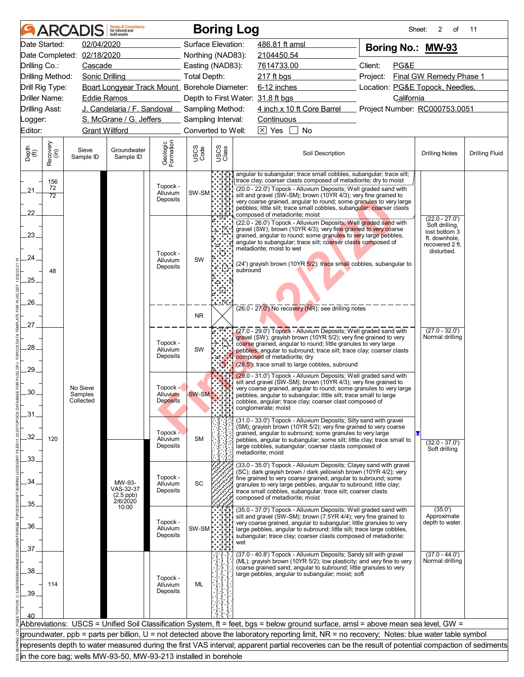|                       |                  | <b>ARCADIS</b>                   | <b>Design &amp; Consultancy</b><br>for natural and<br>huilt assets |                                         |                     |                                   | <b>Boring Log</b>                                                                                                                                                                                                                                                                                                                                                | Sheet:                          | 2<br>οf                             | 11                    |
|-----------------------|------------------|----------------------------------|--------------------------------------------------------------------|-----------------------------------------|---------------------|-----------------------------------|------------------------------------------------------------------------------------------------------------------------------------------------------------------------------------------------------------------------------------------------------------------------------------------------------------------------------------------------------------------|---------------------------------|-------------------------------------|-----------------------|
|                       | Date Started:    | 02/04/2020                       |                                                                    |                                         | Surface Elevation:  |                                   | 486.81 ft amsl                                                                                                                                                                                                                                                                                                                                                   | Boring No.: MW-93               |                                     |                       |
|                       |                  | Date Completed: 02/18/2020       |                                                                    |                                         | Northing (NAD83):   |                                   | 2104450.54                                                                                                                                                                                                                                                                                                                                                       |                                 |                                     |                       |
| Drilling Co.:         |                  | Cascade                          |                                                                    |                                         | Easting (NAD83):    |                                   | 7614733.00                                                                                                                                                                                                                                                                                                                                                       | Client:<br>PG&E                 |                                     |                       |
| Drilling Method:      |                  | <b>Sonic Drilling</b>            |                                                                    |                                         | <b>Total Depth:</b> |                                   | $217$ ft bgs                                                                                                                                                                                                                                                                                                                                                     | Project:                        | Final GW Remedy Phase 1             |                       |
| Drill Rig Type:       |                  |                                  | Boart Longyear Track Mount Borehole Diameter:                      |                                         |                     |                                   | 6-12 inches                                                                                                                                                                                                                                                                                                                                                      | Location: PG&E Topock, Needles, |                                     |                       |
| <b>Driller Name:</b>  |                  | <b>Eddie Ramos</b>               |                                                                    |                                         |                     |                                   | Depth to First Water: 31.8 ft bgs                                                                                                                                                                                                                                                                                                                                | California                      |                                     |                       |
| <b>Drilling Asst:</b> |                  |                                  | J. Candelaria / F. Sandoval Sampling Method:                       |                                         |                     |                                   | 4 inch x 10 ft Core Barrel                                                                                                                                                                                                                                                                                                                                       | Project Number: RC000753.0051   |                                     |                       |
| _ogger:               |                  |                                  | S. McGrane / G. Jeffers                                            |                                         | Sampling Interval:  |                                   | Continuous                                                                                                                                                                                                                                                                                                                                                       |                                 |                                     |                       |
| Editor:               |                  | <b>Grant Willford</b>            |                                                                    |                                         | Converted to Well:  |                                   | $\boxed{\times}$ Yes<br><b>No</b>                                                                                                                                                                                                                                                                                                                                |                                 |                                     |                       |
| Depth<br>(ft)         | Recovery<br>(in) | Sieve<br>Sample ID               | Groundwater<br>Sample ID                                           | Geologic<br>Formation                   | USCS<br>Code        | USCS<br>Class                     | Soil Description                                                                                                                                                                                                                                                                                                                                                 |                                 | <b>Drilling Notes</b>               | <b>Drilling Fluid</b> |
|                       | 156<br>72        |                                  |                                                                    | Topock -                                |                     |                                   | angular to subangular; trace small cobbles, subangular; trace silt;<br>trace clay; coarser clasts composed of metadiorite; dry to moist<br>(20.0 - 22.0') Topock - Alluvium Deposits; Well graded sand with                                                                                                                                                      |                                 |                                     |                       |
| .21.                  | 72               |                                  |                                                                    | Alluvium<br>Deposits                    | SW-SM               |                                   | silt and gravel (SW-SM); brown (10YR 4/3); very fine grained to                                                                                                                                                                                                                                                                                                  |                                 |                                     |                       |
|                       |                  |                                  |                                                                    |                                         |                     |                                   | very coarse grained, angular to round; some granules to very large<br>pebbles; little silt; trace small cobbles, subangular; coarser clasts                                                                                                                                                                                                                      |                                 |                                     |                       |
| 22                    |                  |                                  |                                                                    |                                         |                     |                                   | composed of metadiorite; moist<br>(22.0 - 26.0') Topock - Alluvium Deposits; Well graded sand with                                                                                                                                                                                                                                                               |                                 | $(22.0 - 27.0)$                     |                       |
| 23.                   |                  |                                  |                                                                    |                                         |                     |                                   | gravel (SW); brown (10YR 4/3); very fine grained to very coarse                                                                                                                                                                                                                                                                                                  |                                 | Soft drilling,<br>lost bottom 3     |                       |
|                       |                  |                                  |                                                                    |                                         |                     |                                   | grained, angular to round; some granules to very large pebbles,<br>angular to subangular; trace silt; coarser clasts composed of                                                                                                                                                                                                                                 |                                 | ft. downhole,<br>recovered 2 ft.    |                       |
| 24.                   |                  |                                  |                                                                    | Topock -                                |                     |                                   | metadiorite; moist to wet                                                                                                                                                                                                                                                                                                                                        |                                 | disturbed.                          |                       |
|                       |                  |                                  |                                                                    | Alluvium<br>Deposits                    | SW                  |                                   | (24') grayish brown (10YR 5/2); trace small cobbles, subangular to                                                                                                                                                                                                                                                                                               |                                 |                                     |                       |
| 25.                   | 48               |                                  |                                                                    |                                         |                     |                                   | subround                                                                                                                                                                                                                                                                                                                                                         |                                 |                                     |                       |
|                       |                  |                                  |                                                                    |                                         |                     |                                   |                                                                                                                                                                                                                                                                                                                                                                  |                                 |                                     |                       |
| 26                    |                  |                                  |                                                                    |                                         |                     |                                   |                                                                                                                                                                                                                                                                                                                                                                  |                                 |                                     |                       |
|                       |                  |                                  |                                                                    |                                         |                     |                                   | (26.0 - 27.0') No recovery (NR); see drilling notes                                                                                                                                                                                                                                                                                                              |                                 |                                     |                       |
| 27.                   |                  |                                  |                                                                    |                                         | <b>NR</b>           |                                   |                                                                                                                                                                                                                                                                                                                                                                  |                                 |                                     |                       |
| 28.                   |                  |                                  |                                                                    | Topock -<br>Alluvium<br>Deposits        | SW                  | $\mathcal{S}(\mathcal{C})$<br>′ේ. | (27.0 - 29.0') Topock - Alluvium Deposits; Well graded sand with<br>gravel (SW); grayish brown (10YR 5/2); very fine grained to very<br>coarse grained, angular to round; little granules to very large<br>pebbles, angular to subround; trace silt; trace clay; coarser clasts<br>composed of metadiorite; dry                                                  |                                 | $(27.0 - 32.0')$<br>Normal drilling |                       |
| .29.                  |                  |                                  |                                                                    |                                         |                     |                                   | (28.5'); trace small to large cobbles, subround                                                                                                                                                                                                                                                                                                                  |                                 |                                     |                       |
| 30                    |                  | No Sieve<br>Samples<br>Collected |                                                                    | Topock -<br>Alluvium<br><b>Deposits</b> | <b>SW-SM</b>        |                                   | (29.0 - 31.0') Topock - Alluvium Deposits; Well graded sand with<br>silt and gravel (SW-SM); brown (10YR 4/3); very fine grained to<br>very coarse grained, angular to round; some granules to very large<br>pebbles, angular to subangular; little silt; trace small to large<br>cobbles, angular; trace clay; coarser clast composed of<br>conglomerate; moist |                                 |                                     |                       |
| 31                    |                  |                                  |                                                                    |                                         |                     |                                   | (31.0 - 33.0') Topock - Alluvium Deposits; Silty sand with gravel                                                                                                                                                                                                                                                                                                |                                 |                                     |                       |
| 32.                   | 120              |                                  |                                                                    | Topock -<br>Alluvium<br>Deposits        | <b>SM</b>           |                                   | (SM); grayish brown (10YR 5/2); very fine grained to very coarse<br>grained, angular to subround; some granules to very large<br>pebbles, angular to subangular; some silt; little clay; trace small to<br>large cobbles, subangular; coarser clasts composed of<br>metadiorite; moist                                                                           |                                 | $(32.0 - 37.0')$<br>Soft drilling   |                       |
| 33.                   |                  |                                  |                                                                    |                                         |                     |                                   | (33.0 - 35.0') Topock - Alluvium Deposits; Clayey sand with gravel                                                                                                                                                                                                                                                                                               |                                 |                                     |                       |
|                       |                  |                                  |                                                                    | Topock -                                |                     |                                   | (SC); dark grayish brown / dark yellowish brown (10YR 4/2); very                                                                                                                                                                                                                                                                                                 |                                 |                                     |                       |
| 34.                   |                  |                                  | MW-93-<br>VAS-32-37                                                | Alluvium                                | SC                  |                                   | fine grained to very coarse grained, angular to subround; some<br>granules to very large pebbles, angular to subround; little clay;                                                                                                                                                                                                                              |                                 |                                     |                       |
|                       |                  |                                  | $(2.5$ ppb)<br>$2/6/2020$                                          | Deposits                                |                     |                                   | trace small cobbles, subangular; trace silt; coarser clasts<br>composed of metadiorite; moist                                                                                                                                                                                                                                                                    |                                 |                                     |                       |
| 35.                   |                  |                                  | 10:00                                                              |                                         |                     |                                   | (35.0 - 37.0') Topock - Alluvium Deposits; Well graded sand with                                                                                                                                                                                                                                                                                                 |                                 | (35.0')                             |                       |
|                       |                  |                                  |                                                                    | Topock -                                |                     |                                   | silt and gravel (SW-SM); brown (7.5YR 4/4); very fine grained to<br>very coarse grained, angular to subangular; little granules to very                                                                                                                                                                                                                          |                                 | Approximate<br>depth to water.      |                       |
| 36.                   |                  |                                  |                                                                    | Alluvium                                | SW-SM               |                                   | large pebbles, angular to subround; little silt; trace large cobbles,                                                                                                                                                                                                                                                                                            |                                 |                                     |                       |
|                       |                  |                                  |                                                                    | Deposits                                |                     |                                   | subangular; trace clay; coarser clasts composed of metadiorite;<br>wet                                                                                                                                                                                                                                                                                           |                                 |                                     |                       |
| 37.                   |                  |                                  |                                                                    |                                         |                     |                                   | (37.0 - 40.8') Topock - Alluvium Deposits; Sandy silt with gravel                                                                                                                                                                                                                                                                                                |                                 | $(37.0 - 44.0')$                    |                       |
|                       |                  |                                  |                                                                    |                                         |                     |                                   | (ML); grayish brown (10YR 5/2); low plasticity; and very fine to very<br>coarse grained sand, angular to subround; little granules to very                                                                                                                                                                                                                       |                                 | Normal drilling                     |                       |
| .38                   |                  |                                  |                                                                    | Topock -                                |                     |                                   | large pebbles, angular to subangular; moist; soft                                                                                                                                                                                                                                                                                                                |                                 |                                     |                       |
|                       | 114              |                                  |                                                                    | Alluvium                                | <b>ML</b>           |                                   |                                                                                                                                                                                                                                                                                                                                                                  |                                 |                                     |                       |
| 39.                   |                  |                                  |                                                                    | Deposits                                |                     |                                   |                                                                                                                                                                                                                                                                                                                                                                  |                                 |                                     |                       |
|                       |                  |                                  |                                                                    |                                         |                     |                                   |                                                                                                                                                                                                                                                                                                                                                                  |                                 |                                     |                       |
|                       |                  |                                  |                                                                    |                                         |                     |                                   | Abbreviations: USCS = Unified Soil Classification System, ft = feet, bgs = below ground surface, amsl = above mean sea level, GW =                                                                                                                                                                                                                               |                                 |                                     |                       |
|                       |                  |                                  |                                                                    |                                         |                     |                                   | groundwater, ppb = parts per billion, U = not detected above the laboratory reporting limit, NR = no recovery; Notes: blue water table symbol                                                                                                                                                                                                                    |                                 |                                     |                       |
|                       |                  |                                  |                                                                    |                                         |                     |                                   | represents depth to water measured during the first VAS interval; apparent partial recoveries can be the result of potential compaction of sediments                                                                                                                                                                                                             |                                 |                                     |                       |
|                       |                  |                                  | in the core bag; wells MW-93-50, MW-93-213 installed in borehole   |                                         |                     |                                   |                                                                                                                                                                                                                                                                                                                                                                  |                                 |                                     |                       |
|                       |                  |                                  |                                                                    |                                         |                     |                                   |                                                                                                                                                                                                                                                                                                                                                                  |                                 |                                     |                       |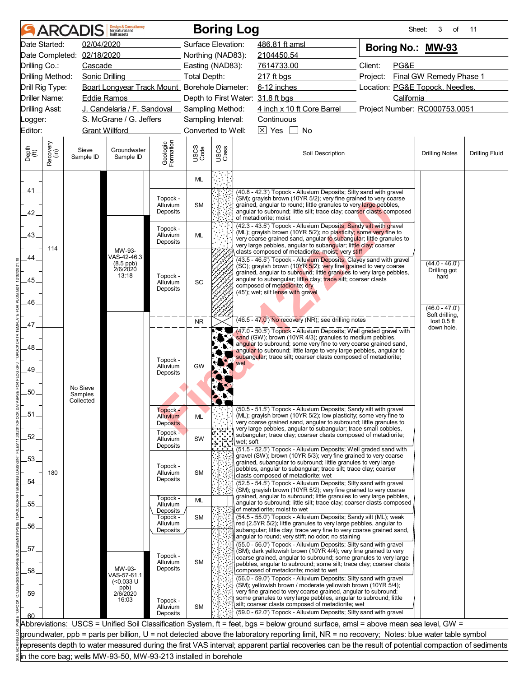|               |                       | <b>ARCADIS</b>             | <b>Design &amp; Consultancy</b><br>for natural and<br>huilt assets |                                  |                    | <b>Boring Log</b> |                                                                                                                                                                                                                                                                                 | Sheet:                          | 3<br>of                         | 11                    |
|---------------|-----------------------|----------------------------|--------------------------------------------------------------------|----------------------------------|--------------------|-------------------|---------------------------------------------------------------------------------------------------------------------------------------------------------------------------------------------------------------------------------------------------------------------------------|---------------------------------|---------------------------------|-----------------------|
|               | Date Started:         | 02/04/2020                 |                                                                    |                                  | Surface Elevation: |                   | 486.81 ft amsl                                                                                                                                                                                                                                                                  | Boring No.: MW-93               |                                 |                       |
|               |                       | Date Completed: 02/18/2020 |                                                                    |                                  | Northing (NAD83):  |                   | 2104450.54                                                                                                                                                                                                                                                                      |                                 |                                 |                       |
| Drilling Co.: |                       | Cascade                    |                                                                    |                                  | Easting (NAD83):   |                   | 7614733.00                                                                                                                                                                                                                                                                      | Client:<br>PG&E                 |                                 |                       |
|               | Drilling Method:      | <b>Sonic Drilling</b>      |                                                                    |                                  | Total Depth:       |                   | 217 ft bgs                                                                                                                                                                                                                                                                      | Project:                        | Final GW Remedy Phase 1         |                       |
|               | Drill Rig Type:       |                            | Boart Longyear Track Mount_ Borehole Diameter:                     |                                  |                    |                   | 6-12 inches                                                                                                                                                                                                                                                                     | Location: PG&E Topock, Needles, |                                 |                       |
|               | Driller Name:         | <b>Eddie Ramos</b>         |                                                                    |                                  |                    |                   | Depth to First Water: 31.8 ft bgs                                                                                                                                                                                                                                               | California                      |                                 |                       |
|               | <b>Drilling Asst:</b> |                            | J. Candelaria / F. Sandoval Sampling Method:                       |                                  |                    |                   | 4 inch x 10 ft Core Barrel                                                                                                                                                                                                                                                      | Project Number: RC000753.0051   |                                 |                       |
| _ogger:       |                       |                            | S. McGrane / G. Jeffers                                            |                                  | Sampling Interval: |                   | Continuous                                                                                                                                                                                                                                                                      |                                 |                                 |                       |
| Editor:       |                       | <b>Grant Willford</b>      |                                                                    |                                  | Converted to Well: |                   | $\boxed{\times}$ Yes<br><b>No</b>                                                                                                                                                                                                                                               |                                 |                                 |                       |
|               |                       |                            |                                                                    |                                  |                    |                   |                                                                                                                                                                                                                                                                                 |                                 |                                 |                       |
| Depth<br>(ft) | Recovery<br>(in)      | Sieve<br>Sample ID         | Groundwater<br>Sample ID                                           | Geologic<br>Formation            | USCS<br>Code       | USCS<br>Class     | Soil Description                                                                                                                                                                                                                                                                |                                 | <b>Drilling Notes</b>           | <b>Drilling Fluid</b> |
| .41.          |                       |                            |                                                                    |                                  | ML                 |                   | (40.8 - 42.3') Topock - Alluvium Deposits; Silty sand with gravel                                                                                                                                                                                                               |                                 |                                 |                       |
| 42.           |                       |                            |                                                                    | Topock -<br>Alluvium<br>Deposits | <b>SM</b>          |                   | (SM); grayish brown (10YR 5/2); very fine grained to very coarse<br>grained, angular to round; little granules to very large pebbles,<br>angular to subround; little silt; trace clay; coarser clasts composed<br>of metadiorite: moist                                         |                                 |                                 |                       |
| .43.          |                       |                            |                                                                    | Topock -<br>Alluvium<br>Deposits | ML                 |                   | (42.3 - 43.5') Topock - Alluvium Deposits; Sandy silt with gravel<br>(ML); grayish brown (10YR 5/2); no plasticity; some very fine to<br>very coarse grained sand, angular to subangular; little granules to<br>very large pebbles, angular to subangular; little clay; coarser |                                 |                                 |                       |
| 44            | 114                   |                            | MW-93-<br>VAS-42-46.3<br>$(8.5$ ppb)                               |                                  |                    |                   | clasts composed of metadiorite; moist; very stiff<br>(43.5 - 46.5') Topock - Alluvium Deposits; Clayey sand with gravel<br>(SC); grayish brown (10YR 5/2); very fine grained to very coarse                                                                                     |                                 | $(44.0 - 46.0')$                |                       |
|               |                       |                            | 2/6/2020<br>13:18                                                  | Topock -                         |                    |                   | grained, angular to subround; little granules to very large pebbles,<br>angular to subangular; little clay; trace silt; coarser clasts                                                                                                                                          |                                 | Drilling got<br>hard            |                       |
| .45.          |                       |                            |                                                                    | Alluvium<br>Deposits             | SC                 |                   | composed of metadiorite; dry                                                                                                                                                                                                                                                    |                                 |                                 |                       |
|               |                       |                            |                                                                    |                                  |                    |                   | (45'); wet; silt lense with gravel                                                                                                                                                                                                                                              |                                 |                                 |                       |
| 46.           |                       |                            |                                                                    |                                  |                    |                   |                                                                                                                                                                                                                                                                                 |                                 | $(46.0 - 47.0)$                 |                       |
|               |                       |                            |                                                                    |                                  | <b>NR</b>          |                   | $(46.5 - 47.0)$ No recovery (NR); see drilling notes                                                                                                                                                                                                                            |                                 | Soft drilling,<br>lost $0.5$ ft |                       |
| .47.          |                       |                            |                                                                    |                                  |                    |                   | (47.0 - 50.5') Topock - Alluvium Deposits; Well graded gravel with                                                                                                                                                                                                              |                                 | down hole.                      |                       |
|               |                       |                            |                                                                    |                                  |                    |                   | sand (GW); brown (10YR 4/3); granules to medium pebbles,                                                                                                                                                                                                                        |                                 |                                 |                       |
| 48.           |                       |                            |                                                                    |                                  |                    |                   | angular to subround; some very fine to very coarse grained sand,<br>angular to subround; little large to very large pebbles, angular to                                                                                                                                         |                                 |                                 |                       |
|               |                       |                            |                                                                    | Topock -                         |                    |                   | subangular; trace silt; coarser clasts composed of metadiorite;<br>wet                                                                                                                                                                                                          |                                 |                                 |                       |
| .49.          |                       |                            |                                                                    | Alluvium<br>Deposits             | GW                 |                   |                                                                                                                                                                                                                                                                                 |                                 |                                 |                       |
|               |                       |                            |                                                                    |                                  |                    |                   |                                                                                                                                                                                                                                                                                 |                                 |                                 |                       |
| 50.           |                       | No Sieve<br>Samples        |                                                                    |                                  |                    |                   |                                                                                                                                                                                                                                                                                 |                                 |                                 |                       |
|               |                       | Collected                  |                                                                    |                                  |                    |                   |                                                                                                                                                                                                                                                                                 |                                 |                                 |                       |
| .51           |                       |                            |                                                                    | Topock -<br><b>Alluvium</b>      | <b>ML</b>          |                   | (50.5 - 51.5') Topock - Alluvium Deposits; Sandy silt with gravel<br>(ML); grayish brown (10YR 5/2); low plasticity; some very fine to                                                                                                                                          |                                 |                                 |                       |
|               |                       |                            |                                                                    | <b>Deposits</b>                  |                    |                   | very coarse grained sand, angular to subround; little granules to                                                                                                                                                                                                               |                                 |                                 |                       |
| .52.          |                       |                            |                                                                    | Topock -<br>Alluvium             | SW                 |                   | very large pebbles, angular to subangular; trace small cobbles,<br>subangular; trace clay; coarser clasts composed of metadiorite;<br>wet: soft                                                                                                                                 |                                 |                                 |                       |
|               |                       |                            |                                                                    | Deposits                         |                    |                   | (51.5 - 52.5') Topock - Alluvium Deposits; Well graded sand with<br>gravel (SW); brown (10YR 5/3); very fine grained to very coarse                                                                                                                                             |                                 |                                 |                       |
| .53.          |                       |                            |                                                                    | Topock -                         |                    |                   | grained, subangular to subround; little granules to very large                                                                                                                                                                                                                  |                                 |                                 |                       |
|               | 180                   |                            |                                                                    | <b>Alluvium</b>                  | <b>SM</b>          |                   | pebbles, angular to subangular; trace silt; trace clay; coarser<br>clasts composed of metadiorite; wet                                                                                                                                                                          |                                 |                                 |                       |
| 54            |                       |                            |                                                                    | Deposits                         |                    |                   | (52.5 - 54.5') Topock - Alluvium Deposits; Silty sand with gravel                                                                                                                                                                                                               |                                 |                                 |                       |
|               |                       |                            |                                                                    | Topock -                         |                    |                   | (SM); grayish brown (10YR 5/2); very fine grained to very coarse<br>grained, angular to subround; little granules to very large pebbles,                                                                                                                                        |                                 |                                 |                       |
| .55.          |                       |                            |                                                                    | Alluvium                         | ML                 |                   | angular to subround; little silt; trace clay; coarser clasts composed                                                                                                                                                                                                           |                                 |                                 |                       |
|               |                       |                            |                                                                    | Deposits<br>Topock -             | <b>SM</b>          |                   | of metadiorite; moist to wet<br>(54.5 - 55.0') Topock - Alluvium Deposits; Sandy silt (ML); weak                                                                                                                                                                                |                                 |                                 |                       |
| .56.          |                       |                            |                                                                    | Alluvium                         |                    |                   | red (2.5YR 5/2); little granules to very large pebbles, angular to                                                                                                                                                                                                              |                                 |                                 |                       |
|               |                       |                            |                                                                    | Deposits                         |                    |                   | subangular; little clay; trace very fine to very coarse grained sand,<br>angular to round; very stiff; no odor; no staining                                                                                                                                                     |                                 |                                 |                       |
| 57.           |                       |                            |                                                                    |                                  |                    |                   | (55.0 - 56.0') Topock - Alluvium Deposits; Silty sand with gravel                                                                                                                                                                                                               |                                 |                                 |                       |
|               |                       |                            |                                                                    | Topock -                         | <b>SM</b>          |                   | (SM); dark yellowish brown (10YR 4/4); very fine grained to very<br>coarse grained, angular to subround; some granules to very large                                                                                                                                            |                                 |                                 |                       |
| 58            |                       |                            | MW-93-                                                             | Alluvium<br>Deposits             |                    |                   | pebbles, angular to subround; some silt; trace clay; coarser clasts<br>composed of metadiorite; moist to wet                                                                                                                                                                    |                                 |                                 |                       |
|               |                       |                            | VAS-57-61.1<br>$(0.033 \text{ U}$                                  |                                  |                    |                   | (56.0 - 59.0') Topock - Alluvium Deposits; Silty sand with gravel                                                                                                                                                                                                               |                                 |                                 |                       |
|               |                       |                            | ppb)<br>2/6/2020                                                   |                                  |                    |                   | (SM); yellowish brown / moderate yellowish brown (10YR 5/4);<br>very fine grained to very coarse grained, angular to subround;                                                                                                                                                  |                                 |                                 |                       |
| .59           |                       |                            | 16:03                                                              | Topock -                         |                    |                   | some granules to very large pebbles, angular to subround; little                                                                                                                                                                                                                |                                 |                                 |                       |
|               |                       |                            |                                                                    | Alluvium                         | <b>SM</b>          |                   | silt; coarser clasts composed of metadiorite; wet<br>(59.0 - 62.0') Topock - Alluvium Deposits; Silty sand with gravel                                                                                                                                                          |                                 |                                 |                       |
| 60            |                       |                            |                                                                    | Deposits                         |                    |                   |                                                                                                                                                                                                                                                                                 |                                 |                                 |                       |
|               |                       |                            |                                                                    |                                  |                    |                   | Abbreviations: USCS = Unified Soil Classification System, ft = feet, bgs = below ground surface, amsl = above mean sea level, GW =                                                                                                                                              |                                 |                                 |                       |
|               |                       |                            |                                                                    |                                  |                    |                   | groundwater, ppb = parts per billion, U = not detected above the laboratory reporting limit, NR = no recovery; Notes: blue water table symbol                                                                                                                                   |                                 |                                 |                       |
|               |                       |                            | in the core bag; wells MW-93-50, MW-93-213 installed in borehole   |                                  |                    |                   | represents depth to water measured during the first VAS interval; apparent partial recoveries can be the result of potential compaction of sediments                                                                                                                            |                                 |                                 |                       |
|               |                       |                            |                                                                    |                                  |                    |                   |                                                                                                                                                                                                                                                                                 |                                 |                                 |                       |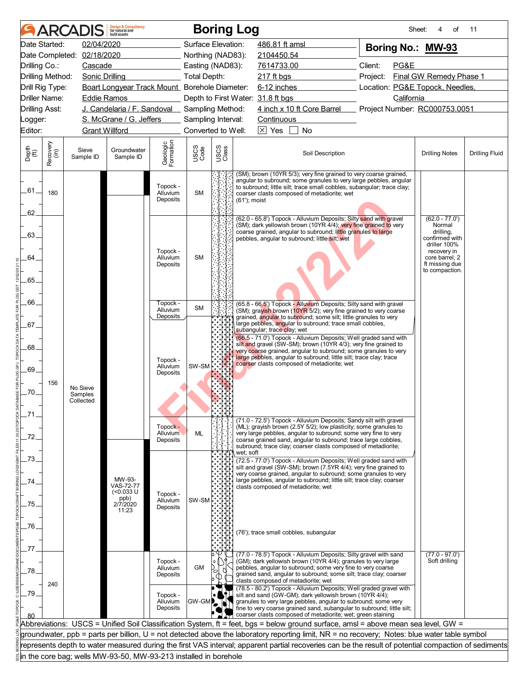|                       |                       | <b>ARCADIS</b>             | <b>Design &amp; Consultancy</b><br>for natural and<br>huilt assets |                                         |                     |               | <b>Boring Log</b>                                                                                                                                                                                                                                                                                                                        | Sheet:                          | 4<br>of                                                                                                  | 11                    |  |
|-----------------------|-----------------------|----------------------------|--------------------------------------------------------------------|-----------------------------------------|---------------------|---------------|------------------------------------------------------------------------------------------------------------------------------------------------------------------------------------------------------------------------------------------------------------------------------------------------------------------------------------------|---------------------------------|----------------------------------------------------------------------------------------------------------|-----------------------|--|
|                       | Date Started:         | 02/04/2020                 |                                                                    |                                         | Surface Elevation:  |               | 486.81 ft amsl                                                                                                                                                                                                                                                                                                                           | Boring No.: MW-93               |                                                                                                          |                       |  |
|                       |                       | Date Completed: 02/18/2020 |                                                                    |                                         | Northing (NAD83):   |               | 2104450.54                                                                                                                                                                                                                                                                                                                               |                                 |                                                                                                          |                       |  |
| Drilling Co.:         |                       | Cascade                    |                                                                    |                                         | Easting (NAD83):    |               | 7614733.00                                                                                                                                                                                                                                                                                                                               | Client:<br>PG&E                 |                                                                                                          |                       |  |
|                       | Drilling Method:      | Sonic Drilling             |                                                                    |                                         | <b>Total Depth:</b> |               | $217$ ft bgs                                                                                                                                                                                                                                                                                                                             | Project:                        | Final GW Remedy Phase 1                                                                                  |                       |  |
|                       | Drill Rig Type:       |                            | Boart Longyear Track Mount Borehole Diameter:                      |                                         |                     |               | 6-12 inches                                                                                                                                                                                                                                                                                                                              | Location: PG&E Topock, Needles, |                                                                                                          |                       |  |
|                       | Driller Name:         | <b>Eddie Ramos</b>         |                                                                    |                                         |                     |               | Depth to First Water: 31.8 ft bgs                                                                                                                                                                                                                                                                                                        | California                      |                                                                                                          |                       |  |
| <b>Drilling Asst:</b> |                       |                            | J. Candelaria / F. Sandoval _ Sampling Method:                     |                                         |                     |               | 4 inch x 10 ft Core Barrel                                                                                                                                                                                                                                                                                                               | Project Number: RC000753.0051   |                                                                                                          |                       |  |
| Logger:               |                       |                            | S. McGrane / G. Jeffers                                            |                                         | Sampling Interval:  |               | Continuous                                                                                                                                                                                                                                                                                                                               |                                 |                                                                                                          |                       |  |
| Editor:               | <b>Grant Willford</b> |                            |                                                                    |                                         | Converted to Well:  |               | $\times$ Yes<br><b>No</b>                                                                                                                                                                                                                                                                                                                |                                 |                                                                                                          |                       |  |
| Depth<br>(ft)         | Recovery<br>(in)      | Sieve<br>Sample ID         | Groundwater<br>Sample ID                                           | Geologic<br>Formation                   | USCS<br>Code        | USCS<br>Class | Soil Description                                                                                                                                                                                                                                                                                                                         |                                 | <b>Drilling Notes</b>                                                                                    | <b>Drilling Fluid</b> |  |
| $-61$                 | 180                   |                            |                                                                    | Topock -<br>Alluvium<br>Deposits        | <b>SM</b>           |               | (SM); brown (10YR 5/3); very fine grained to very coarse grained,<br>angular to subround; some granules to very large pebbles, angular<br>to subround; little silt; trace small cobbles, subangular; trace clay;<br>coarser clasts composed of metadiorite; wet<br>(61'); moist                                                          |                                 |                                                                                                          |                       |  |
| 62                    |                       |                            |                                                                    |                                         |                     |               | (62.0 - 65.8') Topock - Alluvium Deposits; Silty sand with gravel                                                                                                                                                                                                                                                                        |                                 | $(62.0 - 77.0')$                                                                                         |                       |  |
| .63.<br>64            |                       |                            |                                                                    | Topock -<br>Alluvium<br>Deposits        | <b>SM</b>           |               | (SM); dark yellowish brown (10YR 4/4); very fine grained to very<br>coarse grained, angular to subround; little granules to large<br>pebbles, angular to subround; little silt; wet                                                                                                                                                      |                                 | Normal<br>drilling,<br>confirmed with<br>driller 100%<br>recovery in<br>core barrel, 2<br>ft missing due |                       |  |
|                       |                       |                            |                                                                    |                                         |                     |               |                                                                                                                                                                                                                                                                                                                                          |                                 | to compaction.                                                                                           |                       |  |
| .65.                  |                       |                            |                                                                    |                                         |                     |               |                                                                                                                                                                                                                                                                                                                                          |                                 |                                                                                                          |                       |  |
|                       |                       |                            |                                                                    |                                         |                     |               |                                                                                                                                                                                                                                                                                                                                          |                                 |                                                                                                          |                       |  |
| 66.                   |                       |                            |                                                                    | Topock -<br>Alluvium                    | <b>SM</b>           |               | (65.8 - 66.5') Topock - Alluvium Deposits; Silty sand with gravel<br>(SM); gravish brown (10YR 5/2); very fine grained to very coarse                                                                                                                                                                                                    |                                 |                                                                                                          |                       |  |
|                       |                       |                            |                                                                    | Deposits                                |                     |               | grained, angular to subround; some silt; little granules to very                                                                                                                                                                                                                                                                         |                                 |                                                                                                          |                       |  |
| .67.                  |                       |                            |                                                                    |                                         |                     |               | large pebbles, angular to subround; trace small cobbles,<br>subangular; trace clay; wet                                                                                                                                                                                                                                                  |                                 |                                                                                                          |                       |  |
|                       |                       |                            |                                                                    |                                         |                     |               | (66.5 - 71.0') Topock - Alluvium Deposits; Well graded sand with<br>silt and gravel (SW-SM); brown (10YR 4/3); very fine grained to                                                                                                                                                                                                      |                                 |                                                                                                          |                       |  |
| .68.                  |                       |                            |                                                                    |                                         |                     |               | very coarse grained, angular to subround; some granules to very<br>large pebbles, angular to subround; little silt; trace clay; trace                                                                                                                                                                                                    |                                 |                                                                                                          |                       |  |
|                       |                       |                            |                                                                    | Topock -<br>Alluvium                    | SW-SM               |               | coarser clasts composed of metadiorite; wet                                                                                                                                                                                                                                                                                              |                                 |                                                                                                          |                       |  |
| .69.                  |                       |                            |                                                                    | Deposits                                |                     |               |                                                                                                                                                                                                                                                                                                                                          |                                 |                                                                                                          |                       |  |
| .70.                  | 156                   | No Sieve                   |                                                                    |                                         |                     |               |                                                                                                                                                                                                                                                                                                                                          |                                 |                                                                                                          |                       |  |
|                       |                       | Samples<br>Collected       |                                                                    |                                         |                     |               |                                                                                                                                                                                                                                                                                                                                          |                                 |                                                                                                          |                       |  |
|                       |                       |                            |                                                                    |                                         |                     |               |                                                                                                                                                                                                                                                                                                                                          |                                 |                                                                                                          |                       |  |
|                       |                       |                            |                                                                    |                                         |                     |               | (71.0 - 72.5') Topock - Alluvium Deposits; Sandy silt with gravel                                                                                                                                                                                                                                                                        |                                 |                                                                                                          |                       |  |
| .72.                  |                       |                            |                                                                    | Topock -<br><b>Alluvium</b><br>Deposits | ML                  |               | (ML); grayish brown (2.5Y 5/2); low plasticity; some granules to<br>very large pebbles, angular to subround; some very fine to very<br>coarse grained sand, angular to subround; trace large cobbles,<br>subround; trace clay; coarser clasts composed of metadiorite;<br>wet; soft                                                      |                                 |                                                                                                          |                       |  |
| 73                    |                       |                            |                                                                    |                                         |                     |               | (72.5 - 77.0') Topock - Alluvium Deposits; Well graded sand with                                                                                                                                                                                                                                                                         |                                 |                                                                                                          |                       |  |
|                       |                       |                            |                                                                    |                                         |                     |               | silt and gravel (SW-SM); brown (7.5YR 4/4); very fine grained to<br>very coarse grained, angular to subround; some granules to very                                                                                                                                                                                                      |                                 |                                                                                                          |                       |  |
| 74                    |                       |                            | MW-93-<br><b>VAS-72-77</b>                                         |                                         |                     |               | large pebbles, angular to subround; little silt; trace clay; coarser<br>clasts composed of metadiorite; wet                                                                                                                                                                                                                              |                                 |                                                                                                          |                       |  |
|                       |                       |                            | $(0.033 \text{ U}$                                                 | Topock -<br>Alluvium                    | SW-SM               |               |                                                                                                                                                                                                                                                                                                                                          |                                 |                                                                                                          |                       |  |
| .75.                  |                       |                            | ppb)<br>2/7/2020<br>11:23                                          | Deposits                                |                     |               |                                                                                                                                                                                                                                                                                                                                          |                                 |                                                                                                          |                       |  |
|                       |                       |                            |                                                                    |                                         |                     |               |                                                                                                                                                                                                                                                                                                                                          |                                 |                                                                                                          |                       |  |
| .76.                  |                       |                            |                                                                    |                                         |                     |               | (76'); trace small cobbles, subangular                                                                                                                                                                                                                                                                                                   |                                 |                                                                                                          |                       |  |
|                       |                       |                            |                                                                    |                                         |                     |               |                                                                                                                                                                                                                                                                                                                                          |                                 |                                                                                                          |                       |  |
| 77                    |                       |                            |                                                                    |                                         |                     |               | (77.0 - 78.5') Topock - Alluvium Deposits; Silty gravel with sand                                                                                                                                                                                                                                                                        |                                 | $(77.0 - 97.0')$                                                                                         |                       |  |
| .78.                  | 240                   |                            |                                                                    | Topock -<br>Alluvium<br>Deposits        | <b>GM</b>           |               | (GM); dark yellowish brown (10YR 4/4); granules to very large<br>pebbles, angular to subround; some very fine to very coarse<br>grained sand, angular to subround; some silt; trace clay; coarser<br>clasts composed of metadiorite; wet                                                                                                 |                                 | Soft drilling                                                                                            |                       |  |
| .79.                  |                       |                            |                                                                    | Topock -<br>Alluvium<br>Deposits        | GW-GM               |               | (78.5 - 80.2') Topock - Alluvium Deposits; Well graded gravel with<br>silt and sand (GW-GM); dark yellowish brown (10YR 4/4);<br>granules to very large pebbles, angular to subround; some very<br>fine to very coarse grained sand, subangular to subround; little silt;<br>coarser clasts composed of metadiorite; wet; green staining |                                 |                                                                                                          |                       |  |
|                       |                       |                            |                                                                    |                                         |                     |               | Abbreviations: USCS = Unified Soil Classification System, ft = feet, bgs = below ground surface, amsl = above mean sea level, GW =                                                                                                                                                                                                       |                                 |                                                                                                          |                       |  |
|                       |                       |                            |                                                                    |                                         |                     |               | groundwater, ppb = parts per billion, U = not detected above the laboratory reporting limit, NR = no recovery; Notes: blue water table symbol                                                                                                                                                                                            |                                 |                                                                                                          |                       |  |
|                       |                       |                            |                                                                    |                                         |                     |               | represents depth to water measured during the first VAS interval; apparent partial recoveries can be the result of potential compaction of sediments                                                                                                                                                                                     |                                 |                                                                                                          |                       |  |
|                       |                       |                            | in the core bag; wells MW-93-50, MW-93-213 installed in borehole   |                                         |                     |               |                                                                                                                                                                                                                                                                                                                                          |                                 |                                                                                                          |                       |  |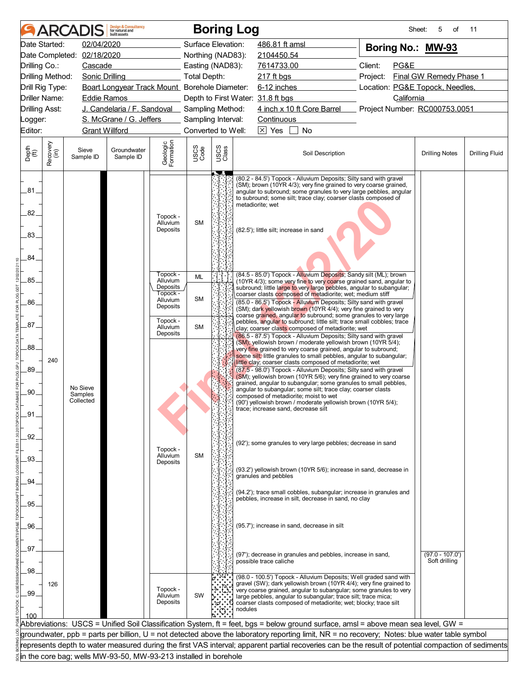|                             |                       | <b>ARCADIS</b>                   | <b>Design &amp; Consultancy</b><br>for natural and<br>huilt assets |                                              |                    |                    | <b>Boring Log</b>                                                                                                                                                                                                                                                                                                                                                                                                                                                                                                                                                                                                                                                                               | Sheet:                          | 5<br>οf                            | 11                    |  |
|-----------------------------|-----------------------|----------------------------------|--------------------------------------------------------------------|----------------------------------------------|--------------------|--------------------|-------------------------------------------------------------------------------------------------------------------------------------------------------------------------------------------------------------------------------------------------------------------------------------------------------------------------------------------------------------------------------------------------------------------------------------------------------------------------------------------------------------------------------------------------------------------------------------------------------------------------------------------------------------------------------------------------|---------------------------------|------------------------------------|-----------------------|--|
|                             | Date Started:         | 02/04/2020                       |                                                                    |                                              | Surface Elevation: |                    | 486.81 ft amsl                                                                                                                                                                                                                                                                                                                                                                                                                                                                                                                                                                                                                                                                                  | Boring No.: MW-93               |                                    |                       |  |
|                             |                       | Date Completed: 02/18/2020       |                                                                    |                                              | Northing (NAD83):  |                    | 2104450.54                                                                                                                                                                                                                                                                                                                                                                                                                                                                                                                                                                                                                                                                                      |                                 |                                    |                       |  |
| Drilling Co.:               |                       | Cascade                          |                                                                    |                                              | Easting (NAD83):   |                    | 7614733.00                                                                                                                                                                                                                                                                                                                                                                                                                                                                                                                                                                                                                                                                                      | Client:<br>PG&E                 |                                    |                       |  |
|                             | Drilling Method:      | <b>Sonic Drilling</b>            |                                                                    |                                              | Total Depth:       |                    | 217 ft bgs                                                                                                                                                                                                                                                                                                                                                                                                                                                                                                                                                                                                                                                                                      | Project:                        | Final GW Remedy Phase 1            |                       |  |
|                             | Drill Rig Type:       |                                  | Boart Longyear Track Mount_ Borehole Diameter:                     |                                              |                    |                    | 6-12 inches                                                                                                                                                                                                                                                                                                                                                                                                                                                                                                                                                                                                                                                                                     | Location: PG&E Topock, Needles, |                                    |                       |  |
|                             | Driller Name:         | <b>Eddie Ramos</b>               |                                                                    |                                              |                    |                    | Depth to First Water: 31.8 ft bgs                                                                                                                                                                                                                                                                                                                                                                                                                                                                                                                                                                                                                                                               | California                      |                                    |                       |  |
| <b>Drilling Asst:</b>       |                       |                                  | J. Candelaria / F. Sandoval                                        |                                              | Sampling Method:   |                    | 4 inch x 10 ft Core Barrel                                                                                                                                                                                                                                                                                                                                                                                                                                                                                                                                                                                                                                                                      | Project Number: RC000753.0051   |                                    |                       |  |
| Logger:                     |                       |                                  | S. McGrane / G. Jeffers                                            |                                              | Sampling Interval: |                    | Continuous                                                                                                                                                                                                                                                                                                                                                                                                                                                                                                                                                                                                                                                                                      |                                 |                                    |                       |  |
| Editor:                     | <b>Grant Willford</b> |                                  |                                                                    |                                              |                    | Converted to Well: | $\boxed{\times}$ Yes<br><b>No</b>                                                                                                                                                                                                                                                                                                                                                                                                                                                                                                                                                                                                                                                               |                                 |                                    |                       |  |
| Depth<br>$\widetilde{f(t)}$ | Recovery<br>(in)      | Sieve<br>Sample ID               | Groundwater<br>Sample ID                                           | Geologic<br>Formation                        | USCS<br>Code       | USCS<br>Class      | Soil Description                                                                                                                                                                                                                                                                                                                                                                                                                                                                                                                                                                                                                                                                                |                                 | <b>Drilling Notes</b>              | <b>Drilling Fluid</b> |  |
| .81<br>82.<br>83.           |                       |                                  |                                                                    | Topock -<br>Alluvium<br>Deposits             | <b>SM</b>          | JT                 | (80.2 - 84.5') Topock - Alluvium Deposits; Silty sand with gravel<br>(SM); brown (10YR 4/3); very fine grained to very coarse grained,<br>angular to subround; some granules to very large pebbles, angular<br>to subround; some silt; trace clay; coarser clasts composed of<br>metadiorite; wet<br>(82.5'); little silt; increase in sand                                                                                                                                                                                                                                                                                                                                                     |                                 |                                    |                       |  |
| 84                          |                       |                                  |                                                                    |                                              |                    |                    |                                                                                                                                                                                                                                                                                                                                                                                                                                                                                                                                                                                                                                                                                                 |                                 |                                    |                       |  |
| .85.                        |                       |                                  |                                                                    | Topock -<br>Alluvium<br>Deposits<br>Topock - | <b>ML</b>          |                    | (84.5 - 85.0') Topock - Alluvium Deposits; Sandy silt (ML); brown<br>(10YR 4/3); some very fine to very coarse grained sand, angular to<br>subround; little large to very large pebbles, angular to subangular;<br>coarser clasts composed of metadiorite; wet; medium stiff                                                                                                                                                                                                                                                                                                                                                                                                                    |                                 |                                    |                       |  |
| 86.                         |                       |                                  |                                                                    | Alluvium<br>Deposits                         | <b>SM</b>          |                    | (85.0 - 86.5') Topock - Alluvium Deposits; Silty sand with gravel<br>(SM); dark yellowish brown (10YR 4/4); very fine grained to very<br>coarse grained, angular to subround; some granules to very large                                                                                                                                                                                                                                                                                                                                                                                                                                                                                       |                                 |                                    |                       |  |
| .87.                        |                       |                                  |                                                                    | Topock -<br>Alluvium<br>Deposits             | <b>SM</b>          |                    | pebbles, angular to subround; little silt; trace small cobbles; trace<br>clay; coarser clasts composed of metadiorite; wet<br>(86.5 - 87.5') Topock - Alluvium Deposits; Silty sand with gravel                                                                                                                                                                                                                                                                                                                                                                                                                                                                                                 |                                 |                                    |                       |  |
| .88.<br>89.<br>.90.<br>.91  | 240                   | No Sieve<br>Samples<br>Collected |                                                                    |                                              |                    |                    | (SM); yellowish brown / moderate yellowish brown (10YR 5/4);<br>very fine grained to very coarse grained, angular to subround;<br>some silt; little granules to small pebbles, angular to subangular;<br>little clay; coarser clasts composed of metadiorite; wet<br>(87.5 - 98.0') Topock - Alluvium Deposits; Silty sand with gravel<br>(SM); yellowish brown (10YR 5/6); very fine grained to very coarse<br>grained, angular to subangular; some granules to small pebbles,<br>angular to subangular; some silt; trace clay; coarser clasts<br>composed of metadiorite; moist to wet<br>(90') yellowish brown / moderate yellowish brown (10YR 5/4);<br>trace: increase sand, decrease silt |                                 |                                    |                       |  |
| .92.<br>.93.                |                       |                                  |                                                                    | Topock -<br>Alluvium                         | <b>SM</b>          |                    | (92'); some granules to very large pebbles; decrease in sand                                                                                                                                                                                                                                                                                                                                                                                                                                                                                                                                                                                                                                    |                                 |                                    |                       |  |
| .94                         |                       |                                  |                                                                    | Deposits                                     |                    |                    | (93.2') yellowish brown (10YR 5/6); increase in sand, decrease in<br>granules and pebbles                                                                                                                                                                                                                                                                                                                                                                                                                                                                                                                                                                                                       |                                 |                                    |                       |  |
| 95.                         |                       |                                  |                                                                    |                                              |                    |                    | (94.2'); trace small cobbles, subangular; increase in granules and<br>pebbles, increase in silt, decrease in sand, no clay                                                                                                                                                                                                                                                                                                                                                                                                                                                                                                                                                                      |                                 |                                    |                       |  |
|                             |                       |                                  |                                                                    |                                              |                    |                    |                                                                                                                                                                                                                                                                                                                                                                                                                                                                                                                                                                                                                                                                                                 |                                 |                                    |                       |  |
| .96.                        |                       |                                  |                                                                    |                                              |                    |                    | (95.7'); increase in sand, decrease in silt                                                                                                                                                                                                                                                                                                                                                                                                                                                                                                                                                                                                                                                     |                                 |                                    |                       |  |
|                             |                       |                                  |                                                                    |                                              |                    |                    |                                                                                                                                                                                                                                                                                                                                                                                                                                                                                                                                                                                                                                                                                                 |                                 |                                    |                       |  |
| .97.<br>.98.                |                       |                                  |                                                                    |                                              |                    |                    | (97'); decrease in granules and pebbles, increase in sand,<br>possible trace caliche                                                                                                                                                                                                                                                                                                                                                                                                                                                                                                                                                                                                            |                                 | $(97.0 - 107.0')$<br>Soft drilling |                       |  |
| .99.<br>100                 | 126                   |                                  |                                                                    | Topock -<br>Alluvium<br>Deposits             | SW                 |                    | (98.0 - 100.5') Topock - Alluvium Deposits; Well graded sand with<br>gravel (SW); dark yellowish brown (10YR 4/4); very fine grained to<br>very coarse grained, angular to subangular; some granules to very<br>large pebbles, angular to subangular; trace silt; trace mica;<br>coarser clasts composed of metadiorite; wet; blocky; trace silt<br>nodules                                                                                                                                                                                                                                                                                                                                     |                                 |                                    |                       |  |
|                             |                       |                                  |                                                                    |                                              |                    |                    | Abbreviations: USCS = Unified Soil Classification System, ft = feet, bgs = below ground surface, amsl = above mean sea level, GW =                                                                                                                                                                                                                                                                                                                                                                                                                                                                                                                                                              |                                 |                                    |                       |  |
|                             |                       |                                  |                                                                    |                                              |                    |                    | groundwater, ppb = parts per billion, U = not detected above the laboratory reporting limit, NR = no recovery; Notes: blue water table symbol                                                                                                                                                                                                                                                                                                                                                                                                                                                                                                                                                   |                                 |                                    |                       |  |
|                             |                       |                                  |                                                                    |                                              |                    |                    | represents depth to water measured during the first VAS interval; apparent partial recoveries can be the result of potential compaction of sediments                                                                                                                                                                                                                                                                                                                                                                                                                                                                                                                                            |                                 |                                    |                       |  |
|                             |                       |                                  | in the core bag; wells MW-93-50, MW-93-213 installed in borehole   |                                              |                    |                    |                                                                                                                                                                                                                                                                                                                                                                                                                                                                                                                                                                                                                                                                                                 |                                 |                                    |                       |  |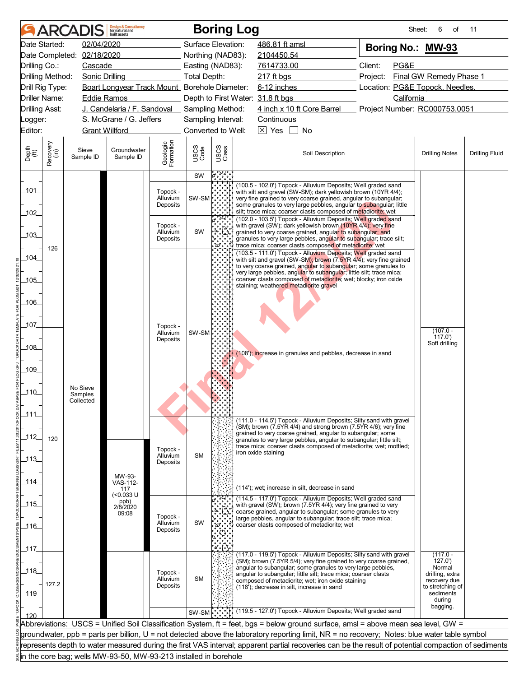|                             |                  | <b>ARCADIS</b>             | <b>Design &amp; Consultancy</b><br>for natural and<br>huilt assets |                       |                    | <b>Boring Log</b>                                  |                                                                                                                                                      | Sheet:                          | 6<br>οf                         | 11                    |
|-----------------------------|------------------|----------------------------|--------------------------------------------------------------------|-----------------------|--------------------|----------------------------------------------------|------------------------------------------------------------------------------------------------------------------------------------------------------|---------------------------------|---------------------------------|-----------------------|
|                             | Date Started:    | 02/04/2020                 |                                                                    |                       |                    | Surface Elevation:                                 | 486.81 ft amsl                                                                                                                                       | Boring No.: MW-93               |                                 |                       |
|                             |                  | Date Completed: 02/18/2020 |                                                                    |                       |                    | Northing (NAD83):                                  | 2104450.54                                                                                                                                           |                                 |                                 |                       |
| Drilling Co.:               |                  | Cascade                    |                                                                    |                       |                    | Easting (NAD83):                                   | 7614733.00                                                                                                                                           | Client:<br>PG&E                 |                                 |                       |
|                             | Drilling Method: | <b>Sonic Drilling</b>      |                                                                    |                       | Total Depth:       |                                                    | 217 ft bgs                                                                                                                                           | Project:                        | Final GW Remedy Phase 1         |                       |
|                             | Drill Rig Type:  |                            | Boart Longyear Track Mount Borehole Diameter:                      |                       |                    |                                                    | 6-12 inches                                                                                                                                          | Location: PG&E Topock, Needles, |                                 |                       |
|                             | Driller Name:    | <b>Eddie Ramos</b>         |                                                                    |                       |                    | Depth to First Water: 31.8 ft bgs                  |                                                                                                                                                      | California                      |                                 |                       |
| <b>Drilling Asst:</b>       |                  |                            | J. Candelaria / F. Sandoval _ Sampling Method:                     |                       |                    |                                                    | 4 inch x 10 ft Core Barrel                                                                                                                           | Project Number: RC000753.0051   |                                 |                       |
| Logger:                     |                  |                            | S. McGrane / G. Jeffers                                            |                       |                    | Sampling Interval:                                 | Continuous                                                                                                                                           |                                 |                                 |                       |
| Editor:                     |                  | <b>Grant Willford</b>      |                                                                    |                       |                    | Converted to Well:                                 | $\boxed{\times}$ Yes<br><b>No</b>                                                                                                                    |                                 |                                 |                       |
| Depth<br>$\widetilde{f(t)}$ | Recovery<br>(in) | Sieve<br>Sample ID         | Groundwater<br>Sample ID                                           | Geologic<br>Formation | USCS<br>Code       | USCS<br>Class                                      | Soil Description                                                                                                                                     |                                 | <b>Drilling Notes</b>           | <b>Drilling Fluid</b> |
|                             |                  |                            |                                                                    |                       |                    |                                                    |                                                                                                                                                      |                                 |                                 |                       |
|                             |                  |                            |                                                                    |                       | SW                 | $\mathfrak{p}^{\circ}_{\circ\circ\circ\circ\circ}$ |                                                                                                                                                      |                                 |                                 |                       |
| 101                         |                  |                            |                                                                    | Topock -              |                    |                                                    | (100.5 - 102.0') Topock - Alluvium Deposits; Well graded sand<br>with silt and gravel (SW-SM); dark yellowish brown (10YR 4/4);                      |                                 |                                 |                       |
|                             |                  |                            |                                                                    | Alluvium<br>Deposits  | SW-SM <sup>I</sup> |                                                    | very fine grained to very coarse grained, angular to subangular;<br>some granules to very large pebbles, angular to subangular; little               |                                 |                                 |                       |
| 102                         |                  |                            |                                                                    |                       |                    |                                                    | silt; trace mica; coarser clasts composed of metadiorite; wet                                                                                        |                                 |                                 |                       |
|                             |                  |                            |                                                                    | Topock -              |                    |                                                    | (102.0 - 103.5') Topock - Alluvium Deposits; Well graded sand<br>with gravel (SW); dark yellowish brown (10YR 4/4); very fine                        |                                 |                                 |                       |
| 103                         |                  |                            |                                                                    | <b>Alluvium</b>       | SW                 |                                                    | grained to very coarse grained, angular to subangular; and                                                                                           |                                 |                                 |                       |
|                             |                  |                            |                                                                    | Deposits              |                    | .జి                                                | granules to very large pebbles, angular to subangular; trace silt;<br>trace mica; coarser clasts composed of metadiorite; wet                        |                                 |                                 |                       |
|                             | 126              |                            |                                                                    |                       |                    |                                                    | (103.5 - 111.0') Topock - Alluvium Deposits; Well graded sand                                                                                        |                                 |                                 |                       |
| 104                         |                  |                            |                                                                    |                       |                    |                                                    | with silt and gravel (SW-SM); brown (7.5YR 4/4); very fine grained<br>to very coarse grained, angular to subangular; some granules to                |                                 |                                 |                       |
|                             |                  |                            |                                                                    |                       |                    |                                                    | very large pebbles, angular to subangular; little silt; trace mica;                                                                                  |                                 |                                 |                       |
| _105_                       |                  |                            |                                                                    |                       |                    |                                                    | coarser clasts composed of metadiorite; wet; blocky; iron oxide<br>staining; weathered metadiorite gravel                                            |                                 |                                 |                       |
|                             |                  |                            |                                                                    |                       |                    |                                                    |                                                                                                                                                      |                                 |                                 |                       |
| _106_                       |                  |                            |                                                                    |                       |                    |                                                    |                                                                                                                                                      |                                 |                                 |                       |
|                             |                  |                            |                                                                    |                       |                    |                                                    |                                                                                                                                                      |                                 |                                 |                       |
| 107                         |                  |                            |                                                                    | Topock -              |                    |                                                    |                                                                                                                                                      |                                 | $(107.0 -$                      |                       |
|                             |                  |                            |                                                                    | Alluvium<br>Deposits  | SW-SM              |                                                    |                                                                                                                                                      |                                 | (117.0)                         |                       |
| _108_                       |                  |                            |                                                                    |                       |                    |                                                    |                                                                                                                                                      |                                 | Soft drilling                   |                       |
|                             |                  |                            |                                                                    |                       |                    |                                                    | (108'); increase in granules and pebbles, decrease in sand                                                                                           |                                 |                                 |                       |
| _109_                       |                  |                            |                                                                    |                       |                    |                                                    |                                                                                                                                                      |                                 |                                 |                       |
|                             |                  |                            |                                                                    |                       |                    |                                                    |                                                                                                                                                      |                                 |                                 |                       |
| $-110$                      |                  | No Sieve                   |                                                                    |                       |                    |                                                    |                                                                                                                                                      |                                 |                                 |                       |
|                             |                  | Samples<br>Collected       |                                                                    |                       |                    |                                                    |                                                                                                                                                      |                                 |                                 |                       |
| _111_                       |                  |                            |                                                                    |                       |                    |                                                    |                                                                                                                                                      |                                 |                                 |                       |
|                             |                  |                            |                                                                    |                       |                    |                                                    | (111.0 - 114.5') Topock - Alluvium Deposits; Silty sand with gravel                                                                                  |                                 |                                 |                       |
|                             |                  |                            |                                                                    |                       |                    |                                                    | $(SM)$ ; brown (7.5YR 4/4) and strong brown (7.5YR 4/6); very fine<br>grained to very coarse grained, angular to subangular; some                    |                                 |                                 |                       |
| $-112$                      | 120              |                            |                                                                    |                       |                    |                                                    | granules to very large pebbles, angular to subangular; little silt;                                                                                  |                                 |                                 |                       |
|                             |                  |                            |                                                                    | Topock -<br>Alluvium  | <b>SM</b>          |                                                    | trace mica; coarser clasts composed of metadiorite; wet; mottled;<br>iron oxide staining                                                             |                                 |                                 |                       |
| $-113$                      |                  |                            |                                                                    | Deposits              |                    |                                                    |                                                                                                                                                      |                                 |                                 |                       |
|                             |                  |                            | MW-93-                                                             |                       |                    |                                                    |                                                                                                                                                      |                                 |                                 |                       |
| _114_                       |                  |                            | VAS-112-                                                           |                       |                    |                                                    | (114'); wet; increase in silt, decrease in sand                                                                                                      |                                 |                                 |                       |
|                             |                  |                            | 117<br>(<0.033 U                                                   |                       |                    |                                                    | (114.5 - 117.0') Topock - Alluvium Deposits; Well graded sand                                                                                        |                                 |                                 |                       |
| $-115$                      |                  |                            | ppb)<br>2/8/2020                                                   |                       |                    |                                                    | with gravel (SW); brown (7.5YR 4/4); very fine grained to very                                                                                       |                                 |                                 |                       |
|                             |                  |                            | 09:08                                                              | Topock -              |                    |                                                    | coarse grained, angular to subangular; some granules to very<br>large pebbles, angular to subangular; trace silt; trace mica;                        |                                 |                                 |                       |
| ـ116ـ                       |                  |                            |                                                                    | Alluvium<br>Deposits  | SW                 | త.                                                 | coarser clasts composed of metadiorite; wet                                                                                                          |                                 |                                 |                       |
|                             |                  |                            |                                                                    |                       |                    |                                                    |                                                                                                                                                      |                                 |                                 |                       |
| _117_                       |                  |                            |                                                                    |                       |                    |                                                    |                                                                                                                                                      |                                 |                                 |                       |
|                             |                  |                            |                                                                    |                       |                    |                                                    | (117.0 - 119.5') Topock - Alluvium Deposits; Silty sand with gravel<br>(SM); brown (7.5YR 5/4); very fine grained to very coarse grained,            |                                 | $(117.0 -$<br>127.0'            |                       |
| 118                         |                  |                            |                                                                    | Topock -              |                    |                                                    | angular to subangular; some granules to very large pebbles,                                                                                          |                                 | Normal                          |                       |
|                             |                  |                            |                                                                    | Alluvium              | <b>SM</b>          |                                                    | angular to subangular; little silt; trace mica; coarser clasts<br>composed of metadiorite; wet; iron oxide staining                                  |                                 | drilling, extra<br>recovery due |                       |
| $-119$                      | 127.2            |                            |                                                                    | Deposits              |                    |                                                    | (118'); decrease in silt, increase in sand                                                                                                           |                                 | to stretching of<br>sediments   |                       |
|                             |                  |                            |                                                                    |                       |                    |                                                    |                                                                                                                                                      |                                 | during                          |                       |
|                             |                  |                            |                                                                    |                       | SW-SM              |                                                    | (119.5 - 127.0') Topock - Alluvium Deposits; Well graded sand                                                                                        |                                 | bagging.                        |                       |
|                             |                  |                            |                                                                    |                       |                    |                                                    | Abbreviations: USCS = Unified Soil Classification System, ft = feet, bgs = below ground surface, amsl = above mean sea level, GW =                   |                                 |                                 |                       |
|                             |                  |                            |                                                                    |                       |                    |                                                    | groundwater, ppb = parts per billion, U = not detected above the laboratory reporting limit, NR = no recovery; Notes: blue water table symbol        |                                 |                                 |                       |
|                             |                  |                            |                                                                    |                       |                    |                                                    | represents depth to water measured during the first VAS interval; apparent partial recoveries can be the result of potential compaction of sediments |                                 |                                 |                       |
|                             |                  |                            |                                                                    |                       |                    |                                                    |                                                                                                                                                      |                                 |                                 |                       |
|                             |                  |                            | in the core bag; wells MW-93-50, MW-93-213 installed in borehole   |                       |                    |                                                    |                                                                                                                                                      |                                 |                                 |                       |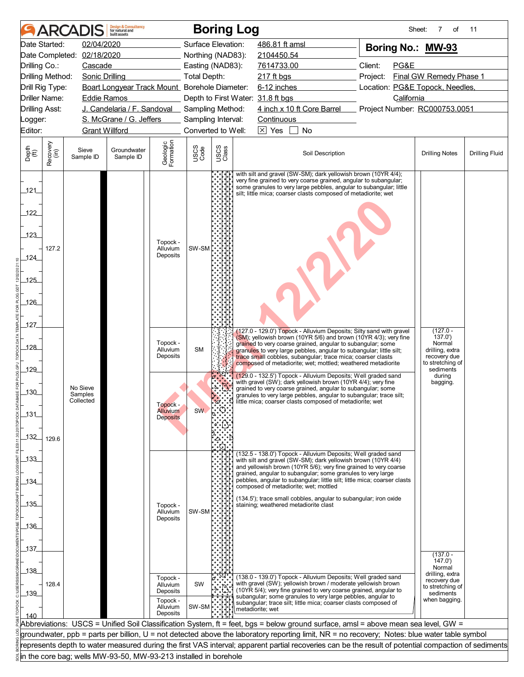|                             |                      | <b>ARCADIS</b>                                                   | <b>Design &amp; Consultancy</b><br>for natural and<br>huilt assets |                                    |              | <b>Boring Log</b>  |                                                                                                                                                                                                                                                                            | Sheet:                          | 7<br>of                                             | 11                    |
|-----------------------------|----------------------|------------------------------------------------------------------|--------------------------------------------------------------------|------------------------------------|--------------|--------------------|----------------------------------------------------------------------------------------------------------------------------------------------------------------------------------------------------------------------------------------------------------------------------|---------------------------------|-----------------------------------------------------|-----------------------|
|                             | Date Started:        | 02/04/2020                                                       |                                                                    |                                    |              | Surface Elevation: | 486.81 ft amsl                                                                                                                                                                                                                                                             | Boring No.: MW-93               |                                                     |                       |
|                             |                      | Date Completed: 02/18/2020                                       |                                                                    |                                    |              | Northing (NAD83):  | 2104450.54                                                                                                                                                                                                                                                                 |                                 |                                                     |                       |
| Drilling Co.:               |                      | Cascade                                                          |                                                                    |                                    |              | Easting (NAD83):   | 7614733.00                                                                                                                                                                                                                                                                 | Client:<br>PG&E                 |                                                     |                       |
|                             | Drilling Method:     | <b>Sonic Drilling</b>                                            |                                                                    |                                    | Total Depth: |                    | 217 ft bgs                                                                                                                                                                                                                                                                 | Project:                        | Final GW Remedy Phase 1                             |                       |
|                             | Drill Rig Type:      |                                                                  | Boart Longyear Track Mount Borehole Diameter:                      |                                    |              |                    | 6-12 inches                                                                                                                                                                                                                                                                | Location: PG&E Topock, Needles, |                                                     |                       |
|                             | <b>Driller Name:</b> | <b>Eddie Ramos</b>                                               |                                                                    |                                    |              |                    | Depth to First Water: 31.8 ft bgs                                                                                                                                                                                                                                          | California                      |                                                     |                       |
| <b>Drilling Asst:</b>       |                      |                                                                  | J. Candelaria / F. Sandoval Sampling Method:                       |                                    |              |                    | 4 inch x 10 ft Core Barrel                                                                                                                                                                                                                                                 | Project Number: RC000753.0051   |                                                     |                       |
| Logger:                     |                      |                                                                  | S. McGrane / G. Jeffers                                            |                                    |              | Sampling Interval: | Continuous                                                                                                                                                                                                                                                                 |                                 |                                                     |                       |
| Editor:                     |                      | <b>Grant Willford</b>                                            |                                                                    |                                    |              | Converted to Well: | $ \overline{X} $ Yes<br><b>No</b>                                                                                                                                                                                                                                          |                                 |                                                     |                       |
| Depth<br>$\widetilde{f(t)}$ | Recovery<br>(in)     | Sieve<br>Sample ID                                               | Groundwater<br>Sample ID                                           | Geologic<br>Formation              | USCS<br>Code | USCS<br>Class      | Soil Description                                                                                                                                                                                                                                                           |                                 | <b>Drilling Notes</b>                               | <b>Drilling Fluid</b> |
| 121                         |                      |                                                                  |                                                                    |                                    |              |                    | with silt and gravel (SW-SM); dark yellowish brown (10YR 4/4);<br>very fine grained to very coarse grained, angular to subangular;<br>some granules to very large pebbles, angular to subangular; little<br>silt; little mica; coarser clasts composed of metadiorite; wet |                                 |                                                     |                       |
| 122                         |                      |                                                                  |                                                                    |                                    |              |                    |                                                                                                                                                                                                                                                                            |                                 |                                                     |                       |
| 123                         |                      |                                                                  |                                                                    | Topock -                           |              |                    |                                                                                                                                                                                                                                                                            |                                 |                                                     |                       |
| _124_                       | 127.2                |                                                                  |                                                                    | Alluvium<br>Deposits               | SW-SM        |                    |                                                                                                                                                                                                                                                                            |                                 |                                                     |                       |
| 125                         |                      |                                                                  |                                                                    |                                    |              |                    |                                                                                                                                                                                                                                                                            |                                 |                                                     |                       |
| 126                         |                      |                                                                  |                                                                    |                                    |              |                    |                                                                                                                                                                                                                                                                            |                                 |                                                     |                       |
| 127                         |                      |                                                                  |                                                                    |                                    |              |                    |                                                                                                                                                                                                                                                                            |                                 |                                                     |                       |
|                             |                      |                                                                  |                                                                    | Topock -                           |              |                    | (127.0 - 129.0') Topock - Alluvium Deposits; Silty sand with gravel<br>(SM); yellowish brown (10YR 5/6) and brown (10YR 4/3); very fine                                                                                                                                    |                                 | $(127.0 -$<br>137.0'<br>Normal                      |                       |
| _128_                       |                      |                                                                  |                                                                    | Alluvium<br>Deposits               | <b>SM</b>    |                    | grained to very coarse grained, angular to subangular; some<br>granules to very large pebbles, angular to subangular; little silt;<br>trace small cobbles, subangular; trace mica; coarser clasts<br>composed of metadiorite; wet; mottled; weathered metadiorite          |                                 | drilling, extra<br>recovery due<br>to stretching of |                       |
| 129                         |                      |                                                                  |                                                                    |                                    |              |                    | (129.0 - 132.5') Topock - Alluvium Deposits; Well graded sand<br>with gravel (SW); dark yellowish brown (10YR 4/4); very fine                                                                                                                                              |                                 | sediments<br>during<br>bagging.                     |                       |
| _130_                       |                      | No Sieve<br>Samples<br>Collected                                 |                                                                    | Topock -                           |              |                    | grained to very coarse grained, angular to subangular; some<br>granules to very large pebbles, angular to subangular; trace silt;<br>little mica; coarser clasts composed of metadiorite; wet                                                                              |                                 |                                                     |                       |
| 131                         |                      |                                                                  |                                                                    | <b>Alluvium</b><br><b>Deposits</b> | <b>SW</b>    |                    |                                                                                                                                                                                                                                                                            |                                 |                                                     |                       |
| _132_                       | 129.6                |                                                                  |                                                                    |                                    |              |                    |                                                                                                                                                                                                                                                                            |                                 |                                                     |                       |
| $-133$                      |                      |                                                                  |                                                                    |                                    |              |                    | (132.5 - 138.0') Topock - Alluvium Deposits; Well graded sand<br>with silt and gravel (SW-SM); dark yellowish brown (10YR 4/4)<br>and yellowish brown (10YR 5/6); very fine grained to very coarse                                                                         |                                 |                                                     |                       |
| _134_                       |                      |                                                                  |                                                                    |                                    |              |                    | grained, angular to subangular; some granules to very large<br>pebbles, angular to subangular; little silt; little mica; coarser clasts                                                                                                                                    |                                 |                                                     |                       |
|                             |                      |                                                                  |                                                                    |                                    |              |                    | composed of metadiorite; wet; mottled<br>(134.5'); trace small cobbles, angular to subangular; iron oxide                                                                                                                                                                  |                                 |                                                     |                       |
| 135                         |                      |                                                                  |                                                                    | Topock -<br>Alluvium               | SW-SM        |                    | staining; weathered metadiorite clast                                                                                                                                                                                                                                      |                                 |                                                     |                       |
|                             |                      |                                                                  |                                                                    | Deposits                           |              |                    |                                                                                                                                                                                                                                                                            |                                 |                                                     |                       |
| $-136$                      |                      |                                                                  |                                                                    |                                    |              |                    |                                                                                                                                                                                                                                                                            |                                 |                                                     |                       |
|                             |                      |                                                                  |                                                                    |                                    |              |                    |                                                                                                                                                                                                                                                                            |                                 |                                                     |                       |
| 137                         |                      |                                                                  |                                                                    |                                    |              |                    |                                                                                                                                                                                                                                                                            |                                 | $(137.0 -$                                          |                       |
|                             |                      |                                                                  |                                                                    |                                    |              |                    |                                                                                                                                                                                                                                                                            |                                 | 147.0'<br>Normal                                    |                       |
| $-138$                      |                      |                                                                  |                                                                    | Topock -                           |              |                    | (138.0 - 139.0') Topock - Alluvium Deposits; Well graded sand                                                                                                                                                                                                              |                                 | drilling, extra<br>recovery due                     |                       |
|                             | 128.4                |                                                                  |                                                                    | Alluvium<br>Deposits               | <b>SW</b>    |                    | with gravel (SW); yellowish brown / moderate yellowish brown<br>(10YR 5/4); very fine grained to very coarse grained, angular to                                                                                                                                           |                                 | to stretching of                                    |                       |
| $-139$                      |                      |                                                                  |                                                                    | Topock -                           |              |                    | subangular; some granules to very large pebbles, angular to<br>subangular; trace silt; little mica; coarser clasts composed of                                                                                                                                             |                                 | sediments<br>when bagging.                          |                       |
|                             |                      |                                                                  |                                                                    | Alluvium<br>Deposits               | SW-SM        |                    | metadiorite; wet                                                                                                                                                                                                                                                           |                                 |                                                     |                       |
| 140                         |                      |                                                                  |                                                                    |                                    |              |                    | Abbreviations: USCS = Unified Soil Classification System, ft = feet, bgs = below ground surface, amsl = above mean sea level, GW =                                                                                                                                         |                                 |                                                     |                       |
|                             |                      |                                                                  |                                                                    |                                    |              |                    | groundwater, ppb = parts per billion, U = not detected above the laboratory reporting limit, NR = no recovery; Notes: blue water table symbol                                                                                                                              |                                 |                                                     |                       |
|                             |                      |                                                                  |                                                                    |                                    |              |                    | represents depth to water measured during the first VAS interval; apparent partial recoveries can be the result of potential compaction of sediments                                                                                                                       |                                 |                                                     |                       |
|                             |                      | in the core bag; wells MW-93-50, MW-93-213 installed in borehole |                                                                    |                                    |              |                    |                                                                                                                                                                                                                                                                            |                                 |                                                     |                       |
|                             |                      |                                                                  |                                                                    |                                    |              |                    |                                                                                                                                                                                                                                                                            |                                 |                                                     |                       |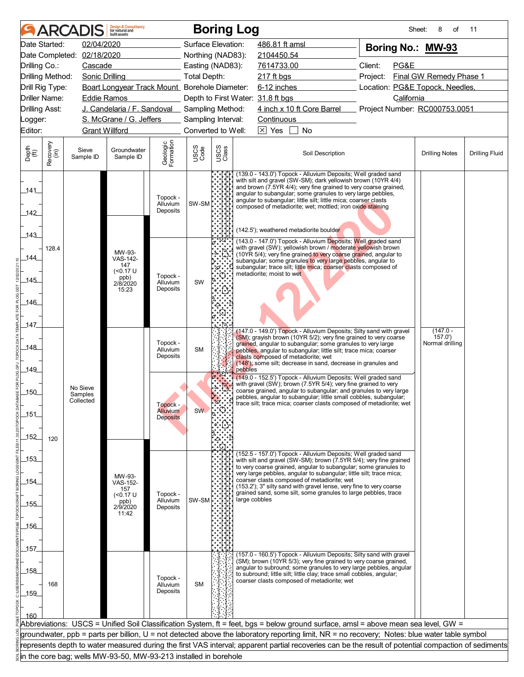|                             |                                    | <b>ARCADIS</b>                   | <b>Design &amp; Consultancy</b><br>for natural and<br>huilt assets |                                  |                     |               | <b>Boring Log</b>                                                                                                                                                                                                                                                                                                                                                                                                               | Sheet:                          | 8<br>οf                   | 11                    |  |
|-----------------------------|------------------------------------|----------------------------------|--------------------------------------------------------------------|----------------------------------|---------------------|---------------|---------------------------------------------------------------------------------------------------------------------------------------------------------------------------------------------------------------------------------------------------------------------------------------------------------------------------------------------------------------------------------------------------------------------------------|---------------------------------|---------------------------|-----------------------|--|
|                             | Date Started:                      | 02/04/2020                       |                                                                    |                                  | Surface Elevation:  |               | 486.81 ft amsl                                                                                                                                                                                                                                                                                                                                                                                                                  | Boring No.: MW-93               |                           |                       |  |
|                             |                                    | Date Completed: 02/18/2020       |                                                                    |                                  | Northing (NAD83):   |               | 2104450.54                                                                                                                                                                                                                                                                                                                                                                                                                      |                                 |                           |                       |  |
| Drilling Co.:               |                                    | Cascade                          |                                                                    |                                  | Easting (NAD83):    |               | 7614733.00                                                                                                                                                                                                                                                                                                                                                                                                                      | Client:<br>PG&E                 |                           |                       |  |
|                             | Drilling Method:                   | Sonic Drilling                   |                                                                    |                                  | <b>Total Depth:</b> |               | 217 ft bgs                                                                                                                                                                                                                                                                                                                                                                                                                      | Project:                        | Final GW Remedy Phase 1   |                       |  |
|                             | Drill Rig Type:                    |                                  | Boart Longyear Track Mount Borehole Diameter:                      |                                  |                     |               | 6-12 inches                                                                                                                                                                                                                                                                                                                                                                                                                     | Location: PG&E Topock, Needles, |                           |                       |  |
|                             | <b>Driller Name:</b>               | <b>Eddie Ramos</b>               |                                                                    |                                  |                     |               | Depth to First Water: 31.8 ft bgs                                                                                                                                                                                                                                                                                                                                                                                               | California                      |                           |                       |  |
| <b>Drilling Asst:</b>       |                                    |                                  | J. Candelaria / F. Sandoval Sampling Method:                       |                                  |                     |               | 4 inch x 10 ft Core Barrel                                                                                                                                                                                                                                                                                                                                                                                                      | Project Number: RC000753.0051   |                           |                       |  |
|                             | S. McGrane / G. Jeffers<br>_ogger: |                                  |                                                                    |                                  | Sampling Interval:  |               | Continuous                                                                                                                                                                                                                                                                                                                                                                                                                      |                                 |                           |                       |  |
| Editor:                     |                                    | <b>Grant Willford</b>            |                                                                    |                                  | Converted to Well:  |               | $\boxed{\times}$ Yes<br><b>No</b>                                                                                                                                                                                                                                                                                                                                                                                               |                                 |                           |                       |  |
| Depth<br>$\widetilde{f(t)}$ | Recovery<br>(in)                   | Sieve<br>Sample ID               | Groundwater<br>Sample ID                                           | Geologic<br>Formation            | USCS<br>Code        | USCS<br>Class | Soil Description                                                                                                                                                                                                                                                                                                                                                                                                                |                                 | <b>Drilling Notes</b>     | <b>Drilling Fluid</b> |  |
| 141<br>142                  |                                    |                                  |                                                                    | Topock -<br>Alluvium<br>Deposits | SW-SM               |               | (139.0 - 143.0') Topock - Alluvium Deposits; Well graded sand<br>with silt and gravel (SW-SM); dark yellowish brown (10YR 4/4)<br>and brown ( $\overline{7}$ .5YR $\overline{4}/4$ ); very fine grained to very coarse grained,<br>angular to subangular; some granules to very large pebbles,<br>angular to subangular; little silt; little mica; coarser clasts<br>composed of metadiorite; wet; mottled; iron oxide staining |                                 |                           |                       |  |
| 143                         |                                    |                                  |                                                                    |                                  |                     |               | (142.5'); weathered metadiorite boulder<br>(143.0 - 147.0') Topock - Alluvium Deposits; Well graded sand                                                                                                                                                                                                                                                                                                                        |                                 |                           |                       |  |
| 144                         | 128.4                              |                                  | MW-93-<br>VAS-142-<br>147<br>$($ < 0.17 U                          |                                  |                     |               | with gravel (SW); yellowish brown / moderate yellowish brown<br>(10YR 5/4); very fine grained to very coarse grained, angular to<br>subangular; some granules to very large pebbles, angular to<br>subangular; trace silt; little mica; coarser clasts composed of                                                                                                                                                              |                                 |                           |                       |  |
| _145_                       |                                    |                                  | ppb)<br>2/8/2020<br>15:23                                          | Topock -<br>Alluvium<br>Deposits | SW                  |               | metadiorite; moist to wet                                                                                                                                                                                                                                                                                                                                                                                                       |                                 |                           |                       |  |
| 146                         |                                    |                                  |                                                                    |                                  |                     |               |                                                                                                                                                                                                                                                                                                                                                                                                                                 |                                 |                           |                       |  |
| 147                         |                                    |                                  |                                                                    |                                  |                     |               | (147.0 - 149.0') Topock - Alluvium Deposits; Silty sand with gravel                                                                                                                                                                                                                                                                                                                                                             |                                 | $(147.0 -$                |                       |  |
| 148                         |                                    |                                  |                                                                    | Topock -<br>Alluvium<br>Deposits | <b>SM</b>           |               | (SM); grayish brown (10YR 5/2); very fine grained to very coarse<br>grained, angular to subangular; some granules to very large<br>pebbles, angular to subangular; little silt; trace mica; coarser<br>clasts composed of metadiorite; wet<br>(148'); some silt; decrease in sand, decrease in granules and                                                                                                                     |                                 | 157.0'<br>Normal drilling |                       |  |
| 149_                        |                                    |                                  |                                                                    |                                  |                     |               | pebbles<br>(149.0 - 152.5') Topock - Alluvium Deposits; Well graded sand<br>with gravel (SW); brown (7.5YR 5/4); very fine grained to very                                                                                                                                                                                                                                                                                      |                                 |                           |                       |  |
| $-150$                      |                                    | No Sieve<br>Samples<br>Collected |                                                                    | Topock -<br><b>Alluvium</b>      | <b>SW</b>           |               | coarse grained, angular to subangular; and granules to very large<br>pebbles, angular to subangular; little small cobbles, subangular;<br>trace silt; trace mica; coarser clasts composed of metadiorite; wet                                                                                                                                                                                                                   |                                 |                           |                       |  |
| $-151$                      |                                    |                                  |                                                                    | <b>Deposits</b>                  |                     |               |                                                                                                                                                                                                                                                                                                                                                                                                                                 |                                 |                           |                       |  |
| $-152$                      | 120                                |                                  |                                                                    |                                  |                     |               | (152.5 - 157.0') Topock - Alluvium Deposits; Well graded sand                                                                                                                                                                                                                                                                                                                                                                   |                                 |                           |                       |  |
| $-153$<br>.154              |                                    |                                  | MW-93-                                                             |                                  |                     |               | with silt and gravel (SW-SM); brown (7.5YR 5/4); very fine grained<br>to very coarse grained, angular to subangular; some granules to<br>very large pebbles, angular to subangular; little silt; trace mica;<br>coarser clasts composed of metadiorite; wet                                                                                                                                                                     |                                 |                           |                       |  |
|                             |                                    |                                  | VAS-152-<br>157                                                    |                                  |                     |               | (153.2'); 3" silty sand with gravel lense, very fine to very coarse<br>grained sand, some silt, some granules to large pebbles, trace                                                                                                                                                                                                                                                                                           |                                 |                           |                       |  |
| 155                         |                                    |                                  | $($ < 0.17 U<br>ppb)                                               | Topock -<br>Alluvium             | SW-SM               |               | large cobbles                                                                                                                                                                                                                                                                                                                                                                                                                   |                                 |                           |                       |  |
|                             |                                    |                                  | 2/9/2020<br>11:42                                                  | Deposits                         |                     |               |                                                                                                                                                                                                                                                                                                                                                                                                                                 |                                 |                           |                       |  |
| _156_                       |                                    |                                  |                                                                    |                                  |                     |               |                                                                                                                                                                                                                                                                                                                                                                                                                                 |                                 |                           |                       |  |
|                             |                                    |                                  |                                                                    |                                  |                     |               |                                                                                                                                                                                                                                                                                                                                                                                                                                 |                                 |                           |                       |  |
| _157_                       |                                    |                                  |                                                                    |                                  |                     |               |                                                                                                                                                                                                                                                                                                                                                                                                                                 |                                 |                           |                       |  |
| $-158$                      |                                    |                                  |                                                                    | Topock -                         |                     |               | (157.0 - 160.5') Topock - Alluvium Deposits; Silty sand with gravel<br>(SM); brown (10YR 5/3); very fine grained to very coarse grained,<br>angular to subround; some granules to very large pebbles, angular<br>to subround; little silt; little clay; trace small cobbles, angular;                                                                                                                                           |                                 |                           |                       |  |
| $-159$                      | 168                                |                                  |                                                                    | Alluvium<br>Deposits             | <b>SM</b>           |               | coarser clasts composed of metadiorite; wet                                                                                                                                                                                                                                                                                                                                                                                     |                                 |                           |                       |  |
| 160                         |                                    |                                  |                                                                    |                                  |                     |               |                                                                                                                                                                                                                                                                                                                                                                                                                                 |                                 |                           |                       |  |
|                             |                                    |                                  |                                                                    |                                  |                     |               | Abbreviations: USCS = Unified Soil Classification System, ft = feet, bgs = below ground surface, amsl = above mean sea level, GW =                                                                                                                                                                                                                                                                                              |                                 |                           |                       |  |
|                             |                                    |                                  |                                                                    |                                  |                     |               | groundwater, ppb = parts per billion, U = not detected above the laboratory reporting limit, NR = no recovery; Notes: blue water table symbol                                                                                                                                                                                                                                                                                   |                                 |                           |                       |  |
|                             |                                    |                                  |                                                                    |                                  |                     |               | represents depth to water measured during the first VAS interval; apparent partial recoveries can be the result of potential compaction of sediments                                                                                                                                                                                                                                                                            |                                 |                           |                       |  |
|                             |                                    |                                  | in the core bag; wells MW-93-50, MW-93-213 installed in borehole   |                                  |                     |               |                                                                                                                                                                                                                                                                                                                                                                                                                                 |                                 |                           |                       |  |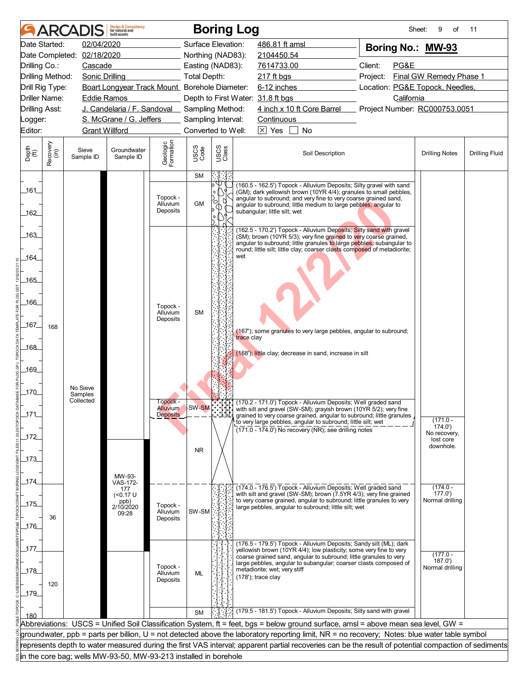|                             |                      | <b>ARCADIS</b>             | <b>Design &amp; Consultancy</b><br>for natural and<br>huilt assets |                                  |              | <b>Boring Log</b>  |                                                                                                                                                                                                                                                                                                                |                                 | 9<br>Sheet:<br>of         | 11                    |
|-----------------------------|----------------------|----------------------------|--------------------------------------------------------------------|----------------------------------|--------------|--------------------|----------------------------------------------------------------------------------------------------------------------------------------------------------------------------------------------------------------------------------------------------------------------------------------------------------------|---------------------------------|---------------------------|-----------------------|
|                             | Date Started:        | 02/04/2020                 |                                                                    |                                  |              | Surface Elevation: | 486.81 ft amsl                                                                                                                                                                                                                                                                                                 | Boring No.: MW-93               |                           |                       |
|                             |                      | Date Completed: 02/18/2020 |                                                                    |                                  |              | Northing (NAD83):  | 2104450.54                                                                                                                                                                                                                                                                                                     |                                 |                           |                       |
| Drilling Co.:               |                      | Cascade                    |                                                                    |                                  |              | Easting (NAD83):   | 7614733.00                                                                                                                                                                                                                                                                                                     | Client:<br>PG&E                 |                           |                       |
| Drilling Method:            |                      | <b>Sonic Drilling</b>      |                                                                    |                                  | Total Depth: |                    | 217 ft bgs                                                                                                                                                                                                                                                                                                     | Project:                        | Final GW Remedy Phase 1   |                       |
| Drill Rig Type:             |                      |                            | Boart Longyear Track Mount Borehole Diameter:                      |                                  |              |                    | 6-12 inches                                                                                                                                                                                                                                                                                                    | Location: PG&E Topock, Needles, |                           |                       |
|                             | <b>Driller Name:</b> | Eddie Ramos                |                                                                    |                                  |              |                    | Depth to First Water: 31.8 ft bgs                                                                                                                                                                                                                                                                              | California                      |                           |                       |
| <b>Drilling Asst:</b>       |                      |                            | J. Candelaria / F. Sandoval _ Sampling Method:                     |                                  |              |                    | 4 inch x 10 ft Core Barrel                                                                                                                                                                                                                                                                                     | Project Number: RC000753.0051   |                           |                       |
| Logger:                     |                      |                            | S. McGrane / G. Jeffers                                            |                                  |              | Sampling Interval: | Continuous                                                                                                                                                                                                                                                                                                     |                                 |                           |                       |
| Editor:                     |                      | <b>Grant Willford</b>      |                                                                    |                                  |              | Converted to Well: | $\boxed{\times}$ Yes<br><b>No</b>                                                                                                                                                                                                                                                                              |                                 |                           |                       |
| Depth<br>$\widetilde{f(t)}$ | Recovery<br>(in)     | Sieve<br>Sample ID         | Groundwater<br>Sample ID                                           | Geologic<br>Formation            | USCS<br>Code | USCS<br>Class      | Soil Description                                                                                                                                                                                                                                                                                               |                                 | <b>Drilling Notes</b>     | <b>Drilling Fluid</b> |
|                             |                      |                            |                                                                    |                                  | <b>SM</b>    |                    |                                                                                                                                                                                                                                                                                                                |                                 |                           |                       |
| _161_<br>162                |                      |                            |                                                                    | Topock -<br>Alluvium<br>Deposits | <b>GM</b>    | Ο                  | (160.5 - 162.5') Topock - Alluvium Deposits; Silty gravel with sand<br>(GM); dark yellowish brown (10YR 4/4); granules to small pebbles,<br>angular to subround; and very fine to very coarse grained sand,<br>angular to subround; little medium to large pebbles, angular to<br>subangular; little silt; wet |                                 |                           |                       |
|                             |                      |                            |                                                                    |                                  |              |                    |                                                                                                                                                                                                                                                                                                                |                                 |                           |                       |
| .163                        |                      |                            |                                                                    |                                  |              |                    | (162.5 - 170.2') Topock - Alluvium Deposits; Silty sand with gravel<br>(SM); brown (10YR 5/3); very fine grained to very coarse grained,<br>angular to subround; little granules to large pebbles, subangular to<br>round; little silt; little clay; coarser clasts composed of metadiorite;                   |                                 |                           |                       |
| 164                         |                      |                            |                                                                    |                                  |              | wet                |                                                                                                                                                                                                                                                                                                                |                                 |                           |                       |
|                             |                      |                            |                                                                    |                                  |              |                    |                                                                                                                                                                                                                                                                                                                |                                 |                           |                       |
| _165_                       |                      |                            |                                                                    |                                  |              |                    |                                                                                                                                                                                                                                                                                                                |                                 |                           |                       |
|                             |                      |                            |                                                                    |                                  |              |                    |                                                                                                                                                                                                                                                                                                                |                                 |                           |                       |
| 166                         |                      |                            |                                                                    | Topock -<br>Alluvium             | <b>SM</b>    |                    |                                                                                                                                                                                                                                                                                                                |                                 |                           |                       |
| _167_                       |                      |                            |                                                                    | Deposits                         |              |                    |                                                                                                                                                                                                                                                                                                                |                                 |                           |                       |
|                             | 168                  |                            |                                                                    |                                  |              |                    | (167'); some granules to very large pebbles, angular to subround;<br>trace clay                                                                                                                                                                                                                                |                                 |                           |                       |
| _168_                       |                      |                            |                                                                    |                                  |              |                    |                                                                                                                                                                                                                                                                                                                |                                 |                           |                       |
|                             |                      |                            |                                                                    |                                  |              |                    | (168'); little clay; decrease in sand, increase in silt                                                                                                                                                                                                                                                        |                                 |                           |                       |
| _169_                       |                      |                            |                                                                    |                                  |              |                    |                                                                                                                                                                                                                                                                                                                |                                 |                           |                       |
|                             |                      |                            |                                                                    |                                  |              |                    |                                                                                                                                                                                                                                                                                                                |                                 |                           |                       |
| $170$                       |                      | No Sieve<br>Samples        |                                                                    |                                  |              |                    |                                                                                                                                                                                                                                                                                                                |                                 |                           |                       |
|                             |                      | Collected                  |                                                                    | I opock -<br><b>Alluvium</b>     | SW-SM        |                    | (170.2 - 171.0') Topock - Alluvium Deposits; Well graded sand<br>with silt and gravel (SW-SM); grayish brown (10YR 5/2); very fine                                                                                                                                                                             |                                 |                           |                       |
| 171                         |                      |                            |                                                                    | <b>Deposits</b>                  |              |                    | grained to very coarse grained, angular to subround; little granules                                                                                                                                                                                                                                           |                                 | $(171.0 -$                |                       |
|                             |                      |                            |                                                                    |                                  |              |                    | to very large pebbles, angular to subround; little silt; wet<br>$(171.0 - 174.0)$ No recovery (NR); see drilling notes                                                                                                                                                                                         |                                 | (174.0)<br>No recovery,   |                       |
| $172$                       |                      |                            |                                                                    |                                  |              |                    |                                                                                                                                                                                                                                                                                                                |                                 | lost core                 |                       |
|                             |                      |                            |                                                                    |                                  | <b>NR</b>    |                    |                                                                                                                                                                                                                                                                                                                |                                 | downhole.                 |                       |
| $-173$                      |                      |                            |                                                                    |                                  |              |                    |                                                                                                                                                                                                                                                                                                                |                                 |                           |                       |
|                             |                      |                            | MW-93-                                                             |                                  |              |                    |                                                                                                                                                                                                                                                                                                                |                                 |                           |                       |
| _174                        |                      |                            | <b>VAS-172-</b><br>177                                             |                                  |              |                    | (174.0 - 176.5') Topock - Alluvium Deposits; Well graded sand                                                                                                                                                                                                                                                  |                                 | $(174.0 -$                |                       |
|                             |                      |                            | $($ < 0.17 U<br>ppb)                                               |                                  |              |                    | with silt and gravel (SW-SM); brown (7.5YR 4/3); very fine grained<br>to very coarse grained, angular to subround; little granules to very                                                                                                                                                                     |                                 | 177.0'<br>Normal drilling |                       |
| $175$                       |                      |                            | 2/10/2020<br>09:28                                                 | Topock -<br>Alluvium             | SW-SM        |                    | large pebbles, angular to subround; little silt; wet                                                                                                                                                                                                                                                           |                                 |                           |                       |
|                             | 36                   |                            |                                                                    | Deposits                         |              |                    |                                                                                                                                                                                                                                                                                                                |                                 |                           |                       |
| $-176$                      |                      |                            |                                                                    |                                  |              |                    |                                                                                                                                                                                                                                                                                                                |                                 |                           |                       |
| _177                        |                      |                            |                                                                    |                                  |              |                    | (176.5 - 179.5') Topock - Alluvium Deposits; Sandy silt (ML); dark                                                                                                                                                                                                                                             |                                 |                           |                       |
|                             |                      |                            |                                                                    |                                  |              |                    | yellowish brown (10YR 4/4); low plasticity; some very fine to very<br>coarse grained sand, angular to subround; little granules to very                                                                                                                                                                        |                                 | $(177.0 -$                |                       |
| 178                         |                      |                            |                                                                    | Topock -                         |              |                    | large pebbles, angular to subangular; coarser clasts composed of<br>metadiorite; wet; very stiff                                                                                                                                                                                                               |                                 | 187.0'<br>Normal drilling |                       |
|                             |                      |                            |                                                                    | Alluvium<br>Deposits             | <b>ML</b>    |                    | $(178)$ ; trace clay                                                                                                                                                                                                                                                                                           |                                 |                           |                       |
| 179                         | 120                  |                            |                                                                    |                                  |              |                    |                                                                                                                                                                                                                                                                                                                |                                 |                           |                       |
|                             |                      |                            |                                                                    |                                  |              |                    |                                                                                                                                                                                                                                                                                                                |                                 |                           |                       |
| 180                         |                      |                            |                                                                    |                                  | <b>SM</b>    |                    | (179.5 - 181.5') Topock - Alluvium Deposits; Silty sand with gravel                                                                                                                                                                                                                                            |                                 |                           |                       |
|                             |                      |                            |                                                                    |                                  |              |                    | Abbreviations: USCS = Unified Soil Classification System, ft = feet, bgs = below ground surface, amsl = above mean sea level, GW =                                                                                                                                                                             |                                 |                           |                       |
|                             |                      |                            |                                                                    |                                  |              |                    | groundwater, ppb = parts per billion, U = not detected above the laboratory reporting limit, NR = no recovery; Notes: blue water table symbol                                                                                                                                                                  |                                 |                           |                       |
|                             |                      |                            |                                                                    |                                  |              |                    | represents depth to water measured during the first VAS interval; apparent partial recoveries can be the result of potential compaction of sediments                                                                                                                                                           |                                 |                           |                       |
|                             |                      |                            | in the core bag; wells MW-93-50, MW-93-213 installed in borehole   |                                  |              |                    |                                                                                                                                                                                                                                                                                                                |                                 |                           |                       |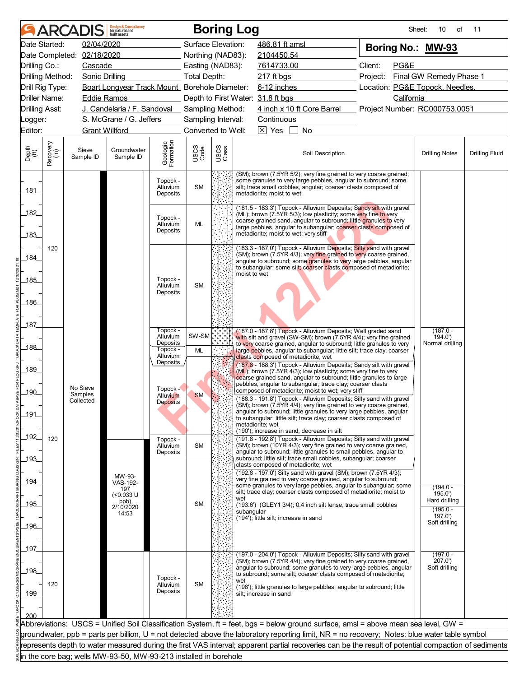|                             |                      | <b>ARCADIS</b>             | <b>Design &amp; Consultancy</b><br>for natural and<br>huilt assets |                                  |                     |               | <b>Boring Log</b> |                                   |                                            |                                                                                                                                                                                                                                                                                        |          | Sheet:     | 10<br>of                                                                                                                                             | 11                    |  |
|-----------------------------|----------------------|----------------------------|--------------------------------------------------------------------|----------------------------------|---------------------|---------------|-------------------|-----------------------------------|--------------------------------------------|----------------------------------------------------------------------------------------------------------------------------------------------------------------------------------------------------------------------------------------------------------------------------------------|----------|------------|------------------------------------------------------------------------------------------------------------------------------------------------------|-----------------------|--|
|                             | Date Started:        | 02/04/2020                 |                                                                    |                                  | Surface Elevation:  |               |                   | 486.81 ft amsl                    |                                            |                                                                                                                                                                                                                                                                                        |          |            | Boring No.: MW-93                                                                                                                                    |                       |  |
|                             |                      | Date Completed: 02/18/2020 |                                                                    |                                  | Northing (NAD83):   |               |                   | 2104450.54                        |                                            |                                                                                                                                                                                                                                                                                        |          |            |                                                                                                                                                      |                       |  |
| Drilling Co.:               |                      | Cascade                    |                                                                    |                                  | Easting (NAD83):    |               |                   | Client:<br>7614733.00             |                                            |                                                                                                                                                                                                                                                                                        | PG&E     |            |                                                                                                                                                      |                       |  |
|                             | Drilling Method:     | Sonic Drilling             |                                                                    |                                  | <b>Total Depth:</b> |               |                   | 217 ft bgs                        |                                            |                                                                                                                                                                                                                                                                                        | Project: |            | Final GW Remedy Phase 1                                                                                                                              |                       |  |
|                             | Drill Rig Type:      |                            | Boart Longyear Track Mount Borehole Diameter:                      |                                  |                     |               |                   |                                   |                                            | 6-12 inches                                                                                                                                                                                                                                                                            |          |            | Location: PG&E Topock, Needles,                                                                                                                      |                       |  |
|                             | <b>Driller Name:</b> | <b>Eddie Ramos</b>         |                                                                    |                                  |                     |               |                   | Depth to First Water: 31.8 ft bgs |                                            |                                                                                                                                                                                                                                                                                        |          | California |                                                                                                                                                      |                       |  |
| <b>Drilling Asst:</b>       |                      |                            | J. Candelaria / F. Sandoval Sampling Method:                       |                                  |                     |               |                   |                                   |                                            | 4 inch x 10 ft Core Barrel                                                                                                                                                                                                                                                             |          |            | Project Number: RC000753.0051                                                                                                                        |                       |  |
| Logger:                     |                      |                            | S. McGrane / G. Jeffers                                            |                                  | Sampling Interval:  |               |                   | Continuous                        |                                            |                                                                                                                                                                                                                                                                                        |          |            |                                                                                                                                                      |                       |  |
| Editor:                     |                      | <b>Grant Willford</b>      |                                                                    |                                  | Converted to Well:  |               |                   | $\boxed{\times}$ Yes              | <b>No</b>                                  |                                                                                                                                                                                                                                                                                        |          |            |                                                                                                                                                      |                       |  |
| Depth<br>$\widetilde{f(t)}$ | Recovery<br>(in)     | Sieve<br>Sample ID         | Groundwater<br>Sample ID                                           | Geologic<br>Formation            | USCS<br>Code        | USCS<br>Class |                   |                                   |                                            | Soil Description                                                                                                                                                                                                                                                                       |          |            | <b>Drilling Notes</b>                                                                                                                                | <b>Drilling Fluid</b> |  |
| _181_                       |                      |                            |                                                                    | Topock -<br>Alluvium<br>Deposits | <b>SM</b>           |               |                   | metadiorite; moist to wet         |                                            | (SM); brown (7.5YR 5/2); very fine grained to very coarse grained;<br>some granules to very large pebbles, angular to subround, some<br>silt; trace small cobbles, angular; coarser clasts composed of                                                                                 |          |            |                                                                                                                                                      |                       |  |
| 182                         |                      |                            |                                                                    | Topock -<br>Alluvium<br>Deposits | <b>ML</b>           |               |                   |                                   |                                            | (181.5 - 183.3') Topock - Alluvium Deposits; Sandy silt with gravel<br>(ML); brown (7.5YR 5/3); low plasticity; some very fine to very<br>coarse grained sand, angular to subround; little granules to very<br>large pebbles, angular to subangular; coarser clasts composed of        |          |            |                                                                                                                                                      |                       |  |
| 183                         | 120                  |                            |                                                                    |                                  |                     |               |                   |                                   | metadiorite; moist to wet; very stiff      | (183.3 - 187.0') Topock - Alluvium Deposits; Silty sand with gravel                                                                                                                                                                                                                    |          |            |                                                                                                                                                      |                       |  |
| 184                         |                      |                            |                                                                    |                                  |                     |               |                   |                                   |                                            | (SM); brown (7.5YR 4/3); very fine grained to very coarse grained,<br>angular to subround; some granules to very large pebbles, angular<br>to subangular; some silt; coarser clasts composed of metadiorite;                                                                           |          |            |                                                                                                                                                      |                       |  |
| $-185$                      |                      |                            |                                                                    | Topock -<br>Alluvium             | <b>SM</b>           |               | moist to wet      |                                   |                                            |                                                                                                                                                                                                                                                                                        |          |            |                                                                                                                                                      |                       |  |
| 186                         |                      |                            |                                                                    | Deposits                         |                     |               |                   |                                   |                                            |                                                                                                                                                                                                                                                                                        |          |            |                                                                                                                                                      |                       |  |
| 187                         |                      |                            |                                                                    |                                  |                     |               |                   |                                   |                                            |                                                                                                                                                                                                                                                                                        |          |            |                                                                                                                                                      |                       |  |
|                             |                      |                            |                                                                    | Topock -<br>Alluvium<br>Deposits | SW-SM               |               |                   |                                   |                                            | (187.0 - 187.8') Topock - Alluvium Deposits; Well graded sand<br>with silt and gravel (SW-SM); brown (7.5YR 4/4); very fine grained<br>to very coarse grained, angular to subround; little granules to very                                                                            |          |            | $(187.0 -$<br>194.0'<br>Normal drilling                                                                                                              |                       |  |
| _188_                       |                      |                            |                                                                    | Topock -<br>Alluvium<br>Deposits | ML                  |               |                   |                                   | clasts composed of metadiorite; wet        | large pebbles, angular to subangular; little silt; trace clay; coarser<br>(187.8 - 188.3') Topock - Alluvium Deposits; Sandy silt with gravel                                                                                                                                          |          |            |                                                                                                                                                      |                       |  |
| 189<br>190                  |                      | No Sieve<br>Samples        |                                                                    | Topock -                         |                     |               |                   |                                   |                                            | $(ML)$ ; brown (7.5YR 4/3); low plasticity; some very fine to very<br>coarse grained sand, angular to subround; little granules to large<br>pebbles, angular to subangular; trace clay; coarser clasts<br>composed of metadiorite; moist to wet; very stiff                            |          |            |                                                                                                                                                      |                       |  |
| 191                         |                      | Collected                  |                                                                    | Alluvium<br>Deposits             | <b>SM</b>           |               |                   |                                   |                                            | (188.3 - 191.8') Topock - Alluvium Deposits; Silty sand with gravel<br>(SM); brown (7.5YR 4/4); very fine grained to very coarse grained,<br>angular to subround; little granules to very large pebbles, angular<br>to subangular; little silt; trace clay; coarser clasts composed of |          |            |                                                                                                                                                      |                       |  |
| _192_                       | 120                  |                            |                                                                    | Topock -                         |                     |               |                   | metadiorite; wet                  | (190'); increase in sand, decrease in silt | (191.8 - 192.8') Topock - Alluvium Deposits; Silty sand with gravel                                                                                                                                                                                                                    |          |            |                                                                                                                                                      |                       |  |
| $-193$                      |                      |                            |                                                                    | Alluvium<br>Deposits             | <b>SM</b>           |               |                   |                                   | clasts composed of metadiorite; wet        | (SM); brown (10YR 4/3); very fine grained to very coarse grained,<br>angular to subround; little granules to small pebbles, angular to<br>subround; little silt; trace small cobbles, subangular; coarser                                                                              |          |            |                                                                                                                                                      |                       |  |
| _194_                       |                      |                            | MW-93-<br>VAS-192-                                                 |                                  |                     |               |                   |                                   |                                            | (192.8 - 197.0') Silty sand with gravel (SM); brown (7.5YR 4/3);<br>very fine grained to very coarse grained, angular to subround;                                                                                                                                                     |          |            |                                                                                                                                                      |                       |  |
|                             |                      |                            | 197<br>$(0.033 \text{ U}$<br>ppb)                                  |                                  |                     |               | wet               |                                   |                                            | some granules to very large pebbles, angular to subangular; some<br>silt; trace clay; coarser clasts composed of metadiorite; moist to                                                                                                                                                 |          |            | $(194.0 -$<br>195.0<br>Hard drilling                                                                                                                 |                       |  |
| 195                         |                      |                            | 2/10/2020<br>14:53                                                 |                                  | <b>SM</b>           |               | subangular        |                                   | (194'); little silt; increase in sand      | (193.6') (GLEY1 3/4); 0.4 inch silt lense, trace small cobbles                                                                                                                                                                                                                         |          |            | $(195.0 -$<br>197.0'                                                                                                                                 |                       |  |
| _196_                       |                      |                            |                                                                    |                                  |                     |               |                   |                                   |                                            |                                                                                                                                                                                                                                                                                        |          |            | Soft drilling                                                                                                                                        |                       |  |
|                             |                      |                            |                                                                    |                                  |                     |               |                   |                                   |                                            |                                                                                                                                                                                                                                                                                        |          |            |                                                                                                                                                      |                       |  |
| _197_                       |                      |                            |                                                                    |                                  |                     |               |                   |                                   |                                            |                                                                                                                                                                                                                                                                                        |          |            |                                                                                                                                                      |                       |  |
| 198                         |                      |                            |                                                                    |                                  |                     |               |                   |                                   |                                            | (197.0 - 204.0') Topock - Alluvium Deposits; Silty sand with gravel<br>(SM); brown (7.5YR 4/4); very fine grained to very coarse grained,<br>angular to subround; some granules to very large pebbles, angular<br>to subround; some silt; coarser clasts composed of metadiorite;      |          |            | $(197.0 -$<br>207.0'<br>Soft drilling                                                                                                                |                       |  |
| 199                         | 120                  |                            |                                                                    | Topock -<br>Alluvium<br>Deposits | <b>SM</b>           |               | wet               | silt; increase in sand            |                                            | (198'); little granules to large pebbles, angular to subround; little                                                                                                                                                                                                                  |          |            |                                                                                                                                                      |                       |  |
|                             |                      |                            |                                                                    |                                  |                     |               |                   |                                   |                                            |                                                                                                                                                                                                                                                                                        |          |            |                                                                                                                                                      |                       |  |
| 200                         |                      |                            |                                                                    |                                  |                     |               |                   |                                   |                                            |                                                                                                                                                                                                                                                                                        |          |            | Abbreviations: USCS = Unified Soil Classification System, ft = feet, bgs = below ground surface, amsl = above mean sea level, GW =                   |                       |  |
|                             |                      |                            |                                                                    |                                  |                     |               |                   |                                   |                                            |                                                                                                                                                                                                                                                                                        |          |            | groundwater, ppb = parts per billion, U = not detected above the laboratory reporting limit, NR = no recovery; Notes: blue water table symbol        |                       |  |
|                             |                      |                            |                                                                    |                                  |                     |               |                   |                                   |                                            |                                                                                                                                                                                                                                                                                        |          |            | represents depth to water measured during the first VAS interval; apparent partial recoveries can be the result of potential compaction of sediments |                       |  |
|                             |                      |                            | in the core bag; wells MW-93-50, MW-93-213 installed in borehole   |                                  |                     |               |                   |                                   |                                            |                                                                                                                                                                                                                                                                                        |          |            |                                                                                                                                                      |                       |  |
|                             |                      |                            |                                                                    |                                  |                     |               |                   |                                   |                                            |                                                                                                                                                                                                                                                                                        |          |            |                                                                                                                                                      |                       |  |